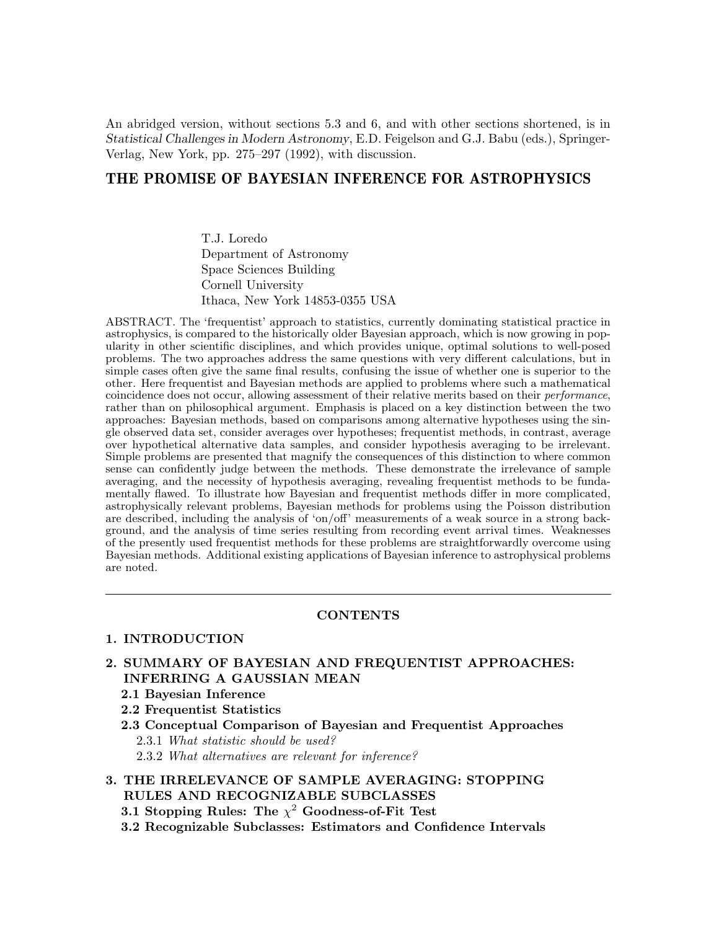An abridged version, without sections 5.3 and 6, and with other sections shortened, is in Statistical Challenges in Modern Astronomy, E.D. Feigelson and G.J. Babu (eds.), Springer-Verlag, New York, pp. 275–297 (1992), with discussion.

# THE PROMISE OF BAYESIAN INFERENCE FOR ASTROPHYSICS

T.J. Loredo Department of Astronomy Space Sciences Building Cornell University Ithaca, New York 14853-0355 USA

ABSTRACT. The 'frequentist' approach to statistics, currently dominating statistical practice in astrophysics, is compared to the historically older Bayesian approach, which is now growing in popularity in other scientific disciplines, and which provides unique, optimal solutions to well-posed problems. The two approaches address the same questions with very different calculations, but in simple cases often give the same final results, confusing the issue of whether one is superior to the other. Here frequentist and Bayesian methods are applied to problems where such a mathematical coincidence does not occur, allowing assessment of their relative merits based on their performance, rather than on philosophical argument. Emphasis is placed on a key distinction between the two approaches: Bayesian methods, based on comparisons among alternative hypotheses using the single observed data set, consider averages over hypotheses; frequentist methods, in contrast, average over hypothetical alternative data samples, and consider hypothesis averaging to be irrelevant. Simple problems are presented that magnify the consequences of this distinction to where common sense can confidently judge between the methods. These demonstrate the irrelevance of sample averaging, and the necessity of hypothesis averaging, revealing frequentist methods to be fundamentally flawed. To illustrate how Bayesian and frequentist methods differ in more complicated, astrophysically relevant problems, Bayesian methods for problems using the Poisson distribution are described, including the analysis of 'on/off' measurements of a weak source in a strong background, and the analysis of time series resulting from recording event arrival times. Weaknesses of the presently used frequentist methods for these problems are straightforwardly overcome using Bayesian methods. Additional existing applications of Bayesian inference to astrophysical problems are noted.

# **CONTENTS**

# 1. INTRODUCTION

- 2. SUMMARY OF BAYESIAN AND FREQUENTIST APPROACHES: INFERRING A GAUSSIAN MEAN
	- 2.1 Bayesian Inference
	- 2.2 Frequentist Statistics
	- 2.3 Conceptual Comparison of Bayesian and Frequentist Approaches 2.3.1 What statistic should be used? 2.3.2 What alternatives are relevant for inference?

# 3. THE IRRELEVANCE OF SAMPLE AVERAGING: STOPPING RULES AND RECOGNIZABLE SUBCLASSES

- 3.1 Stopping Rules: The  $\chi^2$  Goodness-of-Fit Test
- 3.2 Recognizable Subclasses: Estimators and Confidence Intervals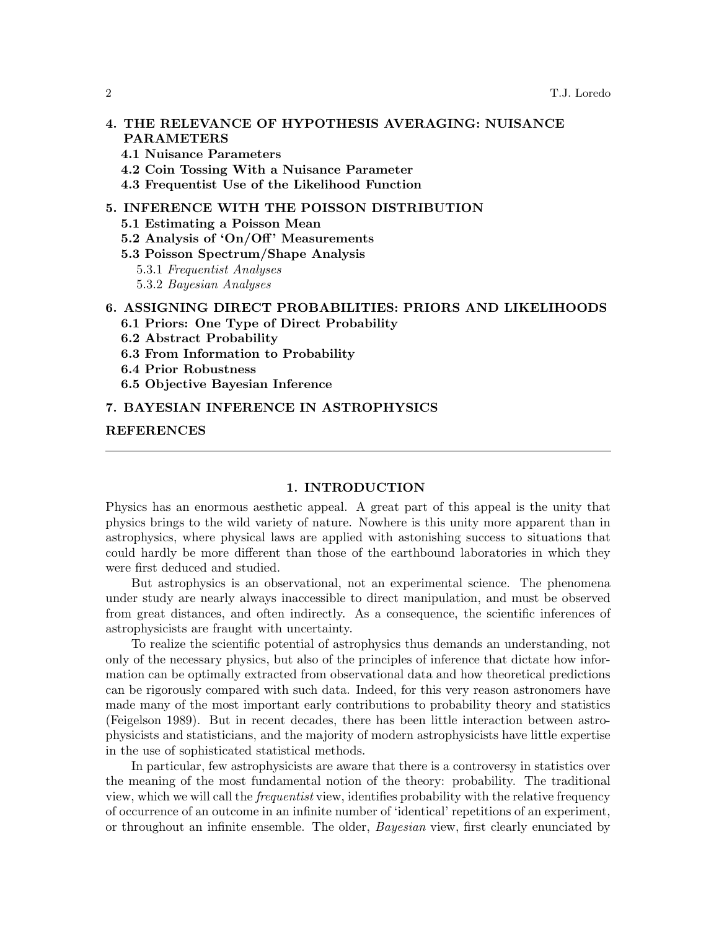# 4. THE RELEVANCE OF HYPOTHESIS AVERAGING: NUISANCE PARAMETERS

- 4.1 Nuisance Parameters
- 4.2 Coin Tossing With a Nuisance Parameter
- 4.3 Frequentist Use of the Likelihood Function

# 5. INFERENCE WITH THE POISSON DISTRIBUTION

- 5.1 Estimating a Poisson Mean
- 5.2 Analysis of 'On/Off' Measurements
- 5.3 Poisson Spectrum/Shape Analysis
	- 5.3.1 Frequentist Analyses
	- 5.3.2 Bayesian Analyses

# 6. ASSIGNING DIRECT PROBABILITIES: PRIORS AND LIKELIHOODS

- 6.1 Priors: One Type of Direct Probability
- 6.2 Abstract Probability
- 6.3 From Information to Probability
- 6.4 Prior Robustness
- 6.5 Objective Bayesian Inference

## 7. BAYESIAN INFERENCE IN ASTROPHYSICS

## REFERENCES

## 1. INTRODUCTION

Physics has an enormous aesthetic appeal. A great part of this appeal is the unity that physics brings to the wild variety of nature. Nowhere is this unity more apparent than in astrophysics, where physical laws are applied with astonishing success to situations that could hardly be more different than those of the earthbound laboratories in which they were first deduced and studied.

But astrophysics is an observational, not an experimental science. The phenomena under study are nearly always inaccessible to direct manipulation, and must be observed from great distances, and often indirectly. As a consequence, the scientific inferences of astrophysicists are fraught with uncertainty.

To realize the scientific potential of astrophysics thus demands an understanding, not only of the necessary physics, but also of the principles of inference that dictate how information can be optimally extracted from observational data and how theoretical predictions can be rigorously compared with such data. Indeed, for this very reason astronomers have made many of the most important early contributions to probability theory and statistics (Feigelson 1989). But in recent decades, there has been little interaction between astrophysicists and statisticians, and the majority of modern astrophysicists have little expertise in the use of sophisticated statistical methods.

In particular, few astrophysicists are aware that there is a controversy in statistics over the meaning of the most fundamental notion of the theory: probability. The traditional view, which we will call the frequentist view, identifies probability with the relative frequency of occurrence of an outcome in an infinite number of 'identical' repetitions of an experiment, or throughout an infinite ensemble. The older, *Bayesian* view, first clearly enunciated by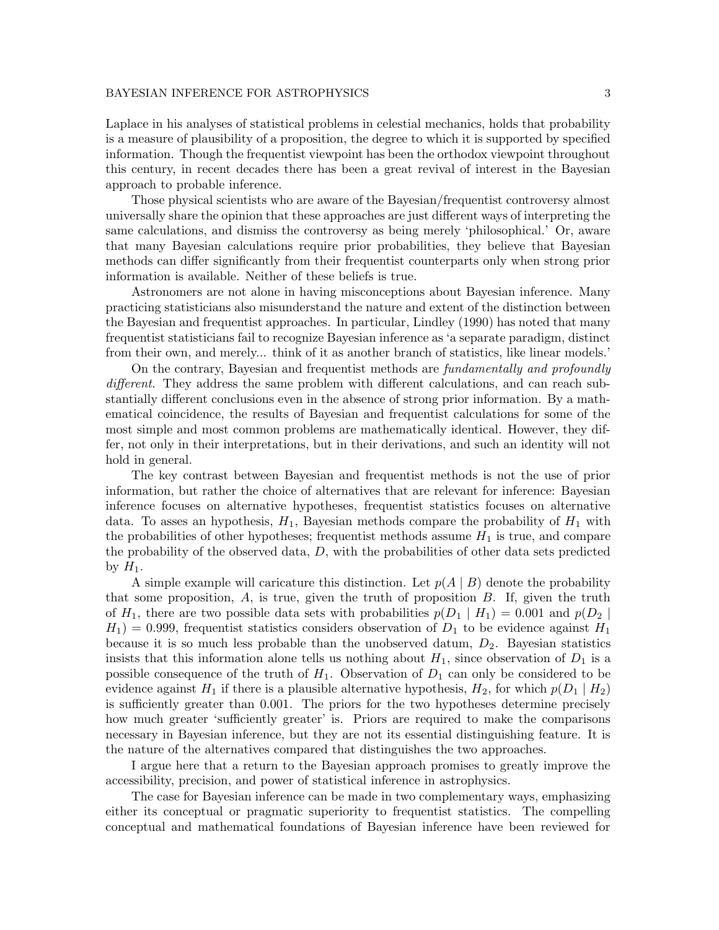Laplace in his analyses of statistical problems in celestial mechanics, holds that probability is a measure of plausibility of a proposition, the degree to which it is supported by specified information. Though the frequentist viewpoint has been the orthodox viewpoint throughout this century, in recent decades there has been a great revival of interest in the Bayesian approach to probable inference.

Those physical scientists who are aware of the Bayesian/frequentist controversy almost universally share the opinion that these approaches are just different ways of interpreting the same calculations, and dismiss the controversy as being merely 'philosophical.' Or, aware that many Bayesian calculations require prior probabilities, they believe that Bayesian methods can differ significantly from their frequentist counterparts only when strong prior information is available. Neither of these beliefs is true.

Astronomers are not alone in having misconceptions about Bayesian inference. Many practicing statisticians also misunderstand the nature and extent of the distinction between the Bayesian and frequentist approaches. In particular, Lindley (1990) has noted that many frequentist statisticians fail to recognize Bayesian inference as 'a separate paradigm, distinct from their own, and merely... think of it as another branch of statistics, like linear models.'

On the contrary, Bayesian and frequentist methods are fundamentally and profoundly different. They address the same problem with different calculations, and can reach substantially different conclusions even in the absence of strong prior information. By a mathematical coincidence, the results of Bayesian and frequentist calculations for some of the most simple and most common problems are mathematically identical. However, they differ, not only in their interpretations, but in their derivations, and such an identity will not hold in general.

The key contrast between Bayesian and frequentist methods is not the use of prior information, but rather the choice of alternatives that are relevant for inference: Bayesian inference focuses on alternative hypotheses, frequentist statistics focuses on alternative data. To asses an hypothesis,  $H_1$ , Bayesian methods compare the probability of  $H_1$  with the probabilities of other hypotheses; frequentist methods assume  $H_1$  is true, and compare the probability of the observed data,  $D$ , with the probabilities of other data sets predicted by  $H_1$ .

A simple example will caricature this distinction. Let  $p(A | B)$  denote the probability that some proposition,  $A$ , is true, given the truth of proposition  $B$ . If, given the truth of  $H_1$ , there are two possible data sets with probabilities  $p(D_1 \mid H_1) = 0.001$  and  $p(D_2 \mid H_1)$  $H_1$ ) = 0.999, frequentist statistics considers observation of  $D_1$  to be evidence against  $H_1$ because it is so much less probable than the unobserved datum,  $D_2$ . Bayesian statistics insists that this information alone tells us nothing about  $H_1$ , since observation of  $D_1$  is a possible consequence of the truth of  $H_1$ . Observation of  $D_1$  can only be considered to be evidence against  $H_1$  if there is a plausible alternative hypothesis,  $H_2$ , for which  $p(D_1 | H_2)$ is sufficiently greater than 0.001. The priors for the two hypotheses determine precisely how much greater 'sufficiently greater' is. Priors are required to make the comparisons necessary in Bayesian inference, but they are not its essential distinguishing feature. It is the nature of the alternatives compared that distinguishes the two approaches.

I argue here that a return to the Bayesian approach promises to greatly improve the accessibility, precision, and power of statistical inference in astrophysics.

The case for Bayesian inference can be made in two complementary ways, emphasizing either its conceptual or pragmatic superiority to frequentist statistics. The compelling conceptual and mathematical foundations of Bayesian inference have been reviewed for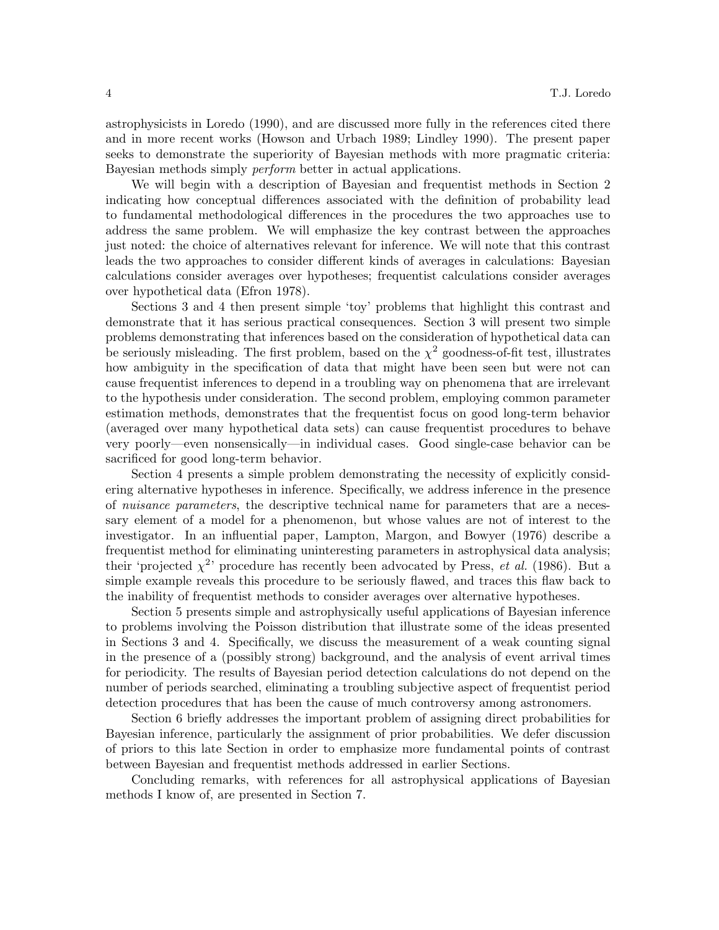astrophysicists in Loredo (1990), and are discussed more fully in the references cited there and in more recent works (Howson and Urbach 1989; Lindley 1990). The present paper seeks to demonstrate the superiority of Bayesian methods with more pragmatic criteria: Bayesian methods simply perform better in actual applications.

We will begin with a description of Bayesian and frequentist methods in Section 2 indicating how conceptual differences associated with the definition of probability lead to fundamental methodological differences in the procedures the two approaches use to address the same problem. We will emphasize the key contrast between the approaches just noted: the choice of alternatives relevant for inference. We will note that this contrast leads the two approaches to consider different kinds of averages in calculations: Bayesian calculations consider averages over hypotheses; frequentist calculations consider averages over hypothetical data (Efron 1978).

Sections 3 and 4 then present simple 'toy' problems that highlight this contrast and demonstrate that it has serious practical consequences. Section 3 will present two simple problems demonstrating that inferences based on the consideration of hypothetical data can be seriously misleading. The first problem, based on the  $\chi^2$  goodness-of-fit test, illustrates how ambiguity in the specification of data that might have been seen but were not can cause frequentist inferences to depend in a troubling way on phenomena that are irrelevant to the hypothesis under consideration. The second problem, employing common parameter estimation methods, demonstrates that the frequentist focus on good long-term behavior (averaged over many hypothetical data sets) can cause frequentist procedures to behave very poorly—even nonsensically—in individual cases. Good single-case behavior can be sacrificed for good long-term behavior.

Section 4 presents a simple problem demonstrating the necessity of explicitly considering alternative hypotheses in inference. Specifically, we address inference in the presence of nuisance parameters, the descriptive technical name for parameters that are a necessary element of a model for a phenomenon, but whose values are not of interest to the investigator. In an influential paper, Lampton, Margon, and Bowyer (1976) describe a frequentist method for eliminating uninteresting parameters in astrophysical data analysis; their 'projected  $\chi^2$ ' procedure has recently been advocated by Press, *et al.* (1986). But a simple example reveals this procedure to be seriously flawed, and traces this flaw back to the inability of frequentist methods to consider averages over alternative hypotheses.

Section 5 presents simple and astrophysically useful applications of Bayesian inference to problems involving the Poisson distribution that illustrate some of the ideas presented in Sections 3 and 4. Specifically, we discuss the measurement of a weak counting signal in the presence of a (possibly strong) background, and the analysis of event arrival times for periodicity. The results of Bayesian period detection calculations do not depend on the number of periods searched, eliminating a troubling subjective aspect of frequentist period detection procedures that has been the cause of much controversy among astronomers.

Section 6 briefly addresses the important problem of assigning direct probabilities for Bayesian inference, particularly the assignment of prior probabilities. We defer discussion of priors to this late Section in order to emphasize more fundamental points of contrast between Bayesian and frequentist methods addressed in earlier Sections.

Concluding remarks, with references for all astrophysical applications of Bayesian methods I know of, are presented in Section 7.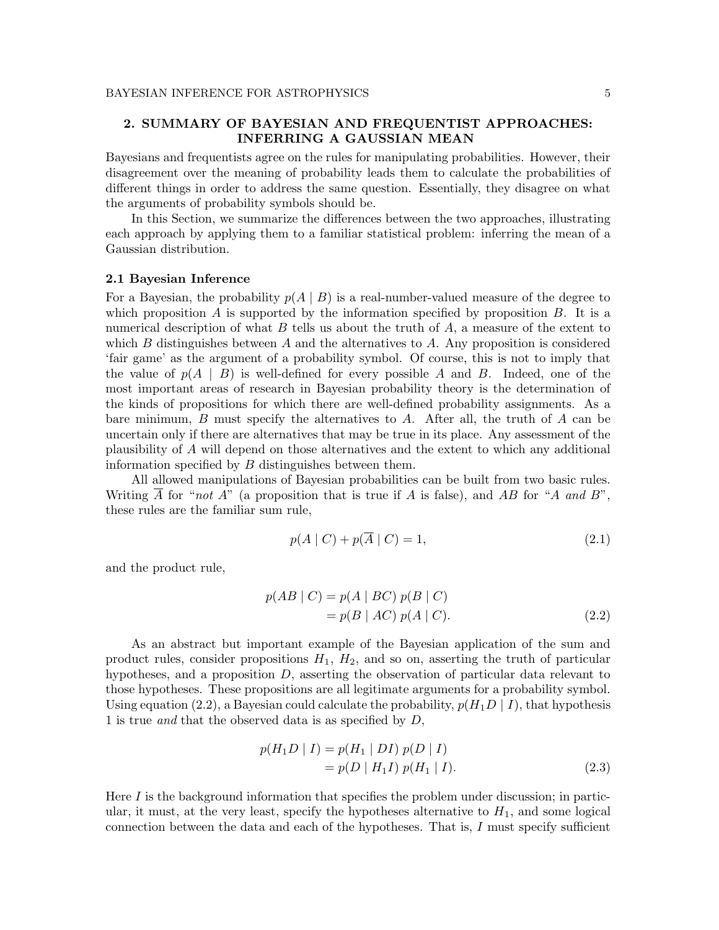# 2. SUMMARY OF BAYESIAN AND FREQUENTIST APPROACHES: INFERRING A GAUSSIAN MEAN

Bayesians and frequentists agree on the rules for manipulating probabilities. However, their disagreement over the meaning of probability leads them to calculate the probabilities of different things in order to address the same question. Essentially, they disagree on what the arguments of probability symbols should be.

In this Section, we summarize the differences between the two approaches, illustrating each approach by applying them to a familiar statistical problem: inferring the mean of a Gaussian distribution.

#### 2.1 Bayesian Inference

For a Bayesian, the probability  $p(A | B)$  is a real-number-valued measure of the degree to which proposition A is supported by the information specified by proposition  $B$ . It is a numerical description of what  $B$  tells us about the truth of  $A$ , a measure of the extent to which B distinguishes between A and the alternatives to A. Any proposition is considered 'fair game' as the argument of a probability symbol. Of course, this is not to imply that the value of  $p(A \mid B)$  is well-defined for every possible A and B. Indeed, one of the most important areas of research in Bayesian probability theory is the determination of the kinds of propositions for which there are well-defined probability assignments. As a bare minimum,  $B$  must specify the alternatives to  $A$ . After all, the truth of  $A$  can be uncertain only if there are alternatives that may be true in its place. Any assessment of the plausibility of A will depend on those alternatives and the extent to which any additional information specified by  $B$  distinguishes between them.

All allowed manipulations of Bayesian probabilities can be built from two basic rules. Writing  $\overline{A}$  for "not A" (a proposition that is true if A is false), and AB for "A and B", these rules are the familiar sum rule,

$$
p(A \mid C) + p(\overline{A} \mid C) = 1,\tag{2.1}
$$

and the product rule,

$$
p(AB | C) = p(A | BC) p(B | C) = p(B | AC) p(A | C).
$$
 (2.2)

As an abstract but important example of the Bayesian application of the sum and product rules, consider propositions  $H_1$ ,  $H_2$ , and so on, asserting the truth of particular hypotheses, and a proposition D, asserting the observation of particular data relevant to those hypotheses. These propositions are all legitimate arguments for a probability symbol. Using equation (2.2), a Bayesian could calculate the probability,  $p(H_1D | I)$ , that hypothesis 1 is true and that the observed data is as specified by D,

$$
p(H_1 D \mid I) = p(H_1 \mid DI) p(D \mid I)
$$
  
=  $p(D \mid H_1 I) p(H_1 \mid I).$  (2.3)

Here  $I$  is the background information that specifies the problem under discussion; in particular, it must, at the very least, specify the hypotheses alternative to  $H_1$ , and some logical connection between the data and each of the hypotheses. That is, I must specify sufficient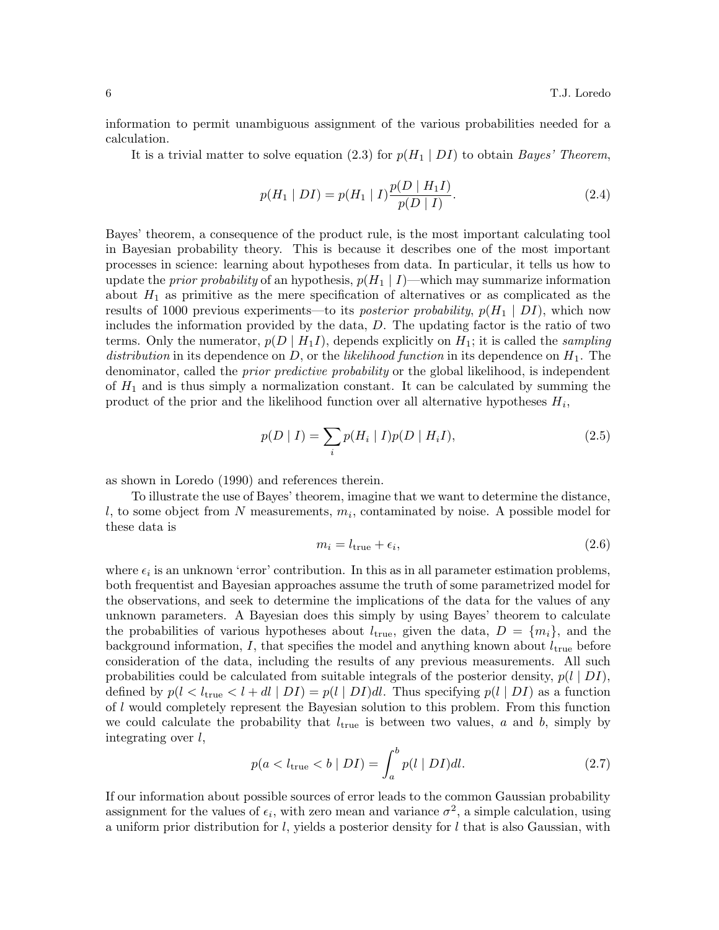information to permit unambiguous assignment of the various probabilities needed for a calculation.

It is a trivial matter to solve equation (2.3) for  $p(H_1 | DI)$  to obtain Bayes' Theorem,

$$
p(H_1 | DI) = p(H_1 | I) \frac{p(D | H_1 I)}{p(D | I)}.
$$
\n(2.4)

Bayes' theorem, a consequence of the product rule, is the most important calculating tool in Bayesian probability theory. This is because it describes one of the most important processes in science: learning about hypotheses from data. In particular, it tells us how to update the *prior probability* of an hypothesis,  $p(H_1 | I)$ —which may summarize information about  $H_1$  as primitive as the mere specification of alternatives or as complicated as the results of 1000 previous experiments—to its *posterior probability*,  $p(H_1 | DI)$ , which now includes the information provided by the data, D. The updating factor is the ratio of two terms. Only the numerator,  $p(D | H_1 I)$ , depends explicitly on  $H_1$ ; it is called the *sampling* distribution in its dependence on D, or the likelihood function in its dependence on  $H_1$ . The denominator, called the *prior predictive probability* or the global likelihood, is independent of  $H_1$  and is thus simply a normalization constant. It can be calculated by summing the product of the prior and the likelihood function over all alternative hypotheses  $H_i$ ,

$$
p(D | I) = \sum_{i} p(H_i | I) p(D | H_i I),
$$
\n(2.5)

as shown in Loredo (1990) and references therein.

To illustrate the use of Bayes' theorem, imagine that we want to determine the distance, l, to some object from N measurements,  $m_i$ , contaminated by noise. A possible model for these data is

$$
m_i = l_{\text{true}} + \epsilon_i,\tag{2.6}
$$

where  $\epsilon_i$  is an unknown 'error' contribution. In this as in all parameter estimation problems, both frequentist and Bayesian approaches assume the truth of some parametrized model for the observations, and seek to determine the implications of the data for the values of any unknown parameters. A Bayesian does this simply by using Bayes' theorem to calculate the probabilities of various hypotheses about  $l_{true}$ , given the data,  $D = \{m_i\}$ , and the background information, I, that specifies the model and anything known about  $l_{true}$  before consideration of the data, including the results of any previous measurements. All such probabilities could be calculated from suitable integrals of the posterior density,  $p(l | DI)$ , defined by  $p(l < l_{true} < l + dl | DI) = p(l | DI)dl$ . Thus specifying  $p(l | DI)$  as a function of l would completely represent the Bayesian solution to this problem. From this function we could calculate the probability that  $l_{true}$  is between two values, a and b, simply by integrating over  $l$ ,

$$
p(a < l_{\text{true}} < b \mid DI) = \int_{a}^{b} p(l \mid DI) dl. \tag{2.7}
$$

If our information about possible sources of error leads to the common Gaussian probability assignment for the values of  $\epsilon_i$ , with zero mean and variance  $\sigma^2$ , a simple calculation, using a uniform prior distribution for  $l$ , yields a posterior density for  $l$  that is also Gaussian, with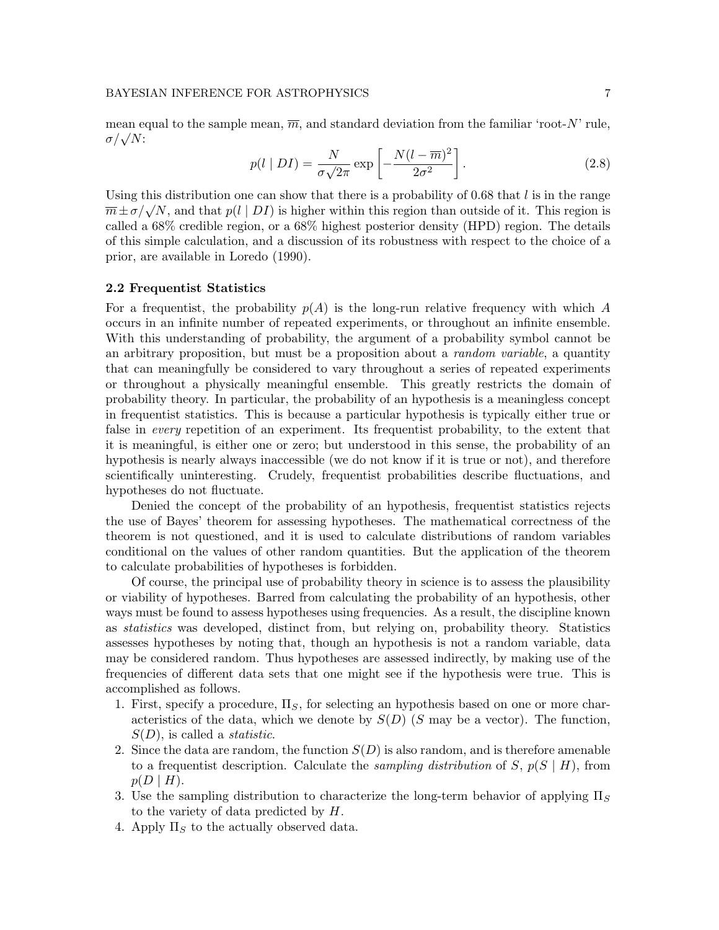mean equal to the sample mean,  $\overline{m}$ , and standard deviation from the familiar 'root-N' rule, σ/ √ N:

$$
p(l \mid DI) = \frac{N}{\sigma \sqrt{2\pi}} \exp\left[-\frac{N(l - \overline{m})^2}{2\sigma^2}\right].
$$
 (2.8)

Using this distribution one can show that there is a probability of  $0.68$  that l is in the range  $\overline{m} \pm \sigma/\sqrt{N}$ , and that  $p(l \mid DI)$  is higher within this region than outside of it. This region is called a 68% credible region, or a 68% highest posterior density (HPD) region. The details of this simple calculation, and a discussion of its robustness with respect to the choice of a prior, are available in Loredo (1990).

#### 2.2 Frequentist Statistics

For a frequentist, the probability  $p(A)$  is the long-run relative frequency with which A occurs in an infinite number of repeated experiments, or throughout an infinite ensemble. With this understanding of probability, the argument of a probability symbol cannot be an arbitrary proposition, but must be a proposition about a *random variable*, a quantity that can meaningfully be considered to vary throughout a series of repeated experiments or throughout a physically meaningful ensemble. This greatly restricts the domain of probability theory. In particular, the probability of an hypothesis is a meaningless concept in frequentist statistics. This is because a particular hypothesis is typically either true or false in *every* repetition of an experiment. Its frequentist probability, to the extent that it is meaningful, is either one or zero; but understood in this sense, the probability of an hypothesis is nearly always inaccessible (we do not know if it is true or not), and therefore scientifically uninteresting. Crudely, frequentist probabilities describe fluctuations, and hypotheses do not fluctuate.

Denied the concept of the probability of an hypothesis, frequentist statistics rejects the use of Bayes' theorem for assessing hypotheses. The mathematical correctness of the theorem is not questioned, and it is used to calculate distributions of random variables conditional on the values of other random quantities. But the application of the theorem to calculate probabilities of hypotheses is forbidden.

Of course, the principal use of probability theory in science is to assess the plausibility or viability of hypotheses. Barred from calculating the probability of an hypothesis, other ways must be found to assess hypotheses using frequencies. As a result, the discipline known as statistics was developed, distinct from, but relying on, probability theory. Statistics assesses hypotheses by noting that, though an hypothesis is not a random variable, data may be considered random. Thus hypotheses are assessed indirectly, by making use of the frequencies of different data sets that one might see if the hypothesis were true. This is accomplished as follows.

- 1. First, specify a procedure,  $\Pi_S$ , for selecting an hypothesis based on one or more characteristics of the data, which we denote by  $S(D)$  (S may be a vector). The function,  $S(D)$ , is called a *statistic*.
- 2. Since the data are random, the function  $S(D)$  is also random, and is therefore amenable to a frequentist description. Calculate the *sampling distribution* of S,  $p(S | H)$ , from  $p(D | H)$ .
- 3. Use the sampling distribution to characterize the long-term behavior of applying  $\Pi<sub>S</sub>$ to the variety of data predicted by H.
- 4. Apply  $\Pi_S$  to the actually observed data.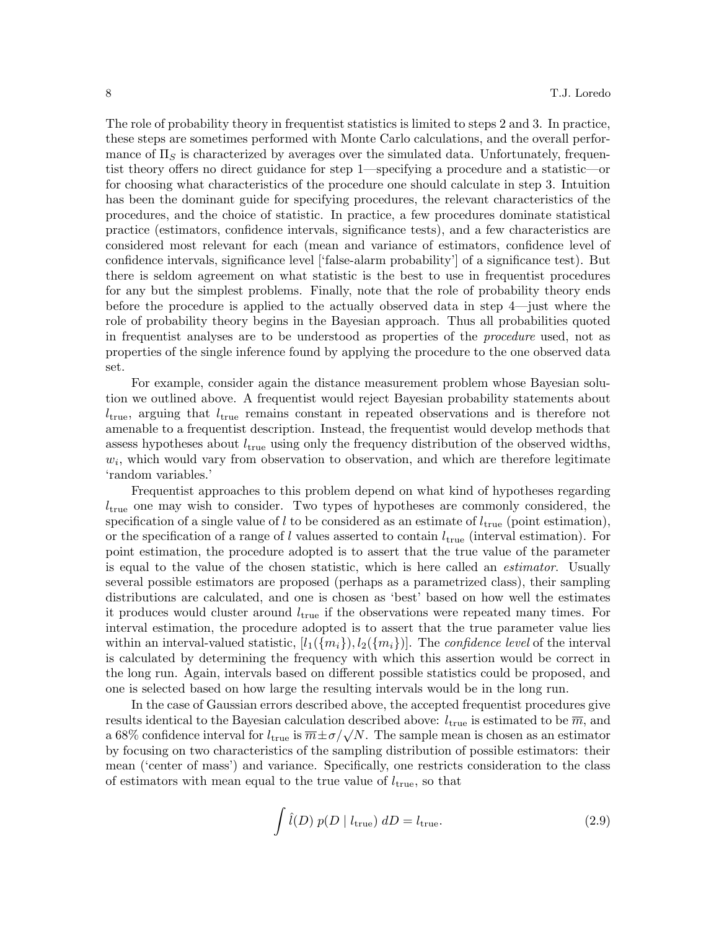The role of probability theory in frequentist statistics is limited to steps 2 and 3. In practice, these steps are sometimes performed with Monte Carlo calculations, and the overall performance of  $\Pi<sub>S</sub>$  is characterized by averages over the simulated data. Unfortunately, frequentist theory offers no direct guidance for step 1—specifying a procedure and a statistic—or for choosing what characteristics of the procedure one should calculate in step 3. Intuition has been the dominant guide for specifying procedures, the relevant characteristics of the procedures, and the choice of statistic. In practice, a few procedures dominate statistical practice (estimators, confidence intervals, significance tests), and a few characteristics are considered most relevant for each (mean and variance of estimators, confidence level of confidence intervals, significance level ['false-alarm probability'] of a significance test). But there is seldom agreement on what statistic is the best to use in frequentist procedures for any but the simplest problems. Finally, note that the role of probability theory ends before the procedure is applied to the actually observed data in step 4—just where the role of probability theory begins in the Bayesian approach. Thus all probabilities quoted in frequentist analyses are to be understood as properties of the procedure used, not as properties of the single inference found by applying the procedure to the one observed data set.

For example, consider again the distance measurement problem whose Bayesian solution we outlined above. A frequentist would reject Bayesian probability statements about  $l_{true}$ , arguing that  $l_{true}$  remains constant in repeated observations and is therefore not amenable to a frequentist description. Instead, the frequentist would develop methods that assess hypotheses about  $l_{\text{true}}$  using only the frequency distribution of the observed widths,  $w_i$ , which would vary from observation to observation, and which are therefore legitimate 'random variables.'

Frequentist approaches to this problem depend on what kind of hypotheses regarding  $l_{true}$  one may wish to consider. Two types of hypotheses are commonly considered, the specification of a single value of l to be considered as an estimate of  $l_{\text{true}}$  (point estimation), or the specification of a range of l values asserted to contain  $l_{\text{true}}$  (interval estimation). For point estimation, the procedure adopted is to assert that the true value of the parameter is equal to the value of the chosen statistic, which is here called an estimator. Usually several possible estimators are proposed (perhaps as a parametrized class), their sampling distributions are calculated, and one is chosen as 'best' based on how well the estimates it produces would cluster around  $l_{\text{true}}$  if the observations were repeated many times. For interval estimation, the procedure adopted is to assert that the true parameter value lies within an interval-valued statistic,  $[l_1({m_i}), l_2({m_i})]$ . The *confidence level* of the interval is calculated by determining the frequency with which this assertion would be correct in the long run. Again, intervals based on different possible statistics could be proposed, and one is selected based on how large the resulting intervals would be in the long run.

In the case of Gaussian errors described above, the accepted frequentist procedures give results identical to the Bayesian calculation described above:  $l_{\text{true}}$  is estimated to be  $\overline{m}$ , and a 68% confidence interval for  $l_{\text{true}}$  is  $\overline{m} \pm \sigma / \sqrt{N}$ . The sample mean is chosen as an estimator by focusing on two characteristics of the sampling distribution of possible estimators: their mean ('center of mass') and variance. Specifically, one restricts consideration to the class of estimators with mean equal to the true value of  $l_{\text{true}}$ , so that

$$
\int \hat{l}(D) p(D \mid l_{\text{true}}) dD = l_{\text{true}}.
$$
\n(2.9)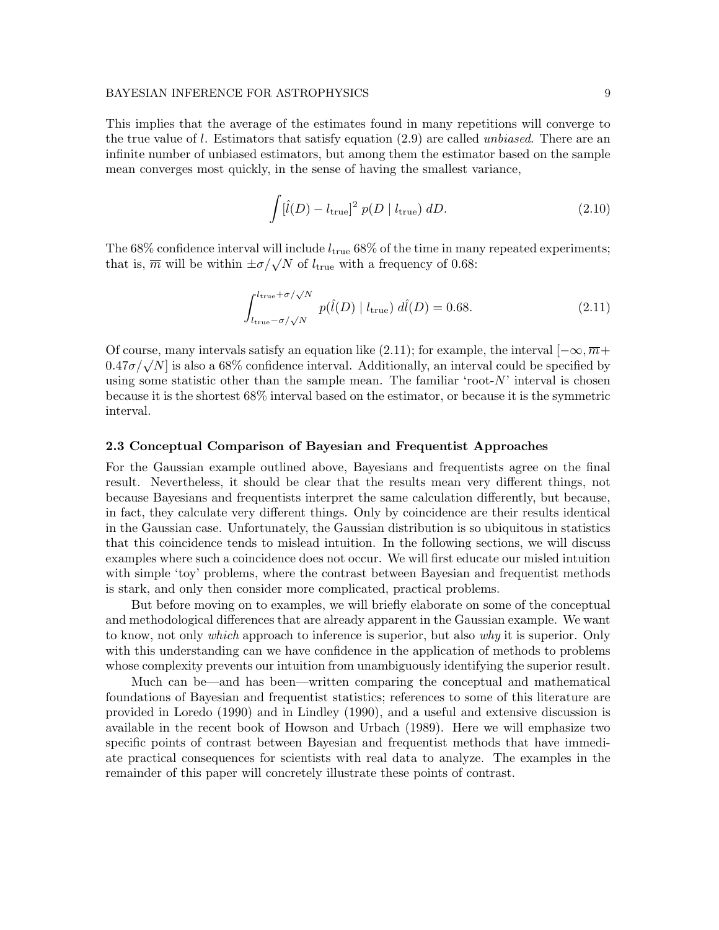This implies that the average of the estimates found in many repetitions will converge to the true value of l. Estimators that satisfy equation  $(2.9)$  are called *unbiased*. There are an infinite number of unbiased estimators, but among them the estimator based on the sample mean converges most quickly, in the sense of having the smallest variance,

$$
\int [\hat{l}(D) - l_{\text{true}}]^2 p(D \mid l_{\text{true}}) dD. \tag{2.10}
$$

The 68% confidence interval will include  $l_{true}$  68% of the time in many repeated experiments; that is,  $\overline{m}$  will be within  $\pm \sigma/\sqrt{N}$  of  $l_{\text{true}}$  with a frequency of 0.68:

$$
\int_{l_{\text{true}}-\sigma/\sqrt{N}}^{l_{\text{true}}+\sigma/\sqrt{N}} p(\hat{l}(D) | l_{\text{true}}) d\hat{l}(D) = 0.68.
$$
 (2.11)

Of course, many intervals satisfy an equation like (2.11); for example, the interval  $[-\infty, \overline{m}+$  $(0.47\sigma/\sqrt{N})$  is also a 68% confidence interval. Additionally, an interval could be specified by using some statistic other than the sample mean. The familiar 'root- $N$ ' interval is chosen because it is the shortest 68% interval based on the estimator, or because it is the symmetric interval.

#### 2.3 Conceptual Comparison of Bayesian and Frequentist Approaches

For the Gaussian example outlined above, Bayesians and frequentists agree on the final result. Nevertheless, it should be clear that the results mean very different things, not because Bayesians and frequentists interpret the same calculation differently, but because, in fact, they calculate very different things. Only by coincidence are their results identical in the Gaussian case. Unfortunately, the Gaussian distribution is so ubiquitous in statistics that this coincidence tends to mislead intuition. In the following sections, we will discuss examples where such a coincidence does not occur. We will first educate our misled intuition with simple 'toy' problems, where the contrast between Bayesian and frequentist methods is stark, and only then consider more complicated, practical problems.

But before moving on to examples, we will briefly elaborate on some of the conceptual and methodological differences that are already apparent in the Gaussian example. We want to know, not only *which* approach to inference is superior, but also *why* it is superior. Only with this understanding can we have confidence in the application of methods to problems whose complexity prevents our intuition from unambiguously identifying the superior result.

Much can be—and has been—written comparing the conceptual and mathematical foundations of Bayesian and frequentist statistics; references to some of this literature are provided in Loredo (1990) and in Lindley (1990), and a useful and extensive discussion is available in the recent book of Howson and Urbach (1989). Here we will emphasize two specific points of contrast between Bayesian and frequentist methods that have immediate practical consequences for scientists with real data to analyze. The examples in the remainder of this paper will concretely illustrate these points of contrast.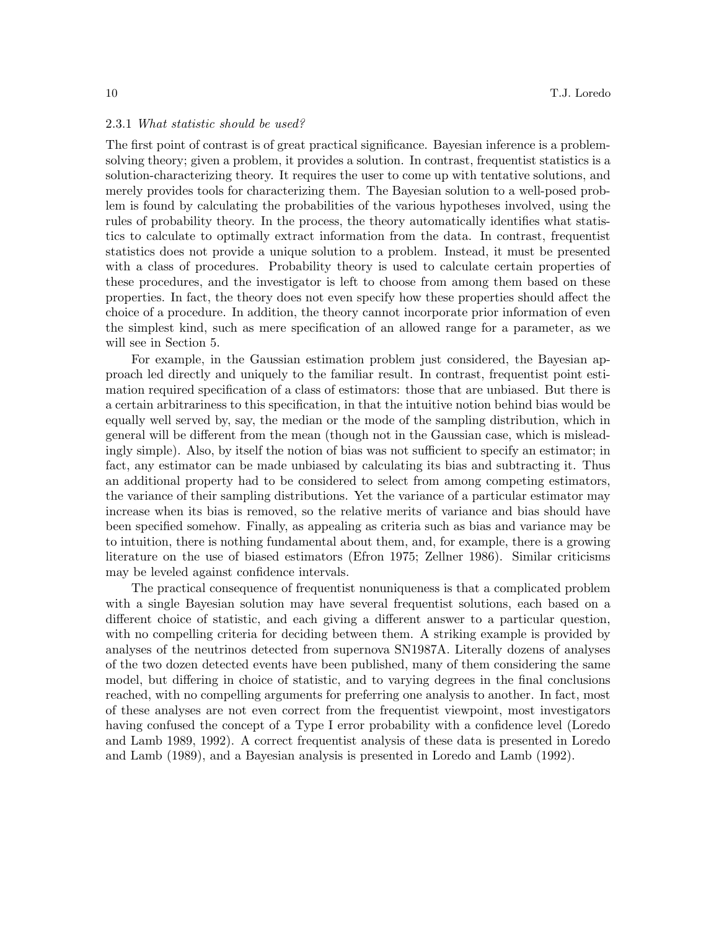#### 2.3.1 What statistic should be used?

The first point of contrast is of great practical significance. Bayesian inference is a problemsolving theory; given a problem, it provides a solution. In contrast, frequentist statistics is a solution-characterizing theory. It requires the user to come up with tentative solutions, and merely provides tools for characterizing them. The Bayesian solution to a well-posed problem is found by calculating the probabilities of the various hypotheses involved, using the rules of probability theory. In the process, the theory automatically identifies what statistics to calculate to optimally extract information from the data. In contrast, frequentist statistics does not provide a unique solution to a problem. Instead, it must be presented with a class of procedures. Probability theory is used to calculate certain properties of these procedures, and the investigator is left to choose from among them based on these properties. In fact, the theory does not even specify how these properties should affect the choice of a procedure. In addition, the theory cannot incorporate prior information of even the simplest kind, such as mere specification of an allowed range for a parameter, as we will see in Section 5.

For example, in the Gaussian estimation problem just considered, the Bayesian approach led directly and uniquely to the familiar result. In contrast, frequentist point estimation required specification of a class of estimators: those that are unbiased. But there is a certain arbitrariness to this specification, in that the intuitive notion behind bias would be equally well served by, say, the median or the mode of the sampling distribution, which in general will be different from the mean (though not in the Gaussian case, which is misleadingly simple). Also, by itself the notion of bias was not sufficient to specify an estimator; in fact, any estimator can be made unbiased by calculating its bias and subtracting it. Thus an additional property had to be considered to select from among competing estimators, the variance of their sampling distributions. Yet the variance of a particular estimator may increase when its bias is removed, so the relative merits of variance and bias should have been specified somehow. Finally, as appealing as criteria such as bias and variance may be to intuition, there is nothing fundamental about them, and, for example, there is a growing literature on the use of biased estimators (Efron 1975; Zellner 1986). Similar criticisms may be leveled against confidence intervals.

The practical consequence of frequentist nonuniqueness is that a complicated problem with a single Bayesian solution may have several frequentist solutions, each based on a different choice of statistic, and each giving a different answer to a particular question, with no compelling criteria for deciding between them. A striking example is provided by analyses of the neutrinos detected from supernova SN1987A. Literally dozens of analyses of the two dozen detected events have been published, many of them considering the same model, but differing in choice of statistic, and to varying degrees in the final conclusions reached, with no compelling arguments for preferring one analysis to another. In fact, most of these analyses are not even correct from the frequentist viewpoint, most investigators having confused the concept of a Type I error probability with a confidence level (Loredo and Lamb 1989, 1992). A correct frequentist analysis of these data is presented in Loredo and Lamb (1989), and a Bayesian analysis is presented in Loredo and Lamb (1992).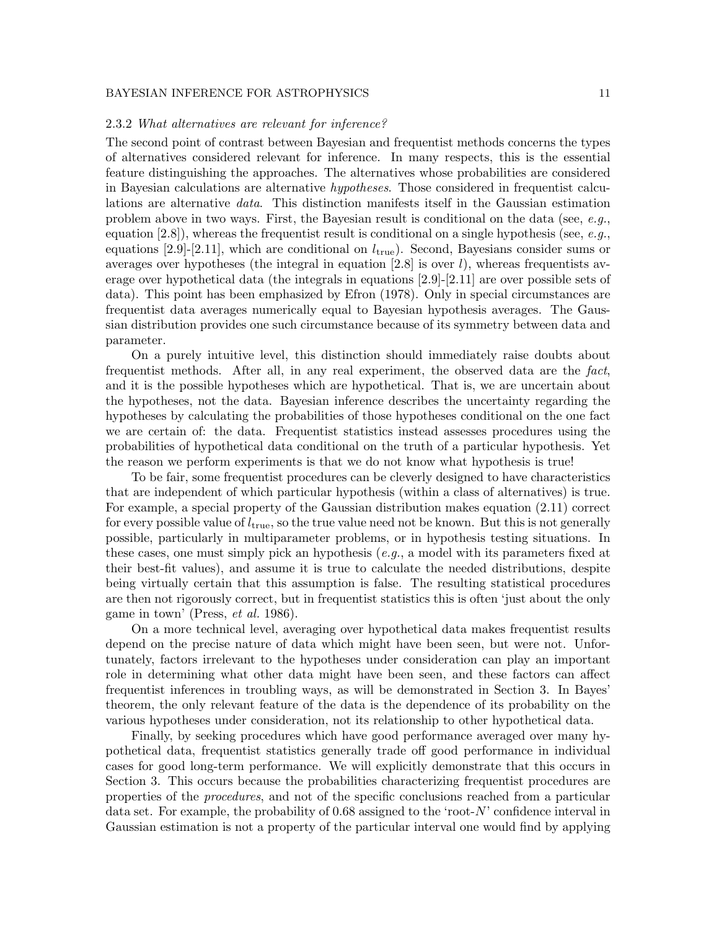#### 2.3.2 What alternatives are relevant for inference?

The second point of contrast between Bayesian and frequentist methods concerns the types of alternatives considered relevant for inference. In many respects, this is the essential feature distinguishing the approaches. The alternatives whose probabilities are considered in Bayesian calculations are alternative hypotheses. Those considered in frequentist calculations are alternative data. This distinction manifests itself in the Gaussian estimation problem above in two ways. First, the Bayesian result is conditional on the data (see,  $e.g.,$ equation  $[2.8]$ ), whereas the frequentist result is conditional on a single hypothesis (see, e.g., equations [2.9]-[2.11], which are conditional on  $l_{\text{true}}$ ). Second, Bayesians consider sums or averages over hypotheses (the integral in equation  $[2.8]$  is over l), whereas frequentists average over hypothetical data (the integrals in equations [2.9]-[2.11] are over possible sets of data). This point has been emphasized by Efron (1978). Only in special circumstances are frequentist data averages numerically equal to Bayesian hypothesis averages. The Gaussian distribution provides one such circumstance because of its symmetry between data and parameter.

On a purely intuitive level, this distinction should immediately raise doubts about frequentist methods. After all, in any real experiment, the observed data are the fact, and it is the possible hypotheses which are hypothetical. That is, we are uncertain about the hypotheses, not the data. Bayesian inference describes the uncertainty regarding the hypotheses by calculating the probabilities of those hypotheses conditional on the one fact we are certain of: the data. Frequentist statistics instead assesses procedures using the probabilities of hypothetical data conditional on the truth of a particular hypothesis. Yet the reason we perform experiments is that we do not know what hypothesis is true!

To be fair, some frequentist procedures can be cleverly designed to have characteristics that are independent of which particular hypothesis (within a class of alternatives) is true. For example, a special property of the Gaussian distribution makes equation (2.11) correct for every possible value of  $l_{true}$ , so the true value need not be known. But this is not generally possible, particularly in multiparameter problems, or in hypothesis testing situations. In these cases, one must simply pick an hypothesis  $(e.g., a model with its parameters fixed at$ their best-fit values), and assume it is true to calculate the needed distributions, despite being virtually certain that this assumption is false. The resulting statistical procedures are then not rigorously correct, but in frequentist statistics this is often 'just about the only game in town' (Press, et al. 1986).

On a more technical level, averaging over hypothetical data makes frequentist results depend on the precise nature of data which might have been seen, but were not. Unfortunately, factors irrelevant to the hypotheses under consideration can play an important role in determining what other data might have been seen, and these factors can affect frequentist inferences in troubling ways, as will be demonstrated in Section 3. In Bayes' theorem, the only relevant feature of the data is the dependence of its probability on the various hypotheses under consideration, not its relationship to other hypothetical data.

Finally, by seeking procedures which have good performance averaged over many hypothetical data, frequentist statistics generally trade off good performance in individual cases for good long-term performance. We will explicitly demonstrate that this occurs in Section 3. This occurs because the probabilities characterizing frequentist procedures are properties of the procedures, and not of the specific conclusions reached from a particular data set. For example, the probability of 0.68 assigned to the 'root-N' confidence interval in Gaussian estimation is not a property of the particular interval one would find by applying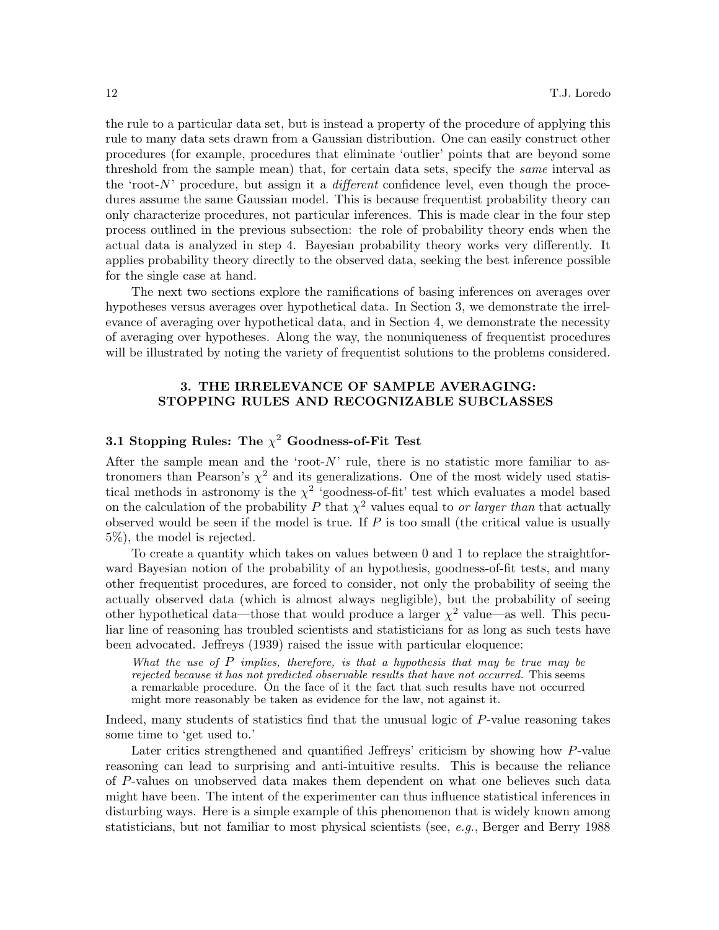the rule to a particular data set, but is instead a property of the procedure of applying this rule to many data sets drawn from a Gaussian distribution. One can easily construct other procedures (for example, procedures that eliminate 'outlier' points that are beyond some threshold from the sample mean) that, for certain data sets, specify the same interval as the 'root- $N$ ' procedure, but assign it a *different* confidence level, even though the procedures assume the same Gaussian model. This is because frequentist probability theory can only characterize procedures, not particular inferences. This is made clear in the four step process outlined in the previous subsection: the role of probability theory ends when the actual data is analyzed in step 4. Bayesian probability theory works very differently. It applies probability theory directly to the observed data, seeking the best inference possible for the single case at hand.

The next two sections explore the ramifications of basing inferences on averages over hypotheses versus averages over hypothetical data. In Section 3, we demonstrate the irrelevance of averaging over hypothetical data, and in Section 4, we demonstrate the necessity of averaging over hypotheses. Along the way, the nonuniqueness of frequentist procedures will be illustrated by noting the variety of frequentist solutions to the problems considered.

# 3. THE IRRELEVANCE OF SAMPLE AVERAGING: STOPPING RULES AND RECOGNIZABLE SUBCLASSES

# 3.1 Stopping Rules: The  $\chi^2$  Goodness-of-Fit Test

After the sample mean and the 'root- $N$ ' rule, there is no statistic more familiar to astronomers than Pearson's  $\chi^2$  and its generalizations. One of the most widely used statistical methods in astronomy is the  $\chi^2$  'goodness-of-fit' test which evaluates a model based on the calculation of the probability P that  $\chi^2$  values equal to *or larger than* that actually observed would be seen if the model is true. If  $P$  is too small (the critical value is usually 5%), the model is rejected.

To create a quantity which takes on values between 0 and 1 to replace the straightforward Bayesian notion of the probability of an hypothesis, goodness-of-fit tests, and many other frequentist procedures, are forced to consider, not only the probability of seeing the actually observed data (which is almost always negligible), but the probability of seeing other hypothetical data—those that would produce a larger  $\chi^2$  value—as well. This peculiar line of reasoning has troubled scientists and statisticians for as long as such tests have been advocated. Jeffreys (1939) raised the issue with particular eloquence:

What the use of  $P$  implies, therefore, is that a hypothesis that may be true may be rejected because it has not predicted observable results that have not occurred. This seems a remarkable procedure. On the face of it the fact that such results have not occurred might more reasonably be taken as evidence for the law, not against it.

Indeed, many students of statistics find that the unusual logic of P-value reasoning takes some time to 'get used to.'

Later critics strengthened and quantified Jeffreys' criticism by showing how P-value reasoning can lead to surprising and anti-intuitive results. This is because the reliance of P-values on unobserved data makes them dependent on what one believes such data might have been. The intent of the experimenter can thus influence statistical inferences in disturbing ways. Here is a simple example of this phenomenon that is widely known among statisticians, but not familiar to most physical scientists (see, e.g., Berger and Berry 1988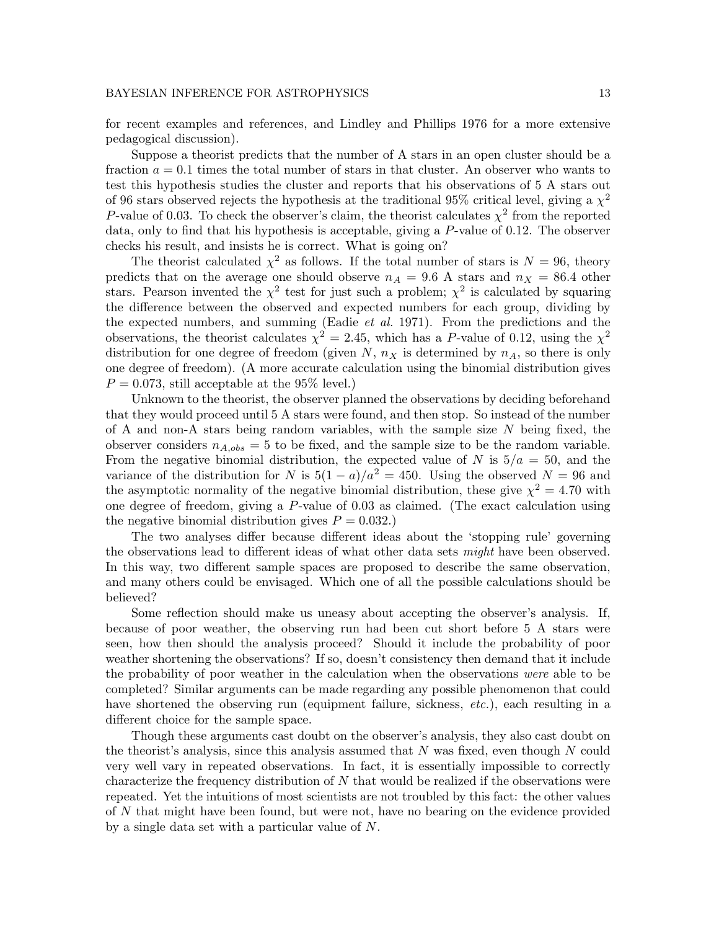for recent examples and references, and Lindley and Phillips 1976 for a more extensive pedagogical discussion).

Suppose a theorist predicts that the number of A stars in an open cluster should be a fraction  $a = 0.1$  times the total number of stars in that cluster. An observer who wants to test this hypothesis studies the cluster and reports that his observations of 5 A stars out of 96 stars observed rejects the hypothesis at the traditional 95% critical level, giving a  $\chi^2$ P-value of 0.03. To check the observer's claim, the theorist calculates  $\chi^2$  from the reported data, only to find that his hypothesis is acceptable, giving a P-value of 0.12. The observer checks his result, and insists he is correct. What is going on?

The theorist calculated  $\chi^2$  as follows. If the total number of stars is  $N = 96$ , theory predicts that on the average one should observe  $n_A = 9.6$  A stars and  $n_X = 86.4$  other stars. Pearson invented the  $\chi^2$  test for just such a problem;  $\chi^2$  is calculated by squaring the difference between the observed and expected numbers for each group, dividing by the expected numbers, and summing (Eadie et al. 1971). From the predictions and the observations, the theorist calculates  $\chi^2 = 2.45$ , which has a P-value of 0.12, using the  $\chi^2$ distribution for one degree of freedom (given  $N$ ,  $n_X$  is determined by  $n_A$ , so there is only one degree of freedom). (A more accurate calculation using the binomial distribution gives  $P = 0.073$ , still acceptable at the 95% level.)

Unknown to the theorist, the observer planned the observations by deciding beforehand that they would proceed until 5 A stars were found, and then stop. So instead of the number of A and non-A stars being random variables, with the sample size  $N$  being fixed, the observer considers  $n_{A,obs} = 5$  to be fixed, and the sample size to be the random variable. From the negative binomial distribution, the expected value of N is  $5/a = 50$ , and the variance of the distribution for N is  $5(1 - a)/a^2 = 450$ . Using the observed  $N = 96$  and the asymptotic normality of the negative binomial distribution, these give  $\chi^2 = 4.70$  with one degree of freedom, giving a P-value of 0.03 as claimed. (The exact calculation using the negative binomial distribution gives  $P = 0.032$ .)

The two analyses differ because different ideas about the 'stopping rule' governing the observations lead to different ideas of what other data sets *might* have been observed. In this way, two different sample spaces are proposed to describe the same observation, and many others could be envisaged. Which one of all the possible calculations should be believed?

Some reflection should make us uneasy about accepting the observer's analysis. If, because of poor weather, the observing run had been cut short before 5 A stars were seen, how then should the analysis proceed? Should it include the probability of poor weather shortening the observations? If so, doesn't consistency then demand that it include the probability of poor weather in the calculation when the observations were able to be completed? Similar arguments can be made regarding any possible phenomenon that could have shortened the observing run (equipment failure, sickness, *etc.*), each resulting in a different choice for the sample space.

Though these arguments cast doubt on the observer's analysis, they also cast doubt on the theorist's analysis, since this analysis assumed that  $N$  was fixed, even though  $N$  could very well vary in repeated observations. In fact, it is essentially impossible to correctly characterize the frequency distribution of  $N$  that would be realized if the observations were repeated. Yet the intuitions of most scientists are not troubled by this fact: the other values of N that might have been found, but were not, have no bearing on the evidence provided by a single data set with a particular value of N.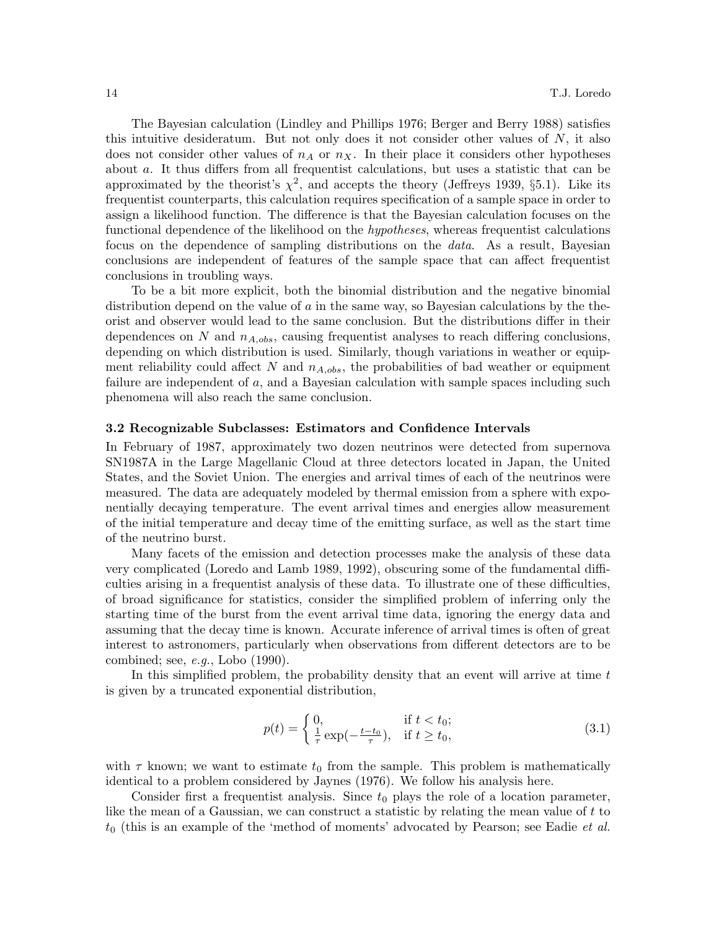The Bayesian calculation (Lindley and Phillips 1976; Berger and Berry 1988) satisfies this intuitive desideratum. But not only does it not consider other values of  $N$ , it also does not consider other values of  $n_A$  or  $n_X$ . In their place it considers other hypotheses about a. It thus differs from all frequentist calculations, but uses a statistic that can be approximated by the theorist's  $\chi^2$ , and accepts the theory (Jeffreys 1939, §5.1). Like its frequentist counterparts, this calculation requires specification of a sample space in order to assign a likelihood function. The difference is that the Bayesian calculation focuses on the functional dependence of the likelihood on the *hypotheses*, whereas frequentist calculations focus on the dependence of sampling distributions on the data. As a result, Bayesian conclusions are independent of features of the sample space that can affect frequentist conclusions in troubling ways.

To be a bit more explicit, both the binomial distribution and the negative binomial distribution depend on the value of a in the same way, so Bayesian calculations by the theorist and observer would lead to the same conclusion. But the distributions differ in their dependences on N and  $n_{A,obs}$ , causing frequentist analyses to reach differing conclusions, depending on which distribution is used. Similarly, though variations in weather or equipment reliability could affect N and  $n_{A,obs}$ , the probabilities of bad weather or equipment failure are independent of a, and a Bayesian calculation with sample spaces including such phenomena will also reach the same conclusion.

#### 3.2 Recognizable Subclasses: Estimators and Confidence Intervals

In February of 1987, approximately two dozen neutrinos were detected from supernova SN1987A in the Large Magellanic Cloud at three detectors located in Japan, the United States, and the Soviet Union. The energies and arrival times of each of the neutrinos were measured. The data are adequately modeled by thermal emission from a sphere with exponentially decaying temperature. The event arrival times and energies allow measurement of the initial temperature and decay time of the emitting surface, as well as the start time of the neutrino burst.

Many facets of the emission and detection processes make the analysis of these data very complicated (Loredo and Lamb 1989, 1992), obscuring some of the fundamental difficulties arising in a frequentist analysis of these data. To illustrate one of these difficulties, of broad significance for statistics, consider the simplified problem of inferring only the starting time of the burst from the event arrival time data, ignoring the energy data and assuming that the decay time is known. Accurate inference of arrival times is often of great interest to astronomers, particularly when observations from different detectors are to be combined; see, e.g., Lobo (1990).

In this simplified problem, the probability density that an event will arrive at time  $t$ is given by a truncated exponential distribution,

$$
p(t) = \begin{cases} 0, & \text{if } t < t_0; \\ \frac{1}{\tau} \exp(-\frac{t - t_0}{\tau}), & \text{if } t \ge t_0, \end{cases}
$$
(3.1)

with  $\tau$  known; we want to estimate  $t_0$  from the sample. This problem is mathematically identical to a problem considered by Jaynes (1976). We follow his analysis here.

Consider first a frequentist analysis. Since  $t_0$  plays the role of a location parameter, like the mean of a Gaussian, we can construct a statistic by relating the mean value of t to  $t_0$  (this is an example of the 'method of moments' advocated by Pearson; see Eadie *et al.*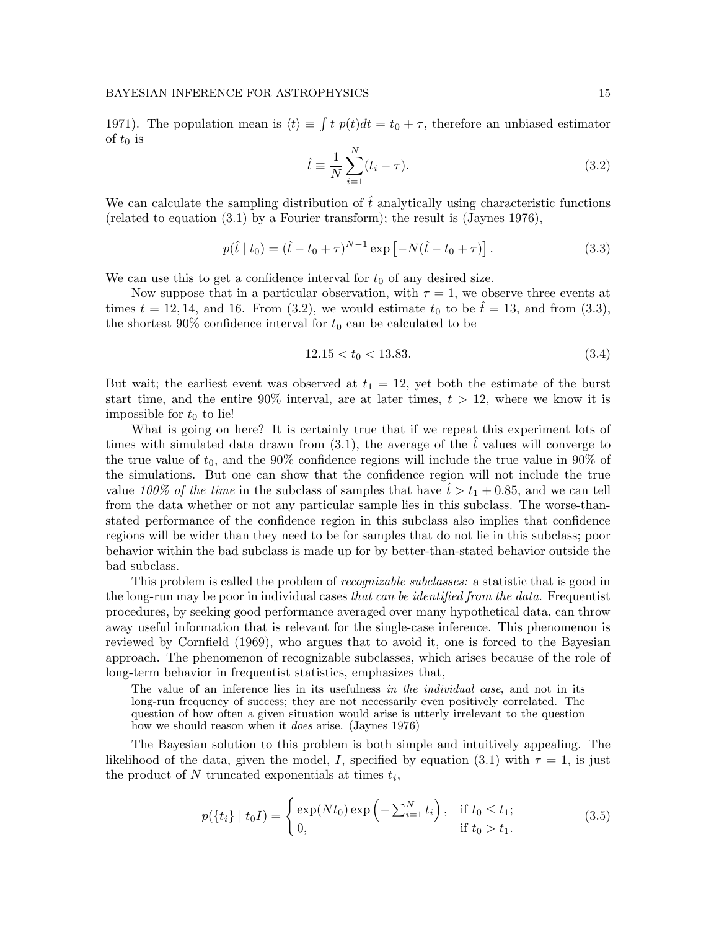1971). The population mean is  $\langle t \rangle \equiv \int t \, p(t) dt = t_0 + \tau$ , therefore an unbiased estimator of  $t_0$  is

$$
\hat{t} \equiv \frac{1}{N} \sum_{i=1}^{N} (t_i - \tau). \tag{3.2}
$$

We can calculate the sampling distribution of  $\hat{t}$  analytically using characteristic functions (related to equation (3.1) by a Fourier transform); the result is (Jaynes 1976),

$$
p(\hat{t} \mid t_0) = (\hat{t} - t_0 + \tau)^{N-1} \exp\left[-N(\hat{t} - t_0 + \tau)\right].
$$
 (3.3)

We can use this to get a confidence interval for  $t_0$  of any desired size.

Now suppose that in a particular observation, with  $\tau = 1$ , we observe three events at times  $t = 12, 14$ , and 16. From (3.2), we would estimate  $t_0$  to be  $\hat{t} = 13$ , and from (3.3), the shortest 90% confidence interval for  $t_0$  can be calculated to be

$$
12.15 < t_0 < 13.83. \tag{3.4}
$$

But wait; the earliest event was observed at  $t_1 = 12$ , yet both the estimate of the burst start time, and the entire  $90\%$  interval, are at later times,  $t > 12$ , where we know it is impossible for  $t_0$  to lie!

What is going on here? It is certainly true that if we repeat this experiment lots of times with simulated data drawn from  $(3.1)$ , the average of the  $\hat{t}$  values will converge to the true value of  $t_0$ , and the 90% confidence regions will include the true value in 90% of the simulations. But one can show that the confidence region will not include the true value 100% of the time in the subclass of samples that have  $\hat{t} > t_1 + 0.85$ , and we can tell from the data whether or not any particular sample lies in this subclass. The worse-thanstated performance of the confidence region in this subclass also implies that confidence regions will be wider than they need to be for samples that do not lie in this subclass; poor behavior within the bad subclass is made up for by better-than-stated behavior outside the bad subclass.

This problem is called the problem of *recognizable subclasses*: a statistic that is good in the long-run may be poor in individual cases that can be identified from the data. Frequentist procedures, by seeking good performance averaged over many hypothetical data, can throw away useful information that is relevant for the single-case inference. This phenomenon is reviewed by Cornfield (1969), who argues that to avoid it, one is forced to the Bayesian approach. The phenomenon of recognizable subclasses, which arises because of the role of long-term behavior in frequentist statistics, emphasizes that,

The value of an inference lies in its usefulness in the *individual case*, and not in its long-run frequency of success; they are not necessarily even positively correlated. The question of how often a given situation would arise is utterly irrelevant to the question how we should reason when it *does* arise. (Jaynes 1976)

The Bayesian solution to this problem is both simple and intuitively appealing. The likelihood of the data, given the model, I, specified by equation (3.1) with  $\tau = 1$ , is just the product of  $N$  truncated exponentials at times  $t_i$ ,

$$
p({ti} | t0I) = \begin{cases} \exp(Nt_0) \exp(-\sum_{i=1}^{N} t_i), & \text{if } t_0 \le t_1; \\ 0, & \text{if } t_0 > t_1. \end{cases}
$$
 (3.5)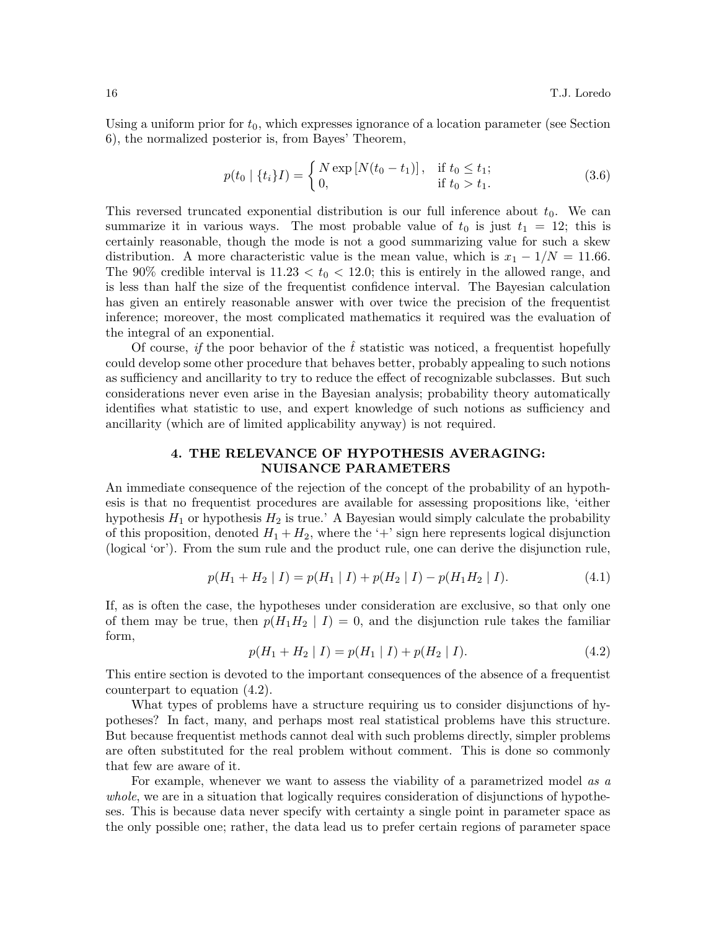Using a uniform prior for  $t_0$ , which expresses ignorance of a location parameter (see Section 6), the normalized posterior is, from Bayes' Theorem,

$$
p(t_0 \mid \{t_i\}I) = \begin{cases} N \exp[N(t_0 - t_1)], & \text{if } t_0 \le t_1; \\ 0, & \text{if } t_0 > t_1. \end{cases}
$$
 (3.6)

This reversed truncated exponential distribution is our full inference about  $t_0$ . We can summarize it in various ways. The most probable value of  $t_0$  is just  $t_1 = 12$ ; this is certainly reasonable, though the mode is not a good summarizing value for such a skew distribution. A more characteristic value is the mean value, which is  $x_1 - 1/N = 11.66$ . The 90% credible interval is  $11.23 < t_0 < 12.0$ ; this is entirely in the allowed range, and is less than half the size of the frequentist confidence interval. The Bayesian calculation has given an entirely reasonable answer with over twice the precision of the frequentist inference; moreover, the most complicated mathematics it required was the evaluation of the integral of an exponential.

Of course, if the poor behavior of the  $\hat{t}$  statistic was noticed, a frequentist hopefully could develop some other procedure that behaves better, probably appealing to such notions as sufficiency and ancillarity to try to reduce the effect of recognizable subclasses. But such considerations never even arise in the Bayesian analysis; probability theory automatically identifies what statistic to use, and expert knowledge of such notions as sufficiency and ancillarity (which are of limited applicability anyway) is not required.

# 4. THE RELEVANCE OF HYPOTHESIS AVERAGING: NUISANCE PARAMETERS

An immediate consequence of the rejection of the concept of the probability of an hypothesis is that no frequentist procedures are available for assessing propositions like, 'either hypothesis  $H_1$  or hypothesis  $H_2$  is true.' A Bayesian would simply calculate the probability of this proposition, denoted  $H_1 + H_2$ , where the '+' sign here represents logical disjunction (logical 'or'). From the sum rule and the product rule, one can derive the disjunction rule,

$$
p(H_1 + H_2 | I) = p(H_1 | I) + p(H_2 | I) - p(H_1 H_2 | I). \tag{4.1}
$$

If, as is often the case, the hypotheses under consideration are exclusive, so that only one of them may be true, then  $p(H_1H_2 | I) = 0$ , and the disjunction rule takes the familiar form,

$$
p(H_1 + H_2 | I) = p(H_1 | I) + p(H_2 | I). \tag{4.2}
$$

This entire section is devoted to the important consequences of the absence of a frequentist counterpart to equation (4.2).

What types of problems have a structure requiring us to consider disjunctions of hypotheses? In fact, many, and perhaps most real statistical problems have this structure. But because frequentist methods cannot deal with such problems directly, simpler problems are often substituted for the real problem without comment. This is done so commonly that few are aware of it.

For example, whenever we want to assess the viability of a parametrized model as a whole, we are in a situation that logically requires consideration of disjunctions of hypotheses. This is because data never specify with certainty a single point in parameter space as the only possible one; rather, the data lead us to prefer certain regions of parameter space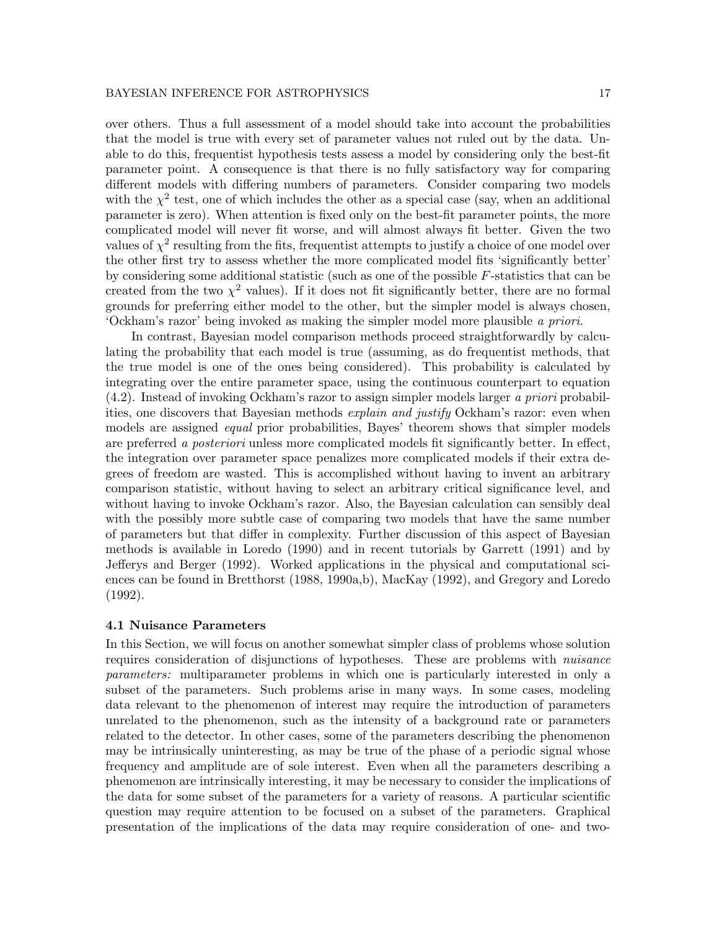over others. Thus a full assessment of a model should take into account the probabilities that the model is true with every set of parameter values not ruled out by the data. Unable to do this, frequentist hypothesis tests assess a model by considering only the best-fit parameter point. A consequence is that there is no fully satisfactory way for comparing different models with differing numbers of parameters. Consider comparing two models with the  $\chi^2$  test, one of which includes the other as a special case (say, when an additional parameter is zero). When attention is fixed only on the best-fit parameter points, the more complicated model will never fit worse, and will almost always fit better. Given the two values of  $\chi^2$  resulting from the fits, frequentist attempts to justify a choice of one model over the other first try to assess whether the more complicated model fits 'significantly better' by considering some additional statistic (such as one of the possible  $F$ -statistics that can be created from the two  $\chi^2$  values). If it does not fit significantly better, there are no formal grounds for preferring either model to the other, but the simpler model is always chosen, 'Ockham's razor' being invoked as making the simpler model more plausible a priori.

In contrast, Bayesian model comparison methods proceed straightforwardly by calculating the probability that each model is true (assuming, as do frequentist methods, that the true model is one of the ones being considered). This probability is calculated by integrating over the entire parameter space, using the continuous counterpart to equation (4.2). Instead of invoking Ockham's razor to assign simpler models larger a priori probabilities, one discovers that Bayesian methods *explain and justify* Ockham's razor: even when models are assigned *equal* prior probabilities, Bayes' theorem shows that simpler models are preferred a posteriori unless more complicated models fit significantly better. In effect, the integration over parameter space penalizes more complicated models if their extra degrees of freedom are wasted. This is accomplished without having to invent an arbitrary comparison statistic, without having to select an arbitrary critical significance level, and without having to invoke Ockham's razor. Also, the Bayesian calculation can sensibly deal with the possibly more subtle case of comparing two models that have the same number of parameters but that differ in complexity. Further discussion of this aspect of Bayesian methods is available in Loredo (1990) and in recent tutorials by Garrett (1991) and by Jefferys and Berger (1992). Worked applications in the physical and computational sciences can be found in Bretthorst (1988, 1990a,b), MacKay (1992), and Gregory and Loredo (1992).

#### 4.1 Nuisance Parameters

In this Section, we will focus on another somewhat simpler class of problems whose solution requires consideration of disjunctions of hypotheses. These are problems with *nuisance* parameters: multiparameter problems in which one is particularly interested in only a subset of the parameters. Such problems arise in many ways. In some cases, modeling data relevant to the phenomenon of interest may require the introduction of parameters unrelated to the phenomenon, such as the intensity of a background rate or parameters related to the detector. In other cases, some of the parameters describing the phenomenon may be intrinsically uninteresting, as may be true of the phase of a periodic signal whose frequency and amplitude are of sole interest. Even when all the parameters describing a phenomenon are intrinsically interesting, it may be necessary to consider the implications of the data for some subset of the parameters for a variety of reasons. A particular scientific question may require attention to be focused on a subset of the parameters. Graphical presentation of the implications of the data may require consideration of one- and two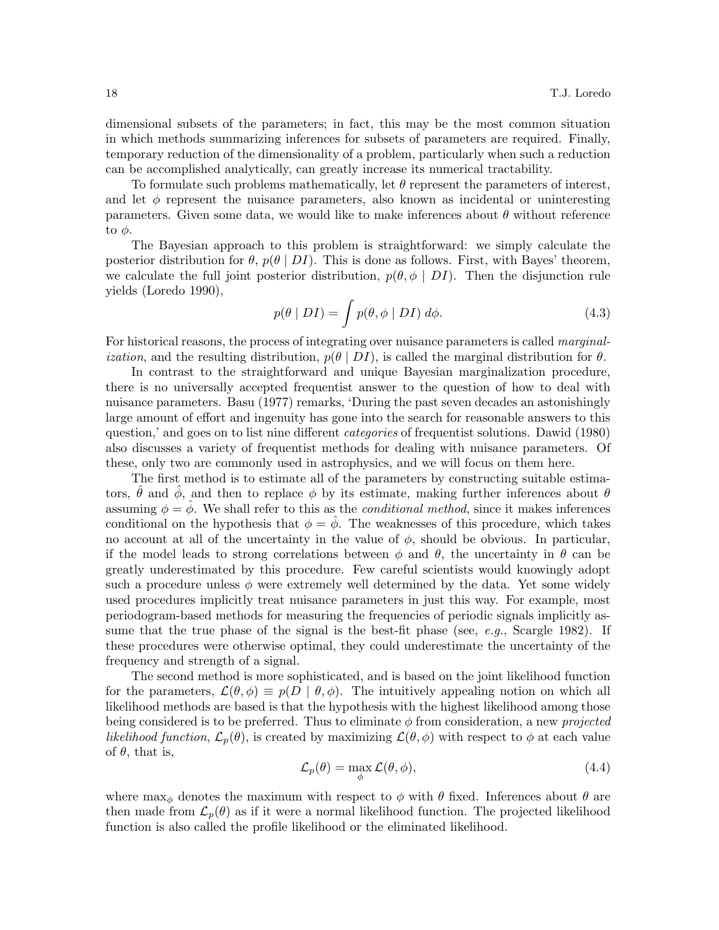dimensional subsets of the parameters; in fact, this may be the most common situation in which methods summarizing inferences for subsets of parameters are required. Finally, temporary reduction of the dimensionality of a problem, particularly when such a reduction can be accomplished analytically, can greatly increase its numerical tractability.

To formulate such problems mathematically, let  $\theta$  represent the parameters of interest, and let  $\phi$  represent the nuisance parameters, also known as incidental or uninteresting parameters. Given some data, we would like to make inferences about  $\theta$  without reference to  $φ$ .

The Bayesian approach to this problem is straightforward: we simply calculate the posterior distribution for  $\theta$ ,  $p(\theta | DI)$ . This is done as follows. First, with Bayes' theorem, we calculate the full joint posterior distribution,  $p(\theta, \phi \mid DI)$ . Then the disjunction rule yields (Loredo 1990),

$$
p(\theta | DI) = \int p(\theta, \phi | DI) d\phi.
$$
 (4.3)

For historical reasons, the process of integrating over nuisance parameters is called *marginal*ization, and the resulting distribution,  $p(\theta | DI)$ , is called the marginal distribution for  $\theta$ .

In contrast to the straightforward and unique Bayesian marginalization procedure, there is no universally accepted frequentist answer to the question of how to deal with nuisance parameters. Basu (1977) remarks, 'During the past seven decades an astonishingly large amount of effort and ingenuity has gone into the search for reasonable answers to this question,' and goes on to list nine different *categories* of frequentist solutions. Dawid (1980) also discusses a variety of frequentist methods for dealing with nuisance parameters. Of these, only two are commonly used in astrophysics, and we will focus on them here.

The first method is to estimate all of the parameters by constructing suitable estimators,  $\hat{\theta}$  and  $\hat{\phi}$ , and then to replace  $\phi$  by its estimate, making further inferences about  $\theta$ assuming  $\phi = \hat{\phi}$ . We shall refer to this as the *conditional method*, since it makes inferences conditional on the hypothesis that  $\phi = \phi$ . The weaknesses of this procedure, which takes no account at all of the uncertainty in the value of  $\phi$ , should be obvious. In particular, if the model leads to strong correlations between  $\phi$  and  $\theta$ , the uncertainty in  $\theta$  can be greatly underestimated by this procedure. Few careful scientists would knowingly adopt such a procedure unless  $\phi$  were extremely well determined by the data. Yet some widely used procedures implicitly treat nuisance parameters in just this way. For example, most periodogram-based methods for measuring the frequencies of periodic signals implicitly assume that the true phase of the signal is the best-fit phase (see,  $e.g.,$  Scargle 1982). If these procedures were otherwise optimal, they could underestimate the uncertainty of the frequency and strength of a signal.

The second method is more sophisticated, and is based on the joint likelihood function for the parameters,  $\mathcal{L}(\theta, \phi) \equiv p(D \mid \theta, \phi)$ . The intuitively appealing notion on which all likelihood methods are based is that the hypothesis with the highest likelihood among those being considered is to be preferred. Thus to eliminate  $\phi$  from consideration, a new projected likelihood function,  $\mathcal{L}_p(\theta)$ , is created by maximizing  $\mathcal{L}(\theta, \phi)$  with respect to  $\phi$  at each value of  $\theta$ , that is,

$$
\mathcal{L}_p(\theta) = \max_{\phi} \mathcal{L}(\theta, \phi),\tag{4.4}
$$

where  $\max_{\phi}$  denotes the maximum with respect to  $\phi$  with  $\theta$  fixed. Inferences about  $\theta$  are then made from  $\mathcal{L}_p(\theta)$  as if it were a normal likelihood function. The projected likelihood function is also called the profile likelihood or the eliminated likelihood.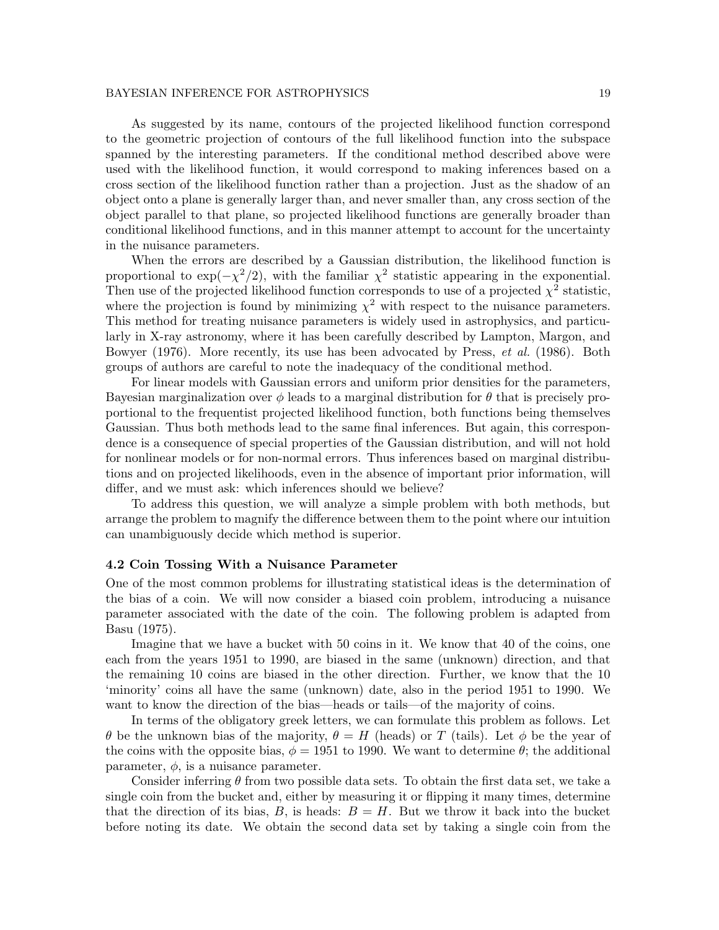As suggested by its name, contours of the projected likelihood function correspond to the geometric projection of contours of the full likelihood function into the subspace spanned by the interesting parameters. If the conditional method described above were used with the likelihood function, it would correspond to making inferences based on a cross section of the likelihood function rather than a projection. Just as the shadow of an object onto a plane is generally larger than, and never smaller than, any cross section of the object parallel to that plane, so projected likelihood functions are generally broader than conditional likelihood functions, and in this manner attempt to account for the uncertainty in the nuisance parameters.

When the errors are described by a Gaussian distribution, the likelihood function is proportional to  $\exp(-\chi^2/2)$ , with the familiar  $\chi^2$  statistic appearing in the exponential. Then use of the projected likelihood function corresponds to use of a projected  $\chi^2$  statistic, where the projection is found by minimizing  $\chi^2$  with respect to the nuisance parameters. This method for treating nuisance parameters is widely used in astrophysics, and particularly in X-ray astronomy, where it has been carefully described by Lampton, Margon, and Bowyer (1976). More recently, its use has been advocated by Press, *et al.* (1986). Both groups of authors are careful to note the inadequacy of the conditional method.

For linear models with Gaussian errors and uniform prior densities for the parameters, Bayesian marginalization over  $\phi$  leads to a marginal distribution for  $\theta$  that is precisely proportional to the frequentist projected likelihood function, both functions being themselves Gaussian. Thus both methods lead to the same final inferences. But again, this correspondence is a consequence of special properties of the Gaussian distribution, and will not hold for nonlinear models or for non-normal errors. Thus inferences based on marginal distributions and on projected likelihoods, even in the absence of important prior information, will differ, and we must ask: which inferences should we believe?

To address this question, we will analyze a simple problem with both methods, but arrange the problem to magnify the difference between them to the point where our intuition can unambiguously decide which method is superior.

#### 4.2 Coin Tossing With a Nuisance Parameter

One of the most common problems for illustrating statistical ideas is the determination of the bias of a coin. We will now consider a biased coin problem, introducing a nuisance parameter associated with the date of the coin. The following problem is adapted from Basu (1975).

Imagine that we have a bucket with 50 coins in it. We know that 40 of the coins, one each from the years 1951 to 1990, are biased in the same (unknown) direction, and that the remaining 10 coins are biased in the other direction. Further, we know that the 10 'minority' coins all have the same (unknown) date, also in the period 1951 to 1990. We want to know the direction of the bias—heads or tails—of the majority of coins.

In terms of the obligatory greek letters, we can formulate this problem as follows. Let θ be the unknown bias of the majority,  $θ = H$  (heads) or T (tails). Let φ be the year of the coins with the opposite bias,  $\phi = 1951$  to 1990. We want to determine  $\theta$ ; the additional parameter,  $\phi$ , is a nuisance parameter.

Consider inferring  $\theta$  from two possible data sets. To obtain the first data set, we take a single coin from the bucket and, either by measuring it or flipping it many times, determine that the direction of its bias,  $B$ , is heads:  $B = H$ . But we throw it back into the bucket before noting its date. We obtain the second data set by taking a single coin from the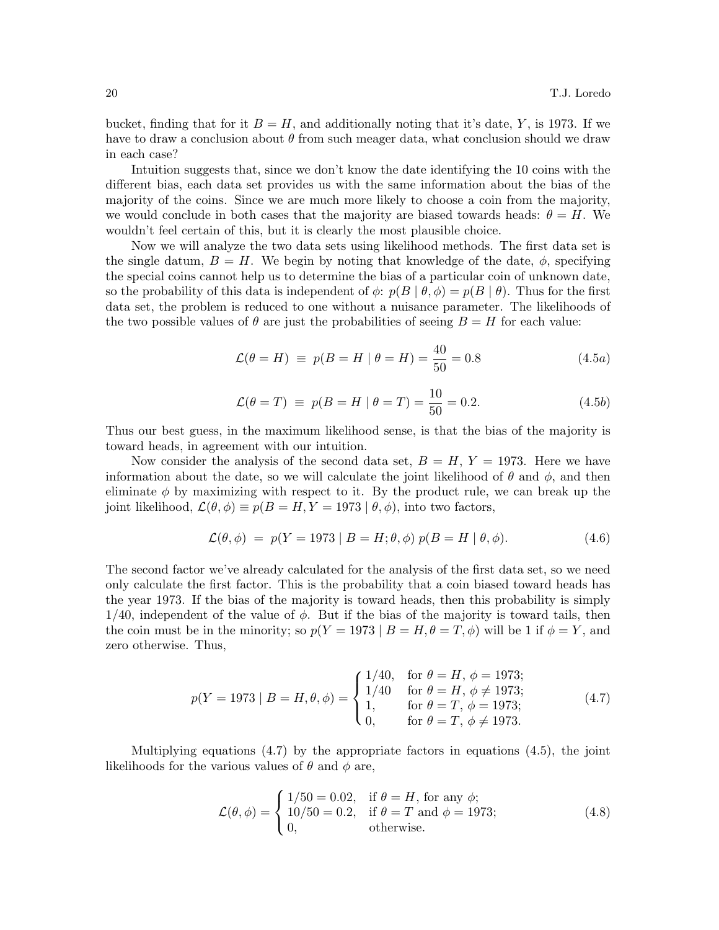bucket, finding that for it  $B = H$ , and additionally noting that it's date, Y, is 1973. If we have to draw a conclusion about  $\theta$  from such meager data, what conclusion should we draw in each case?

Intuition suggests that, since we don't know the date identifying the 10 coins with the different bias, each data set provides us with the same information about the bias of the majority of the coins. Since we are much more likely to choose a coin from the majority, we would conclude in both cases that the majority are biased towards heads:  $\theta = H$ . We wouldn't feel certain of this, but it is clearly the most plausible choice.

Now we will analyze the two data sets using likelihood methods. The first data set is the single datum,  $B = H$ . We begin by noting that knowledge of the date,  $\phi$ , specifying the special coins cannot help us to determine the bias of a particular coin of unknown date, so the probability of this data is independent of  $\phi$ :  $p(B | \theta, \phi) = p(B | \theta)$ . Thus for the first data set, the problem is reduced to one without a nuisance parameter. The likelihoods of the two possible values of  $\theta$  are just the probabilities of seeing  $B = H$  for each value:

$$
\mathcal{L}(\theta = H) \equiv p(B = H | \theta = H) = \frac{40}{50} = 0.8 \tag{4.5a}
$$

$$
\mathcal{L}(\theta = T) \equiv p(B = H | \theta = T) = \frac{10}{50} = 0.2. \tag{4.5b}
$$

Thus our best guess, in the maximum likelihood sense, is that the bias of the majority is toward heads, in agreement with our intuition.

Now consider the analysis of the second data set,  $B = H, Y = 1973$ . Here we have information about the date, so we will calculate the joint likelihood of  $\theta$  and  $\phi$ , and then eliminate  $\phi$  by maximizing with respect to it. By the product rule, we can break up the joint likelihood,  $\mathcal{L}(\theta, \phi) \equiv p(B = H, Y = 1973 \mid \theta, \phi)$ , into two factors,

$$
\mathcal{L}(\theta,\phi) = p(Y = 1973 \mid B = H; \theta,\phi) p(B = H \mid \theta,\phi). \tag{4.6}
$$

The second factor we've already calculated for the analysis of the first data set, so we need only calculate the first factor. This is the probability that a coin biased toward heads has the year 1973. If the bias of the majority is toward heads, then this probability is simply  $1/40$ , independent of the value of  $\phi$ . But if the bias of the majority is toward tails, then the coin must be in the minority; so  $p(Y = 1973 \mid B = H, \theta = T, \phi)$  will be 1 if  $\phi = Y$ , and zero otherwise. Thus,

$$
p(Y = 1973 | B = H, \theta, \phi) = \begin{cases} 1/40, & \text{for } \theta = H, \phi = 1973; \\ 1/40 & \text{for } \theta = H, \phi \neq 1973; \\ 1, & \text{for } \theta = T, \phi = 1973; \\ 0, & \text{for } \theta = T, \phi \neq 1973. \end{cases}
$$
(4.7)

Multiplying equations (4.7) by the appropriate factors in equations (4.5), the joint likelihoods for the various values of  $\theta$  and  $\phi$  are,

$$
\mathcal{L}(\theta, \phi) = \begin{cases} 1/50 = 0.02, & \text{if } \theta = H, \text{ for any } \phi; \\ 10/50 = 0.2, & \text{if } \theta = T \text{ and } \phi = 1973; \\ 0, & \text{otherwise.} \end{cases}
$$
(4.8)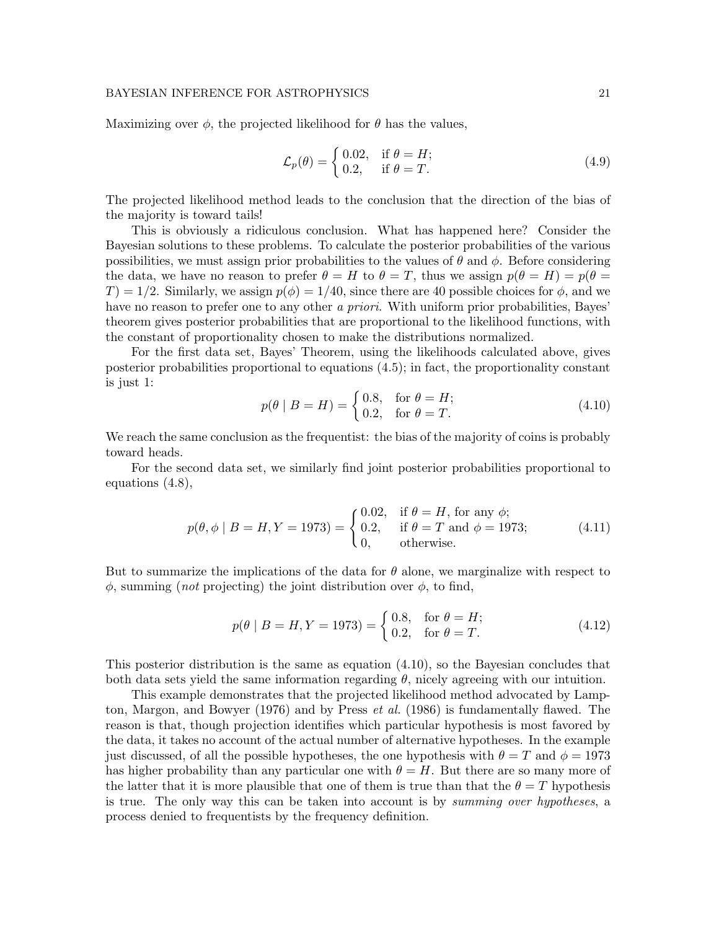Maximizing over  $\phi$ , the projected likelihood for  $\theta$  has the values,

$$
\mathcal{L}_p(\theta) = \begin{cases} 0.02, & \text{if } \theta = H; \\ 0.2, & \text{if } \theta = T. \end{cases}
$$
\n(4.9)

The projected likelihood method leads to the conclusion that the direction of the bias of the majority is toward tails!

This is obviously a ridiculous conclusion. What has happened here? Consider the Bayesian solutions to these problems. To calculate the posterior probabilities of the various possibilities, we must assign prior probabilities to the values of  $\theta$  and  $\phi$ . Before considering the data, we have no reason to prefer  $\theta = H$  to  $\theta = T$ , thus we assign  $p(\theta = H) = p(\theta =$  $T$ ) = 1/2. Similarly, we assign  $p(\phi) = 1/40$ , since there are 40 possible choices for  $\phi$ , and we have no reason to prefer one to any other a priori. With uniform prior probabilities, Bayes' theorem gives posterior probabilities that are proportional to the likelihood functions, with the constant of proportionality chosen to make the distributions normalized.

For the first data set, Bayes' Theorem, using the likelihoods calculated above, gives posterior probabilities proportional to equations (4.5); in fact, the proportionality constant is just 1:

$$
p(\theta \mid B = H) = \begin{cases} 0.8, & \text{for } \theta = H; \\ 0.2, & \text{for } \theta = T. \end{cases} \tag{4.10}
$$

We reach the same conclusion as the frequentist: the bias of the majority of coins is probably toward heads.

For the second data set, we similarly find joint posterior probabilities proportional to equations (4.8),

$$
p(\theta, \phi \mid B = H, Y = 1973) = \begin{cases} 0.02, & \text{if } \theta = H, \text{ for any } \phi; \\ 0.2, & \text{if } \theta = T \text{ and } \phi = 1973; \\ 0, & \text{otherwise.} \end{cases}
$$
(4.11)

But to summarize the implications of the data for  $\theta$  alone, we marginalize with respect to  $\phi$ , summing (*not* projecting) the joint distribution over  $\phi$ , to find,

$$
p(\theta \mid B = H, Y = 1973) = \begin{cases} 0.8, & \text{for } \theta = H; \\ 0.2, & \text{for } \theta = T. \end{cases}
$$
 (4.12)

This posterior distribution is the same as equation (4.10), so the Bayesian concludes that both data sets yield the same information regarding  $\theta$ , nicely agreeing with our intuition.

This example demonstrates that the projected likelihood method advocated by Lampton, Margon, and Bowyer (1976) and by Press et al. (1986) is fundamentally flawed. The reason is that, though projection identifies which particular hypothesis is most favored by the data, it takes no account of the actual number of alternative hypotheses. In the example just discussed, of all the possible hypotheses, the one hypothesis with  $\theta = T$  and  $\phi = 1973$ has higher probability than any particular one with  $\theta = H$ . But there are so many more of the latter that it is more plausible that one of them is true than that the  $\theta = T$  hypothesis is true. The only way this can be taken into account is by summing over hypotheses, a process denied to frequentists by the frequency definition.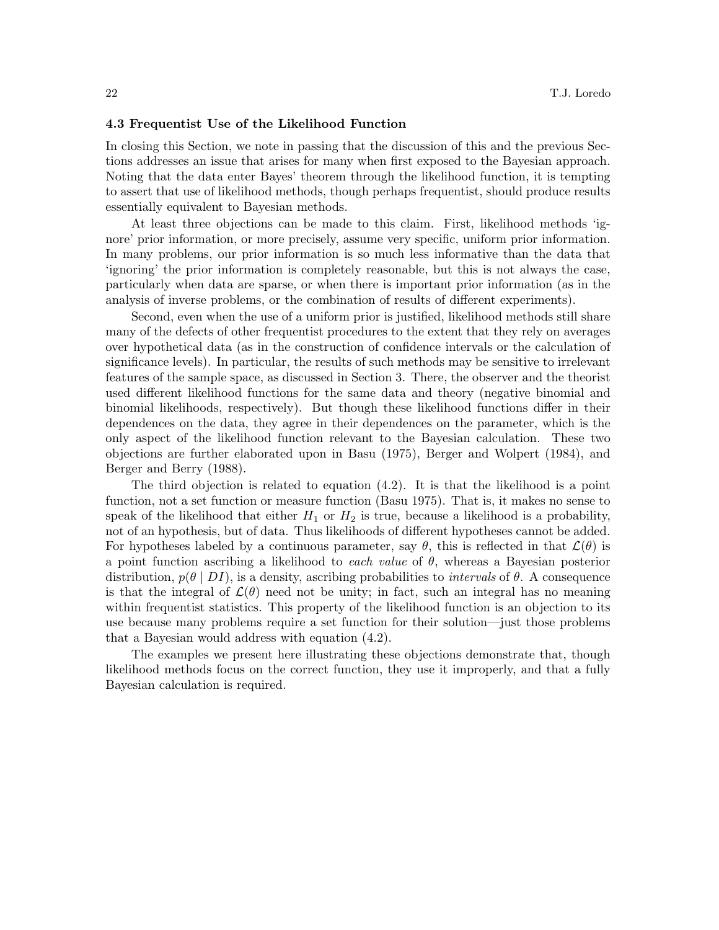#### 4.3 Frequentist Use of the Likelihood Function

In closing this Section, we note in passing that the discussion of this and the previous Sections addresses an issue that arises for many when first exposed to the Bayesian approach. Noting that the data enter Bayes' theorem through the likelihood function, it is tempting to assert that use of likelihood methods, though perhaps frequentist, should produce results essentially equivalent to Bayesian methods.

At least three objections can be made to this claim. First, likelihood methods 'ignore' prior information, or more precisely, assume very specific, uniform prior information. In many problems, our prior information is so much less informative than the data that 'ignoring' the prior information is completely reasonable, but this is not always the case, particularly when data are sparse, or when there is important prior information (as in the analysis of inverse problems, or the combination of results of different experiments).

Second, even when the use of a uniform prior is justified, likelihood methods still share many of the defects of other frequentist procedures to the extent that they rely on averages over hypothetical data (as in the construction of confidence intervals or the calculation of significance levels). In particular, the results of such methods may be sensitive to irrelevant features of the sample space, as discussed in Section 3. There, the observer and the theorist used different likelihood functions for the same data and theory (negative binomial and binomial likelihoods, respectively). But though these likelihood functions differ in their dependences on the data, they agree in their dependences on the parameter, which is the only aspect of the likelihood function relevant to the Bayesian calculation. These two objections are further elaborated upon in Basu (1975), Berger and Wolpert (1984), and Berger and Berry (1988).

The third objection is related to equation (4.2). It is that the likelihood is a point function, not a set function or measure function (Basu 1975). That is, it makes no sense to speak of the likelihood that either  $H_1$  or  $H_2$  is true, because a likelihood is a probability, not of an hypothesis, but of data. Thus likelihoods of different hypotheses cannot be added. For hypotheses labeled by a continuous parameter, say  $\theta$ , this is reflected in that  $\mathcal{L}(\theta)$  is a point function ascribing a likelihood to each value of  $\theta$ , whereas a Bayesian posterior distribution,  $p(\theta | D I)$ , is a density, ascribing probabilities to *intervals* of  $\theta$ . A consequence is that the integral of  $\mathcal{L}(\theta)$  need not be unity; in fact, such an integral has no meaning within frequentist statistics. This property of the likelihood function is an objection to its use because many problems require a set function for their solution—just those problems that a Bayesian would address with equation (4.2).

The examples we present here illustrating these objections demonstrate that, though likelihood methods focus on the correct function, they use it improperly, and that a fully Bayesian calculation is required.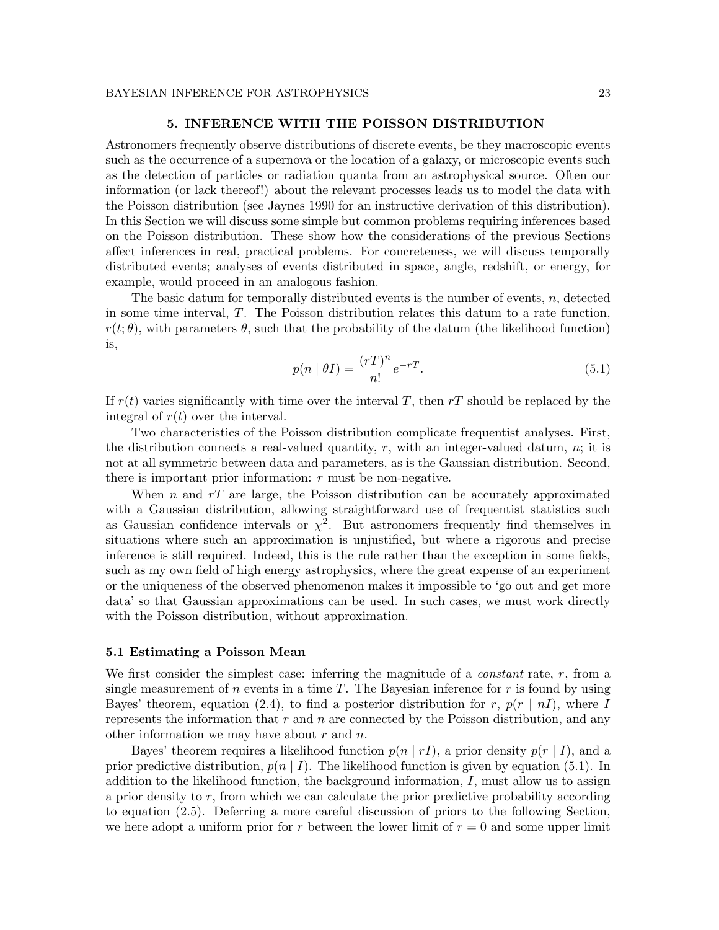## 5. INFERENCE WITH THE POISSON DISTRIBUTION

Astronomers frequently observe distributions of discrete events, be they macroscopic events such as the occurrence of a supernova or the location of a galaxy, or microscopic events such as the detection of particles or radiation quanta from an astrophysical source. Often our information (or lack thereof!) about the relevant processes leads us to model the data with the Poisson distribution (see Jaynes 1990 for an instructive derivation of this distribution). In this Section we will discuss some simple but common problems requiring inferences based on the Poisson distribution. These show how the considerations of the previous Sections affect inferences in real, practical problems. For concreteness, we will discuss temporally distributed events; analyses of events distributed in space, angle, redshift, or energy, for example, would proceed in an analogous fashion.

The basic datum for temporally distributed events is the number of events, n, detected in some time interval, T. The Poisson distribution relates this datum to a rate function,  $r(t; \theta)$ , with parameters  $\theta$ , such that the probability of the datum (the likelihood function) is,

$$
p(n \mid \theta I) = \frac{(rT)^n}{n!} e^{-rT}.
$$
\n(5.1)

If  $r(t)$  varies significantly with time over the interval T, then rT should be replaced by the integral of  $r(t)$  over the interval.

Two characteristics of the Poisson distribution complicate frequentist analyses. First, the distribution connects a real-valued quantity,  $r$ , with an integer-valued datum,  $n$ ; it is not at all symmetric between data and parameters, as is the Gaussian distribution. Second, there is important prior information:  $r$  must be non-negative.

When n and  $rT$  are large, the Poisson distribution can be accurately approximated with a Gaussian distribution, allowing straightforward use of frequentist statistics such as Gaussian confidence intervals or  $\chi^2$ . But astronomers frequently find themselves in situations where such an approximation is unjustified, but where a rigorous and precise inference is still required. Indeed, this is the rule rather than the exception in some fields, such as my own field of high energy astrophysics, where the great expense of an experiment or the uniqueness of the observed phenomenon makes it impossible to 'go out and get more data' so that Gaussian approximations can be used. In such cases, we must work directly with the Poisson distribution, without approximation.

## 5.1 Estimating a Poisson Mean

We first consider the simplest case: inferring the magnitude of a *constant* rate, r, from a single measurement of n events in a time T. The Bayesian inference for  $r$  is found by using Bayes' theorem, equation (2.4), to find a posterior distribution for r,  $p(r \mid nI)$ , where I represents the information that  $r$  and  $n$  are connected by the Poisson distribution, and any other information we may have about  $r$  and  $n$ .

Bayes' theorem requires a likelihood function  $p(n | r)$ , a prior density  $p(r | I)$ , and a prior predictive distribution,  $p(n | I)$ . The likelihood function is given by equation (5.1). In addition to the likelihood function, the background information,  $I$ , must allow us to assign a prior density to r, from which we can calculate the prior predictive probability according to equation (2.5). Deferring a more careful discussion of priors to the following Section, we here adopt a uniform prior for r between the lower limit of  $r = 0$  and some upper limit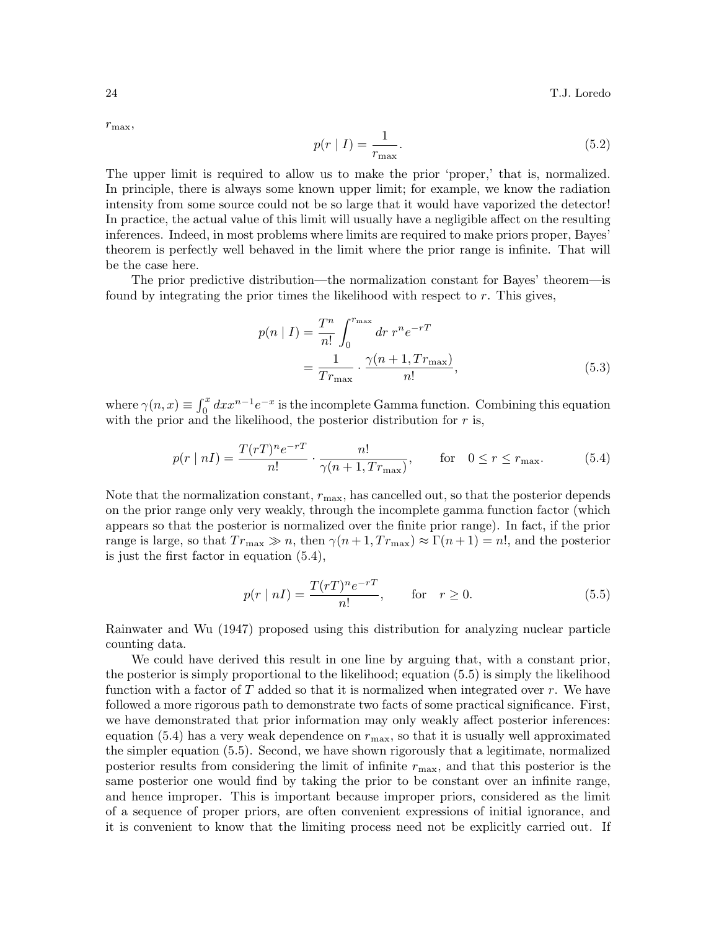$r_{\text{max}},$ 

$$
p(r \mid I) = \frac{1}{r_{\text{max}}}.\tag{5.2}
$$

The upper limit is required to allow us to make the prior 'proper,' that is, normalized. In principle, there is always some known upper limit; for example, we know the radiation intensity from some source could not be so large that it would have vaporized the detector! In practice, the actual value of this limit will usually have a negligible affect on the resulting inferences. Indeed, in most problems where limits are required to make priors proper, Bayes' theorem is perfectly well behaved in the limit where the prior range is infinite. That will be the case here.

The prior predictive distribution—the normalization constant for Bayes' theorem—is found by integrating the prior times the likelihood with respect to r. This gives,

$$
p(n | I) = \frac{T^n}{n!} \int_0^{r_{\text{max}}} dr \, r^n e^{-rT}
$$
  
=  $\frac{1}{Tr_{\text{max}}}$   $\cdot \frac{\gamma(n+1, Tr_{\text{max}})}{n!}$ , (5.3)

where  $\gamma(n,x) \equiv \int_0^x dx x^{n-1} e^{-x}$  is the incomplete Gamma function. Combining this equation with the prior and the likelihood, the posterior distribution for  $r$  is,

$$
p(r \mid n) = \frac{T(rT)^n e^{-rT}}{n!} \cdot \frac{n!}{\gamma(n+1, Tr_{\text{max}})}, \quad \text{for} \quad 0 \le r \le r_{\text{max}}.
$$
 (5.4)

Note that the normalization constant,  $r_{\text{max}}$ , has cancelled out, so that the posterior depends on the prior range only very weakly, through the incomplete gamma function factor (which appears so that the posterior is normalized over the finite prior range). In fact, if the prior range is large, so that  $Tr_{\text{max}} \gg n$ , then  $\gamma(n+1, Tr_{\text{max}}) \approx \Gamma(n+1) = n!$ , and the posterior is just the first factor in equation (5.4),

$$
p(r | n) = \frac{T(rT)^n e^{-rT}}{n!}, \quad \text{for} \quad r \ge 0. \tag{5.5}
$$

Rainwater and Wu (1947) proposed using this distribution for analyzing nuclear particle counting data.

We could have derived this result in one line by arguing that, with a constant prior, the posterior is simply proportional to the likelihood; equation (5.5) is simply the likelihood function with a factor of  $T$  added so that it is normalized when integrated over  $r$ . We have followed a more rigorous path to demonstrate two facts of some practical significance. First, we have demonstrated that prior information may only weakly affect posterior inferences: equation (5.4) has a very weak dependence on  $r_{\text{max}}$ , so that it is usually well approximated the simpler equation (5.5). Second, we have shown rigorously that a legitimate, normalized posterior results from considering the limit of infinite  $r_{\text{max}}$ , and that this posterior is the same posterior one would find by taking the prior to be constant over an infinite range, and hence improper. This is important because improper priors, considered as the limit of a sequence of proper priors, are often convenient expressions of initial ignorance, and it is convenient to know that the limiting process need not be explicitly carried out. If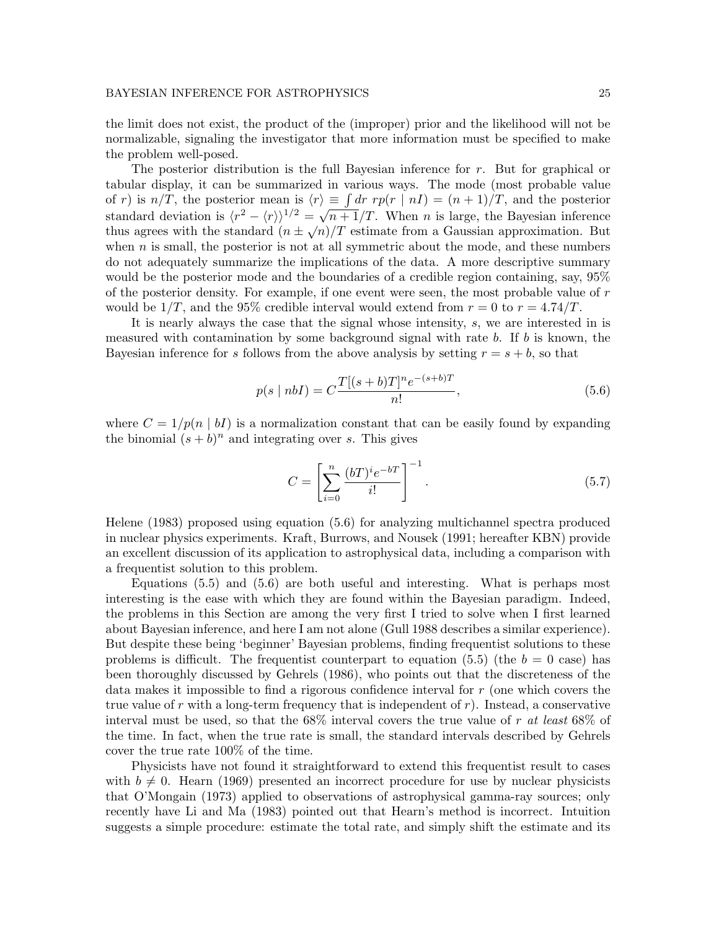the limit does not exist, the product of the (improper) prior and the likelihood will not be normalizable, signaling the investigator that more information must be specified to make the problem well-posed.

The posterior distribution is the full Bayesian inference for r. But for graphical or tabular display, it can be summarized in various ways. The mode (most probable value of r) is  $n/T$ , the posterior mean is  $\langle r \rangle \equiv \int dr \ r p(r \mid nI) = (n+1)/T$ , and the posterior standard deviation is  $\langle r^2 - \langle r \rangle \rangle^{1/2} = \sqrt{n+1}/T$ . When *n* is large, the Bayesian inference thus agrees with the standard  $(n \pm \sqrt{n})/T$  estimate from a Gaussian approximation. But when  $n$  is small, the posterior is not at all symmetric about the mode, and these numbers do not adequately summarize the implications of the data. A more descriptive summary would be the posterior mode and the boundaries of a credible region containing, say, 95% of the posterior density. For example, if one event were seen, the most probable value of r would be  $1/T$ , and the 95% credible interval would extend from  $r = 0$  to  $r = 4.74/T$ .

It is nearly always the case that the signal whose intensity, s, we are interested in is measured with contamination by some background signal with rate  $b$ . If  $b$  is known, the Bayesian inference for s follows from the above analysis by setting  $r = s + b$ , so that

$$
p(s \mid nbI) = C \frac{T[(s+b)T]^n e^{-(s+b)T}}{n!},
$$
\n(5.6)

where  $C = 1/p(n | bI)$  is a normalization constant that can be easily found by expanding the binomial  $(s + b)^n$  and integrating over s. This gives

$$
C = \left[\sum_{i=0}^{n} \frac{(bT)^{i} e^{-bT}}{i!} \right]^{-1}.
$$
 (5.7)

Helene (1983) proposed using equation (5.6) for analyzing multichannel spectra produced in nuclear physics experiments. Kraft, Burrows, and Nousek (1991; hereafter KBN) provide an excellent discussion of its application to astrophysical data, including a comparison with a frequentist solution to this problem.

Equations (5.5) and (5.6) are both useful and interesting. What is perhaps most interesting is the ease with which they are found within the Bayesian paradigm. Indeed, the problems in this Section are among the very first I tried to solve when I first learned about Bayesian inference, and here I am not alone (Gull 1988 describes a similar experience). But despite these being 'beginner' Bayesian problems, finding frequentist solutions to these problems is difficult. The frequentist counterpart to equation (5.5) (the  $b = 0$  case) has been thoroughly discussed by Gehrels (1986), who points out that the discreteness of the data makes it impossible to find a rigorous confidence interval for r (one which covers the true value of r with a long-term frequency that is independent of  $r$ ). Instead, a conservative interval must be used, so that the  $68\%$  interval covers the true value of r at least  $68\%$  of the time. In fact, when the true rate is small, the standard intervals described by Gehrels cover the true rate 100% of the time.

Physicists have not found it straightforward to extend this frequentist result to cases with  $b \neq 0$ . Hearn (1969) presented an incorrect procedure for use by nuclear physicists that O'Mongain (1973) applied to observations of astrophysical gamma-ray sources; only recently have Li and Ma (1983) pointed out that Hearn's method is incorrect. Intuition suggests a simple procedure: estimate the total rate, and simply shift the estimate and its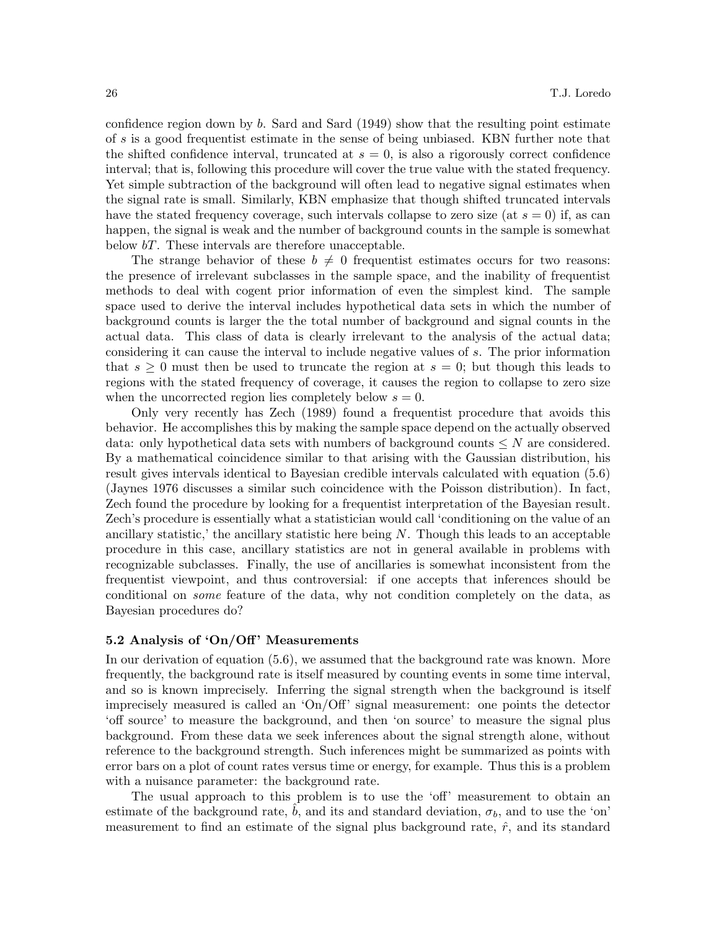confidence region down by  $b$ . Sard and Sard (1949) show that the resulting point estimate of s is a good frequentist estimate in the sense of being unbiased. KBN further note that the shifted confidence interval, truncated at  $s = 0$ , is also a rigorously correct confidence interval; that is, following this procedure will cover the true value with the stated frequency. Yet simple subtraction of the background will often lead to negative signal estimates when the signal rate is small. Similarly, KBN emphasize that though shifted truncated intervals have the stated frequency coverage, such intervals collapse to zero size (at  $s = 0$ ) if, as can happen, the signal is weak and the number of background counts in the sample is somewhat below bT. These intervals are therefore unacceptable.

The strange behavior of these  $b \neq 0$  frequentist estimates occurs for two reasons: the presence of irrelevant subclasses in the sample space, and the inability of frequentist methods to deal with cogent prior information of even the simplest kind. The sample space used to derive the interval includes hypothetical data sets in which the number of background counts is larger the the total number of background and signal counts in the actual data. This class of data is clearly irrelevant to the analysis of the actual data; considering it can cause the interval to include negative values of s. The prior information that  $s \geq 0$  must then be used to truncate the region at  $s = 0$ ; but though this leads to regions with the stated frequency of coverage, it causes the region to collapse to zero size when the uncorrected region lies completely below  $s = 0$ .

Only very recently has Zech (1989) found a frequentist procedure that avoids this behavior. He accomplishes this by making the sample space depend on the actually observed data: only hypothetical data sets with numbers of background counts  $\leq N$  are considered. By a mathematical coincidence similar to that arising with the Gaussian distribution, his result gives intervals identical to Bayesian credible intervals calculated with equation (5.6) (Jaynes 1976 discusses a similar such coincidence with the Poisson distribution). In fact, Zech found the procedure by looking for a frequentist interpretation of the Bayesian result. Zech's procedure is essentially what a statistician would call 'conditioning on the value of an ancillary statistic,' the ancillary statistic here being  $N$ . Though this leads to an acceptable procedure in this case, ancillary statistics are not in general available in problems with recognizable subclasses. Finally, the use of ancillaries is somewhat inconsistent from the frequentist viewpoint, and thus controversial: if one accepts that inferences should be conditional on some feature of the data, why not condition completely on the data, as Bayesian procedures do?

## 5.2 Analysis of 'On/Off' Measurements

In our derivation of equation (5.6), we assumed that the background rate was known. More frequently, the background rate is itself measured by counting events in some time interval, and so is known imprecisely. Inferring the signal strength when the background is itself imprecisely measured is called an 'On/Off' signal measurement: one points the detector 'off source' to measure the background, and then 'on source' to measure the signal plus background. From these data we seek inferences about the signal strength alone, without reference to the background strength. Such inferences might be summarized as points with error bars on a plot of count rates versus time or energy, for example. Thus this is a problem with a nuisance parameter: the background rate.

The usual approach to this problem is to use the 'off' measurement to obtain an estimate of the background rate, b, and its and standard deviation,  $\sigma_b$ , and to use the 'on' measurement to find an estimate of the signal plus background rate,  $\hat{r}$ , and its standard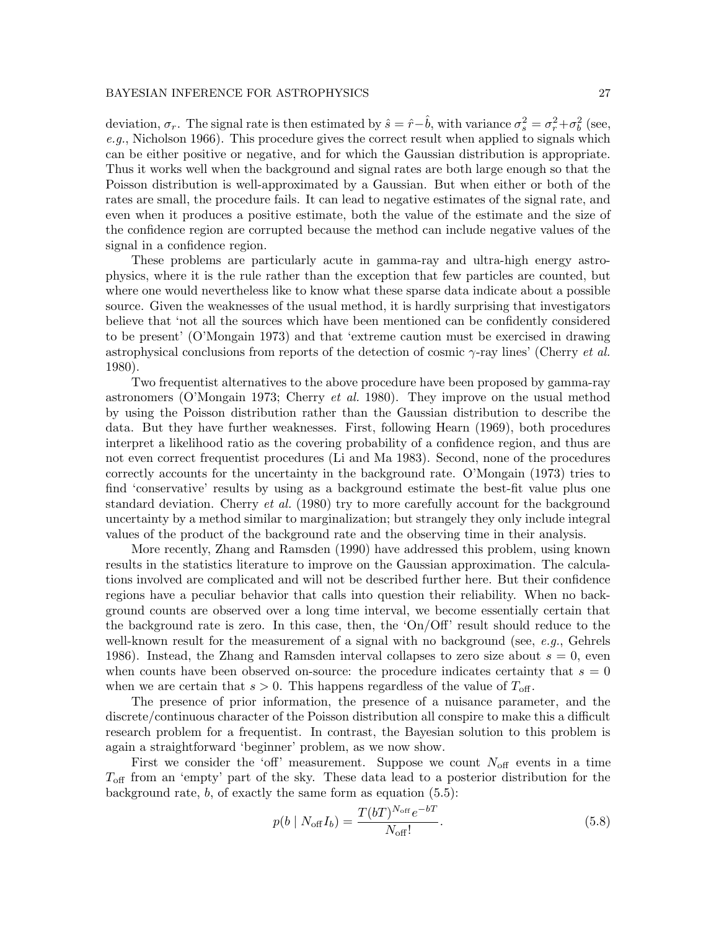deviation,  $\sigma_r$ . The signal rate is then estimated by  $\hat{s} = \hat{r} - \hat{b}$ , with variance  $\sigma_s^2 = \sigma_r^2 + \sigma_b^2$  (see, e.g., Nicholson 1966). This procedure gives the correct result when applied to signals which can be either positive or negative, and for which the Gaussian distribution is appropriate. Thus it works well when the background and signal rates are both large enough so that the Poisson distribution is well-approximated by a Gaussian. But when either or both of the rates are small, the procedure fails. It can lead to negative estimates of the signal rate, and even when it produces a positive estimate, both the value of the estimate and the size of the confidence region are corrupted because the method can include negative values of the signal in a confidence region.

These problems are particularly acute in gamma-ray and ultra-high energy astrophysics, where it is the rule rather than the exception that few particles are counted, but where one would nevertheless like to know what these sparse data indicate about a possible source. Given the weaknesses of the usual method, it is hardly surprising that investigators believe that 'not all the sources which have been mentioned can be confidently considered to be present' (O'Mongain 1973) and that 'extreme caution must be exercised in drawing astrophysical conclusions from reports of the detection of cosmic  $\gamma$ -ray lines' (Cherry *et al.*) 1980).

Two frequentist alternatives to the above procedure have been proposed by gamma-ray astronomers (O'Mongain 1973; Cherry et al. 1980). They improve on the usual method by using the Poisson distribution rather than the Gaussian distribution to describe the data. But they have further weaknesses. First, following Hearn (1969), both procedures interpret a likelihood ratio as the covering probability of a confidence region, and thus are not even correct frequentist procedures (Li and Ma 1983). Second, none of the procedures correctly accounts for the uncertainty in the background rate. O'Mongain (1973) tries to find 'conservative' results by using as a background estimate the best-fit value plus one standard deviation. Cherry *et al.* (1980) try to more carefully account for the background uncertainty by a method similar to marginalization; but strangely they only include integral values of the product of the background rate and the observing time in their analysis.

More recently, Zhang and Ramsden (1990) have addressed this problem, using known results in the statistics literature to improve on the Gaussian approximation. The calculations involved are complicated and will not be described further here. But their confidence regions have a peculiar behavior that calls into question their reliability. When no background counts are observed over a long time interval, we become essentially certain that the background rate is zero. In this case, then, the 'On/Off' result should reduce to the well-known result for the measurement of a signal with no background (see, e.g., Gehrels 1986). Instead, the Zhang and Ramsden interval collapses to zero size about  $s = 0$ , even when counts have been observed on-source: the procedure indicates certainty that  $s = 0$ when we are certain that  $s > 0$ . This happens regardless of the value of  $T_{\text{off}}$ .

The presence of prior information, the presence of a nuisance parameter, and the discrete/continuous character of the Poisson distribution all conspire to make this a difficult research problem for a frequentist. In contrast, the Bayesian solution to this problem is again a straightforward 'beginner' problem, as we now show.

First we consider the 'off' measurement. Suppose we count  $N_{\text{off}}$  events in a time  $T_{\text{off}}$  from an 'empty' part of the sky. These data lead to a posterior distribution for the background rate,  $b$ , of exactly the same form as equation  $(5.5)$ :

$$
p(b \mid N_{\text{off}} I_b) = \frac{T(bT)^{N_{\text{off}}} e^{-bT}}{N_{\text{off}}!}.
$$
\n(5.8)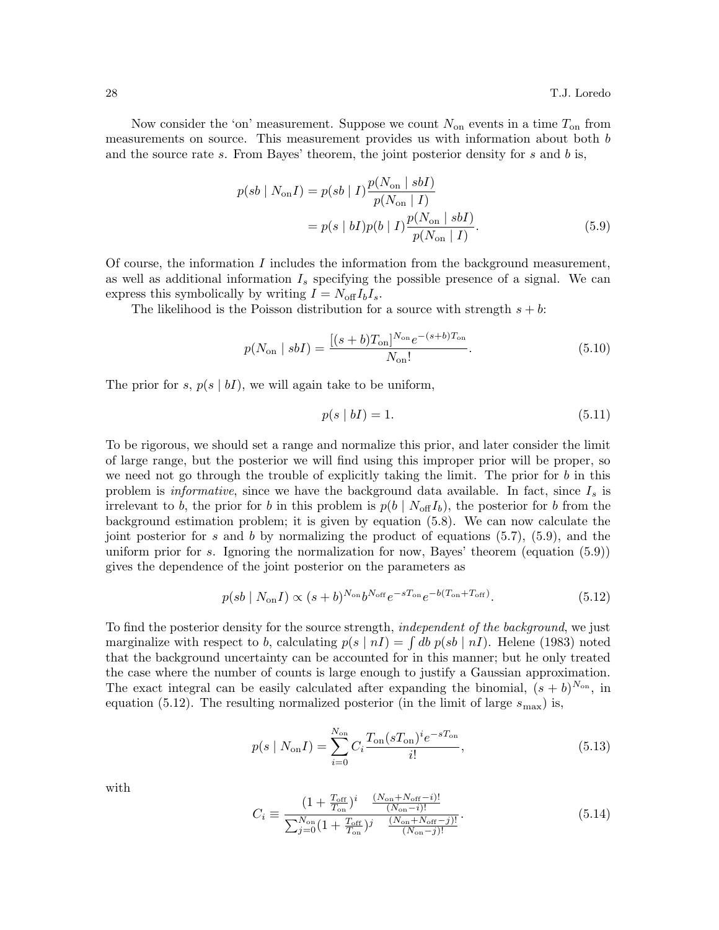Now consider the 'on' measurement. Suppose we count  $N_{\rm on}$  events in a time  $T_{\rm on}$  from measurements on source. This measurement provides us with information about both b and the source rate s. From Bayes' theorem, the joint posterior density for s and  $b$  is,

$$
p(sb \mid N_{\text{on}}I) = p(sb \mid I) \frac{p(N_{\text{on}} \mid sbI)}{p(N_{\text{on}} \mid I)} = p(s \mid bI)p(b \mid I) \frac{p(N_{\text{on}} \mid sbI)}{p(N_{\text{on}} \mid I)}.
$$
(5.9)

Of course, the information  $I$  includes the information from the background measurement, as well as additional information  $I_s$  specifying the possible presence of a signal. We can express this symbolically by writing  $I = N_{\text{off}}I_bI_s$ .

The likelihood is the Poisson distribution for a source with strength  $s + b$ :

$$
p(N_{\rm on} \mid sbI) = \frac{[(s+b)T_{\rm on}]^{N_{\rm on}}e^{-(s+b)T_{\rm on}}}{N_{\rm on}!}.
$$
\n(5.10)

The prior for s,  $p(s \mid bI)$ , we will again take to be uniform,

$$
p(s \mid b) = 1. \tag{5.11}
$$

To be rigorous, we should set a range and normalize this prior, and later consider the limit of large range, but the posterior we will find using this improper prior will be proper, so we need not go through the trouble of explicitly taking the limit. The prior for  $b$  in this problem is *informative*, since we have the background data available. In fact, since  $I_s$  is irrelevant to b, the prior for b in this problem is  $p(b \mid N_{\text{off}} I_b)$ , the posterior for b from the background estimation problem; it is given by equation (5.8). We can now calculate the joint posterior for s and b by normalizing the product of equations  $(5.7)$ ,  $(5.9)$ , and the uniform prior for s. Ignoring the normalization for now, Bayes' theorem (equation  $(5.9)$ ) gives the dependence of the joint posterior on the parameters as

$$
p(sb \mid N_{\text{on}}I) \propto (s+b)^{N_{\text{on}}}b^{N_{\text{off}}}e^{-sT_{\text{on}}}e^{-b(T_{\text{on}}+T_{\text{off}})}.
$$
\n(5.12)

To find the posterior density for the source strength, *independent of the background*, we just marginalize with respect to b, calculating  $p(s | nI) = \int db \, p(sb | nI)$ . Helene (1983) noted that the background uncertainty can be accounted for in this manner; but he only treated the case where the number of counts is large enough to justify a Gaussian approximation. The exact integral can be easily calculated after expanding the binomial,  $(s + b)^{N_{on}}$ , in equation (5.12). The resulting normalized posterior (in the limit of large  $s_{\text{max}}$ ) is,

$$
p(s \mid N_{\text{on}}I) = \sum_{i=0}^{N_{\text{on}}} C_i \frac{T_{\text{on}} (s T_{\text{on}})^i e^{-s T_{\text{on}}}}{i!},\tag{5.13}
$$

with

$$
C_{i} \equiv \frac{(1 + \frac{T_{\text{off}}}{T_{\text{on}}})^{i} \frac{(N_{\text{on}} + N_{\text{off}} - i)!}{(N_{\text{on}} - i)!}}{\sum_{j=0}^{N_{\text{on}}} (1 + \frac{T_{\text{off}}}{T_{\text{on}}})^{j} \frac{(N_{\text{on}} + N_{\text{off}} - j)!}{(N_{\text{on}} - j)!}}.
$$
(5.14)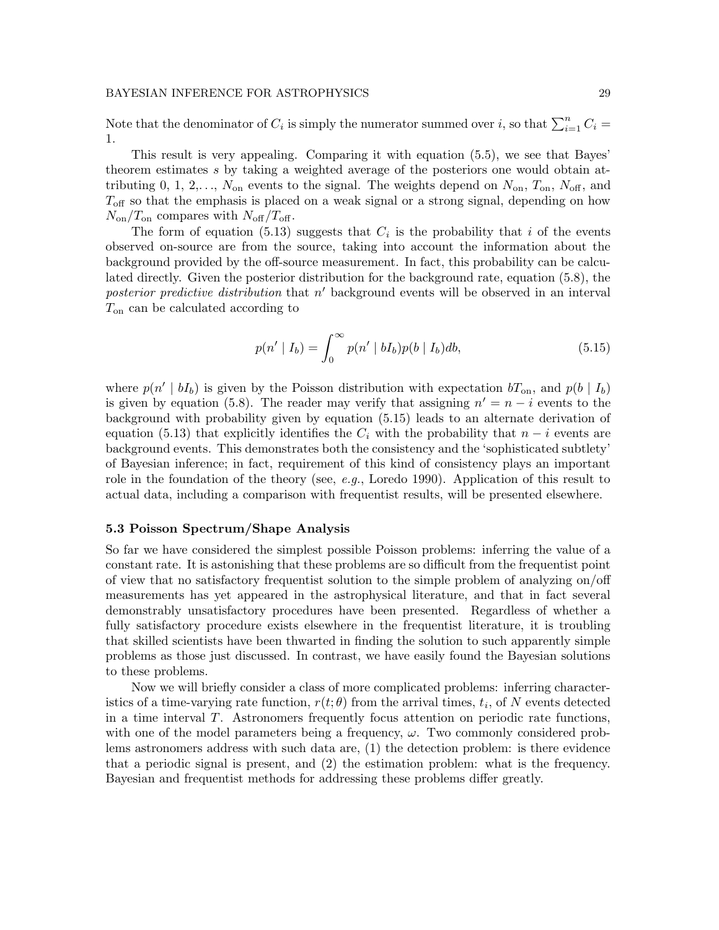Note that the denominator of  $C_i$  is simply the numerator summed over i, so that  $\sum_{i=1}^n C_i$  = 1.

This result is very appealing. Comparing it with equation (5.5), we see that Bayes' theorem estimates s by taking a weighted average of the posteriors one would obtain attributing 0, 1, 2,...,  $N_{\text{on}}$  events to the signal. The weights depend on  $N_{\text{on}}$ ,  $T_{\text{on}}$ ,  $N_{\text{off}}$ , and  $T_{\text{off}}$  so that the emphasis is placed on a weak signal or a strong signal, depending on how  $N_{\text{on}}/T_{\text{on}}$  compares with  $N_{\text{off}}/T_{\text{off}}$ .

The form of equation (5.13) suggests that  $C_i$  is the probability that i of the events observed on-source are from the source, taking into account the information about the background provided by the off-source measurement. In fact, this probability can be calculated directly. Given the posterior distribution for the background rate, equation (5.8), the posterior predictive distribution that  $n'$  background events will be observed in an interval  $T_{\text{on}}$  can be calculated according to

$$
p(n' | I_b) = \int_0^\infty p(n' | bI_b)p(b | I_b)db,
$$
\n(5.15)

where  $p(n' | bI_b)$  is given by the Poisson distribution with expectation  $bT_{on}$ , and  $p(b | I_b)$ is given by equation (5.8). The reader may verify that assigning  $n' = n - i$  events to the background with probability given by equation (5.15) leads to an alternate derivation of equation (5.13) that explicitly identifies the  $C_i$  with the probability that  $n-i$  events are background events. This demonstrates both the consistency and the 'sophisticated subtlety' of Bayesian inference; in fact, requirement of this kind of consistency plays an important role in the foundation of the theory (see,  $e.g.,$  Loredo 1990). Application of this result to actual data, including a comparison with frequentist results, will be presented elsewhere.

#### 5.3 Poisson Spectrum/Shape Analysis

So far we have considered the simplest possible Poisson problems: inferring the value of a constant rate. It is astonishing that these problems are so difficult from the frequentist point of view that no satisfactory frequentist solution to the simple problem of analyzing on/off measurements has yet appeared in the astrophysical literature, and that in fact several demonstrably unsatisfactory procedures have been presented. Regardless of whether a fully satisfactory procedure exists elsewhere in the frequentist literature, it is troubling that skilled scientists have been thwarted in finding the solution to such apparently simple problems as those just discussed. In contrast, we have easily found the Bayesian solutions to these problems.

Now we will briefly consider a class of more complicated problems: inferring characteristics of a time-varying rate function,  $r(t; \theta)$  from the arrival times,  $t_i$ , of N events detected in a time interval T. Astronomers frequently focus attention on periodic rate functions, with one of the model parameters being a frequency,  $\omega$ . Two commonly considered problems astronomers address with such data are, (1) the detection problem: is there evidence that a periodic signal is present, and (2) the estimation problem: what is the frequency. Bayesian and frequentist methods for addressing these problems differ greatly.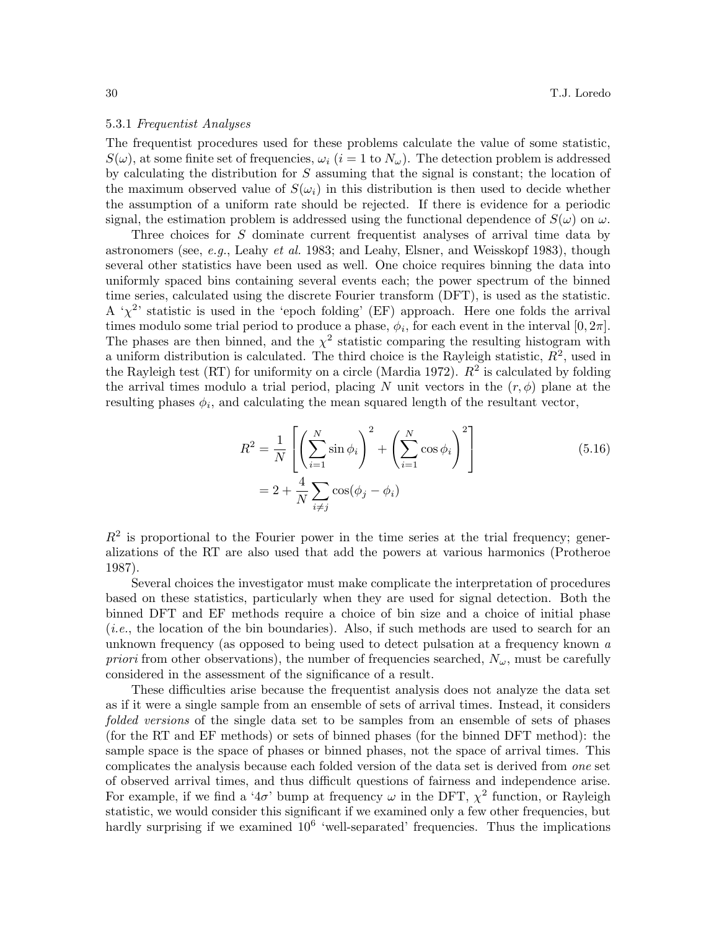#### 5.3.1 Frequentist Analyses

The frequentist procedures used for these problems calculate the value of some statistic,  $S(\omega)$ , at some finite set of frequencies,  $\omega_i$  (i = 1 to  $N_{\omega}$ ). The detection problem is addressed by calculating the distribution for  $S$  assuming that the signal is constant; the location of the maximum observed value of  $S(\omega_i)$  in this distribution is then used to decide whether the assumption of a uniform rate should be rejected. If there is evidence for a periodic signal, the estimation problem is addressed using the functional dependence of  $S(\omega)$  on  $\omega$ .

Three choices for S dominate current frequentist analyses of arrival time data by astronomers (see, e.g., Leahy et al. 1983; and Leahy, Elsner, and Weisskopf 1983), though several other statistics have been used as well. One choice requires binning the data into uniformly spaced bins containing several events each; the power spectrum of the binned time series, calculated using the discrete Fourier transform (DFT), is used as the statistic. A ' $\chi^2$ ' statistic is used in the 'epoch folding' (EF) approach. Here one folds the arrival times modulo some trial period to produce a phase,  $\phi_i$ , for each event in the interval  $[0, 2\pi]$ . The phases are then binned, and the  $\chi^2$  statistic comparing the resulting histogram with a uniform distribution is calculated. The third choice is the Rayleigh statistic,  $R^2$ , used in the Rayleigh test (RT) for uniformity on a circle (Mardia 1972).  $R^2$  is calculated by folding the arrival times modulo a trial period, placing N unit vectors in the  $(r, \phi)$  plane at the resulting phases  $\phi_i$ , and calculating the mean squared length of the resultant vector,

$$
R^{2} = \frac{1}{N} \left[ \left( \sum_{i=1}^{N} \sin \phi_{i} \right)^{2} + \left( \sum_{i=1}^{N} \cos \phi_{i} \right)^{2} \right]
$$
  
=  $2 + \frac{4}{N} \sum_{i \neq j} \cos(\phi_{j} - \phi_{i})$  (5.16)

 $R<sup>2</sup>$  is proportional to the Fourier power in the time series at the trial frequency; generalizations of the RT are also used that add the powers at various harmonics (Protheroe 1987).

Several choices the investigator must make complicate the interpretation of procedures based on these statistics, particularly when they are used for signal detection. Both the binned DFT and EF methods require a choice of bin size and a choice of initial phase (i.e., the location of the bin boundaries). Also, if such methods are used to search for an unknown frequency (as opposed to being used to detect pulsation at a frequency known a priori from other observations), the number of frequencies searched,  $N_{\omega}$ , must be carefully considered in the assessment of the significance of a result.

These difficulties arise because the frequentist analysis does not analyze the data set as if it were a single sample from an ensemble of sets of arrival times. Instead, it considers folded versions of the single data set to be samples from an ensemble of sets of phases (for the RT and EF methods) or sets of binned phases (for the binned DFT method): the sample space is the space of phases or binned phases, not the space of arrival times. This complicates the analysis because each folded version of the data set is derived from one set of observed arrival times, and thus difficult questions of fairness and independence arise. For example, if we find a ' $4\sigma$ ' bump at frequency  $\omega$  in the DFT,  $\chi^2$  function, or Rayleigh statistic, we would consider this significant if we examined only a few other frequencies, but hardly surprising if we examined  $10^6$  'well-separated' frequencies. Thus the implications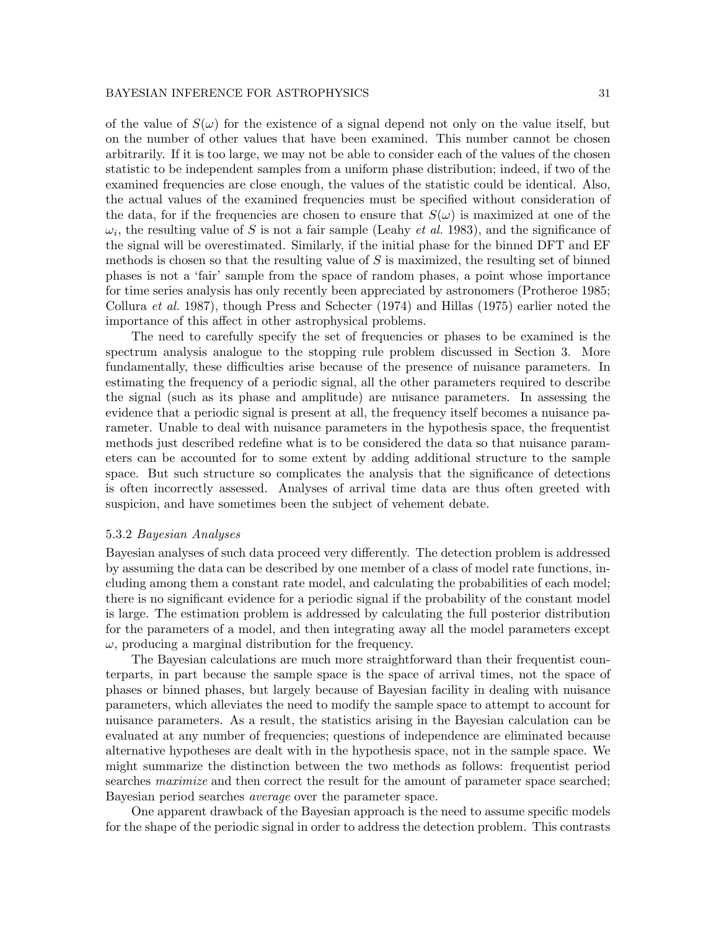of the value of  $S(\omega)$  for the existence of a signal depend not only on the value itself, but on the number of other values that have been examined. This number cannot be chosen arbitrarily. If it is too large, we may not be able to consider each of the values of the chosen statistic to be independent samples from a uniform phase distribution; indeed, if two of the examined frequencies are close enough, the values of the statistic could be identical. Also, the actual values of the examined frequencies must be specified without consideration of the data, for if the frequencies are chosen to ensure that  $S(\omega)$  is maximized at one of the  $\omega_i$ , the resulting value of S is not a fair sample (Leahy *et al.* 1983), and the significance of the signal will be overestimated. Similarly, if the initial phase for the binned DFT and EF methods is chosen so that the resulting value of  $S$  is maximized, the resulting set of binned phases is not a 'fair' sample from the space of random phases, a point whose importance for time series analysis has only recently been appreciated by astronomers (Protheroe 1985; Collura et al. 1987), though Press and Schecter (1974) and Hillas (1975) earlier noted the importance of this affect in other astrophysical problems.

The need to carefully specify the set of frequencies or phases to be examined is the spectrum analysis analogue to the stopping rule problem discussed in Section 3. More fundamentally, these difficulties arise because of the presence of nuisance parameters. In estimating the frequency of a periodic signal, all the other parameters required to describe the signal (such as its phase and amplitude) are nuisance parameters. In assessing the evidence that a periodic signal is present at all, the frequency itself becomes a nuisance parameter. Unable to deal with nuisance parameters in the hypothesis space, the frequentist methods just described redefine what is to be considered the data so that nuisance parameters can be accounted for to some extent by adding additional structure to the sample space. But such structure so complicates the analysis that the significance of detections is often incorrectly assessed. Analyses of arrival time data are thus often greeted with suspicion, and have sometimes been the subject of vehement debate.

#### 5.3.2 Bayesian Analyses

Bayesian analyses of such data proceed very differently. The detection problem is addressed by assuming the data can be described by one member of a class of model rate functions, including among them a constant rate model, and calculating the probabilities of each model; there is no significant evidence for a periodic signal if the probability of the constant model is large. The estimation problem is addressed by calculating the full posterior distribution for the parameters of a model, and then integrating away all the model parameters except  $\omega$ , producing a marginal distribution for the frequency.

The Bayesian calculations are much more straightforward than their frequentist counterparts, in part because the sample space is the space of arrival times, not the space of phases or binned phases, but largely because of Bayesian facility in dealing with nuisance parameters, which alleviates the need to modify the sample space to attempt to account for nuisance parameters. As a result, the statistics arising in the Bayesian calculation can be evaluated at any number of frequencies; questions of independence are eliminated because alternative hypotheses are dealt with in the hypothesis space, not in the sample space. We might summarize the distinction between the two methods as follows: frequentist period searches *maximize* and then correct the result for the amount of parameter space searched; Bayesian period searches average over the parameter space.

One apparent drawback of the Bayesian approach is the need to assume specific models for the shape of the periodic signal in order to address the detection problem. This contrasts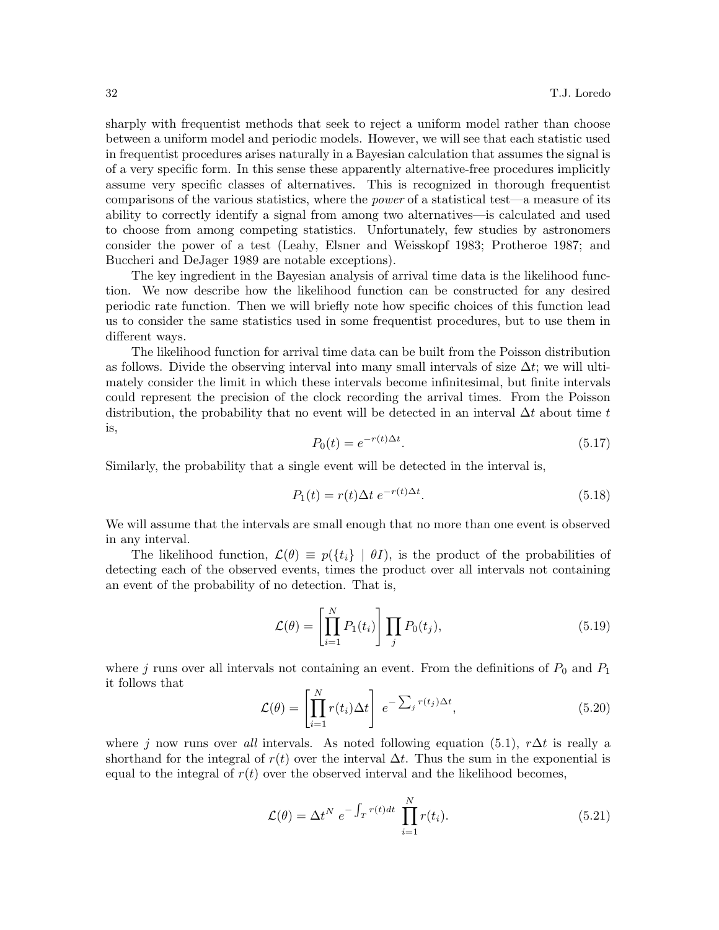sharply with frequentist methods that seek to reject a uniform model rather than choose between a uniform model and periodic models. However, we will see that each statistic used in frequentist procedures arises naturally in a Bayesian calculation that assumes the signal is of a very specific form. In this sense these apparently alternative-free procedures implicitly assume very specific classes of alternatives. This is recognized in thorough frequentist comparisons of the various statistics, where the *power* of a statistical test—a measure of its ability to correctly identify a signal from among two alternatives—is calculated and used to choose from among competing statistics. Unfortunately, few studies by astronomers consider the power of a test (Leahy, Elsner and Weisskopf 1983; Protheroe 1987; and Buccheri and DeJager 1989 are notable exceptions).

The key ingredient in the Bayesian analysis of arrival time data is the likelihood function. We now describe how the likelihood function can be constructed for any desired periodic rate function. Then we will briefly note how specific choices of this function lead us to consider the same statistics used in some frequentist procedures, but to use them in different ways.

The likelihood function for arrival time data can be built from the Poisson distribution as follows. Divide the observing interval into many small intervals of size  $\Delta t$ ; we will ultimately consider the limit in which these intervals become infinitesimal, but finite intervals could represent the precision of the clock recording the arrival times. From the Poisson distribution, the probability that no event will be detected in an interval  $\Delta t$  about time t is,

$$
P_0(t) = e^{-r(t)\Delta t}.\tag{5.17}
$$

Similarly, the probability that a single event will be detected in the interval is,

$$
P_1(t) = r(t)\Delta t \ e^{-r(t)\Delta t}.\tag{5.18}
$$

We will assume that the intervals are small enough that no more than one event is observed in any interval.

The likelihood function,  $\mathcal{L}(\theta) \equiv p(\lbrace t_i \rbrace \mid \theta I)$ , is the product of the probabilities of detecting each of the observed events, times the product over all intervals not containing an event of the probability of no detection. That is,

$$
\mathcal{L}(\theta) = \left[ \prod_{i=1}^{N} P_1(t_i) \right] \prod_j P_0(t_j), \tag{5.19}
$$

where j runs over all intervals not containing an event. From the definitions of  $P_0$  and  $P_1$ it follows that

$$
\mathcal{L}(\theta) = \left[ \prod_{i=1}^{N} r(t_i) \Delta t \right] e^{-\sum_j r(t_j) \Delta t}, \qquad (5.20)
$$

where j now runs over all intervals. As noted following equation (5.1),  $r\Delta t$  is really a shorthand for the integral of  $r(t)$  over the interval  $\Delta t$ . Thus the sum in the exponential is equal to the integral of  $r(t)$  over the observed interval and the likelihood becomes,

$$
\mathcal{L}(\theta) = \Delta t^N e^{-\int_T r(t)dt} \prod_{i=1}^N r(t_i). \tag{5.21}
$$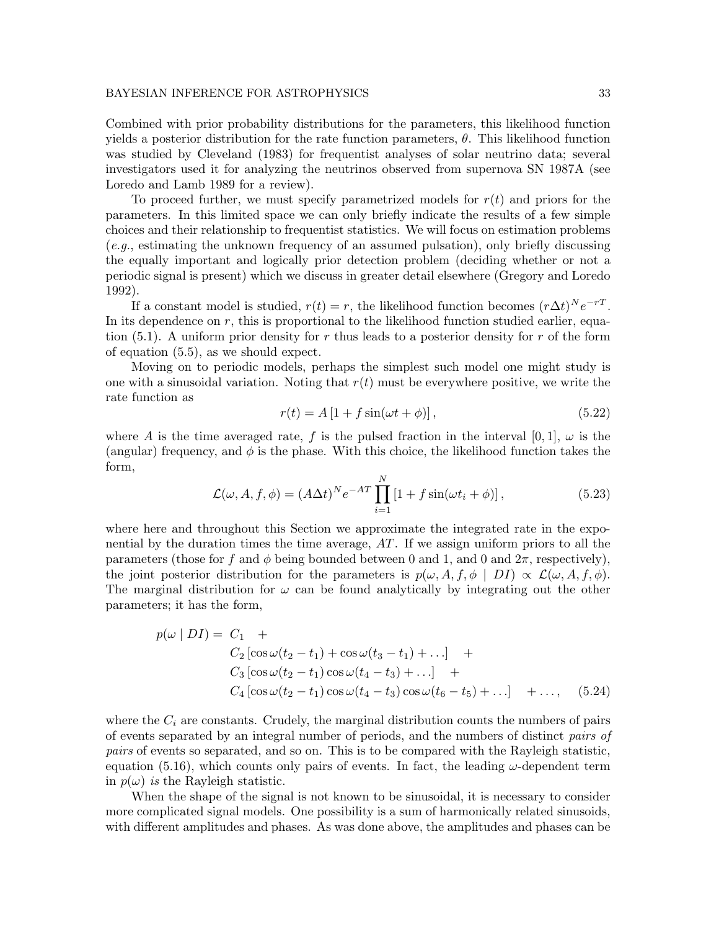Combined with prior probability distributions for the parameters, this likelihood function yields a posterior distribution for the rate function parameters,  $\theta$ . This likelihood function was studied by Cleveland (1983) for frequentist analyses of solar neutrino data; several investigators used it for analyzing the neutrinos observed from supernova SN 1987A (see Loredo and Lamb 1989 for a review).

To proceed further, we must specify parametrized models for  $r(t)$  and priors for the parameters. In this limited space we can only briefly indicate the results of a few simple choices and their relationship to frequentist statistics. We will focus on estimation problems (e.g., estimating the unknown frequency of an assumed pulsation), only briefly discussing the equally important and logically prior detection problem (deciding whether or not a periodic signal is present) which we discuss in greater detail elsewhere (Gregory and Loredo 1992).

If a constant model is studied,  $r(t) = r$ , the likelihood function becomes  $(r\Delta t)^N e^{-rT}$ . In its dependence on  $r$ , this is proportional to the likelihood function studied earlier, equation (5.1). A uniform prior density for r thus leads to a posterior density for r of the form of equation (5.5), as we should expect.

Moving on to periodic models, perhaps the simplest such model one might study is one with a sinusoidal variation. Noting that  $r(t)$  must be everywhere positive, we write the rate function as

$$
r(t) = A \left[ 1 + f \sin(\omega t + \phi) \right],\tag{5.22}
$$

where A is the time averaged rate, f is the pulsed fraction in the interval [0, 1],  $\omega$  is the (angular) frequency, and  $\phi$  is the phase. With this choice, the likelihood function takes the form,

$$
\mathcal{L}(\omega, A, f, \phi) = (A\Delta t)^N e^{-AT} \prod_{i=1}^N \left[1 + f \sin(\omega t_i + \phi)\right],\tag{5.23}
$$

where here and throughout this Section we approximate the integrated rate in the exponential by the duration times the time average, AT. If we assign uniform priors to all the parameters (those for f and  $\phi$  being bounded between 0 and 1, and 0 and  $2\pi$ , respectively), the joint posterior distribution for the parameters is  $p(\omega, A, f, \phi \mid DI) \propto \mathcal{L}(\omega, A, f, \phi)$ . The marginal distribution for  $\omega$  can be found analytically by integrating out the other parameters; it has the form,

$$
p(\omega | DI) = C_1 + C_2 [\cos \omega (t_2 - t_1) + \cos \omega (t_3 - t_1) + ...] + C_3 [\cos \omega (t_2 - t_1) \cos \omega (t_4 - t_3) + ...] + C_4 [\cos \omega (t_2 - t_1) \cos \omega (t_4 - t_3) \cos \omega (t_6 - t_5) + ...] + ..., \quad (5.24)
$$

where the  $C_i$  are constants. Crudely, the marginal distribution counts the numbers of pairs of events separated by an integral number of periods, and the numbers of distinct pairs of pairs of events so separated, and so on. This is to be compared with the Rayleigh statistic, equation (5.16), which counts only pairs of events. In fact, the leading  $\omega$ -dependent term in  $p(\omega)$  is the Rayleigh statistic.

When the shape of the signal is not known to be sinusoidal, it is necessary to consider more complicated signal models. One possibility is a sum of harmonically related sinusoids, with different amplitudes and phases. As was done above, the amplitudes and phases can be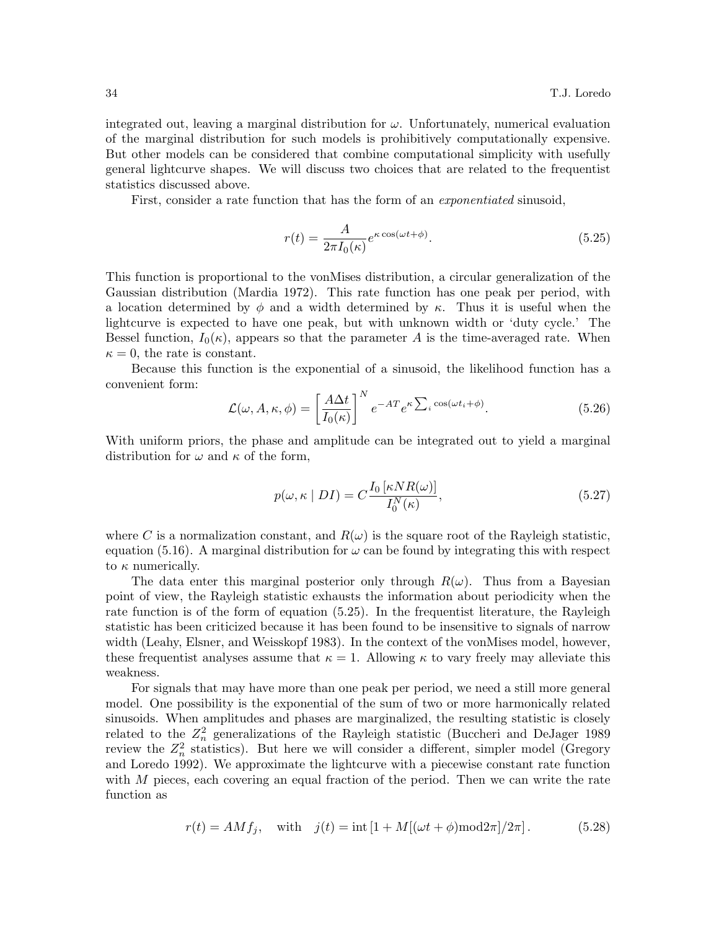integrated out, leaving a marginal distribution for  $\omega$ . Unfortunately, numerical evaluation of the marginal distribution for such models is prohibitively computationally expensive. But other models can be considered that combine computational simplicity with usefully general lightcurve shapes. We will discuss two choices that are related to the frequentist statistics discussed above.

First, consider a rate function that has the form of an exponentiated sinusoid,

$$
r(t) = \frac{A}{2\pi I_0(\kappa)} e^{\kappa \cos(\omega t + \phi)}.
$$
\n(5.25)

This function is proportional to the vonMises distribution, a circular generalization of the Gaussian distribution (Mardia 1972). This rate function has one peak per period, with a location determined by  $\phi$  and a width determined by  $\kappa$ . Thus it is useful when the lightcurve is expected to have one peak, but with unknown width or 'duty cycle.' The Bessel function,  $I_0(\kappa)$ , appears so that the parameter A is the time-averaged rate. When  $\kappa = 0$ , the rate is constant.

Because this function is the exponential of a sinusoid, the likelihood function has a convenient form:

$$
\mathcal{L}(\omega, A, \kappa, \phi) = \left[\frac{A\Delta t}{I_0(\kappa)}\right]^N e^{-AT} e^{\kappa \sum_i \cos(\omega t_i + \phi)}.
$$
\n(5.26)

With uniform priors, the phase and amplitude can be integrated out to yield a marginal distribution for  $\omega$  and  $\kappa$  of the form,

$$
p(\omega, \kappa \mid DI) = C \frac{I_0 \left[ \kappa NR(\omega) \right]}{I_0^N(\kappa)},\tag{5.27}
$$

where C is a normalization constant, and  $R(\omega)$  is the square root of the Rayleigh statistic, equation (5.16). A marginal distribution for  $\omega$  can be found by integrating this with respect to  $\kappa$  numerically.

The data enter this marginal posterior only through  $R(\omega)$ . Thus from a Bayesian point of view, the Rayleigh statistic exhausts the information about periodicity when the rate function is of the form of equation (5.25). In the frequentist literature, the Rayleigh statistic has been criticized because it has been found to be insensitive to signals of narrow width (Leahy, Elsner, and Weisskopf 1983). In the context of the vonMises model, however, these frequentist analyses assume that  $\kappa = 1$ . Allowing  $\kappa$  to vary freely may alleviate this weakness.

For signals that may have more than one peak per period, we need a still more general model. One possibility is the exponential of the sum of two or more harmonically related sinusoids. When amplitudes and phases are marginalized, the resulting statistic is closely related to the  $Z_n^2$  generalizations of the Rayleigh statistic (Buccheri and DeJager 1989 review the  $Z_n^2$  statistics). But here we will consider a different, simpler model (Gregory and Loredo 1992). We approximate the lightcurve with a piecewise constant rate function with  $M$  pieces, each covering an equal fraction of the period. Then we can write the rate function as

$$
r(t) = AMf_j
$$
, with  $j(t) = \text{int}[1 + M[(\omega t + \phi) \text{mod} 2\pi]/2\pi]$ . (5.28)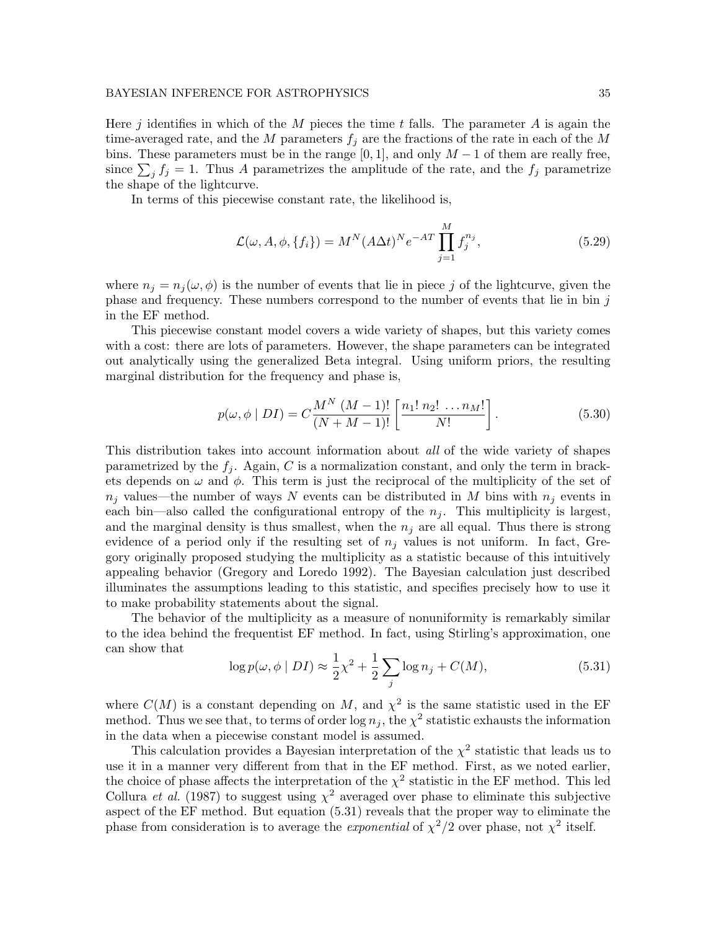Here j identifies in which of the M pieces the time t falls. The parameter A is again the time-averaged rate, and the M parameters  $f_i$  are the fractions of the rate in each of the M bins. These parameters must be in the range  $[0, 1]$ , and only  $M - 1$  of them are really free, since  $\sum_j f_j = 1$ . Thus A parametrizes the amplitude of the rate, and the  $f_j$  parametrize the shape of the lightcurve.

In terms of this piecewise constant rate, the likelihood is,

$$
\mathcal{L}(\omega, A, \phi, \{f_i\}) = M^N (A \Delta t)^N e^{-AT} \prod_{j=1}^M f_j^{n_j},
$$
\n(5.29)

where  $n_j = n_j(\omega, \phi)$  is the number of events that lie in piece j of the lightcurve, given the phase and frequency. These numbers correspond to the number of events that lie in bin  $j$ in the EF method.

This piecewise constant model covers a wide variety of shapes, but this variety comes with a cost: there are lots of parameters. However, the shape parameters can be integrated out analytically using the generalized Beta integral. Using uniform priors, the resulting marginal distribution for the frequency and phase is,

$$
p(\omega, \phi \mid DI) = C \frac{M^N (M-1)!}{(N+M-1)!} \left[ \frac{n_1! \, n_2! \, \dots \, n_M!}{N!} \right]. \tag{5.30}
$$

This distribution takes into account information about *all* of the wide variety of shapes parametrized by the  $f_i$ . Again, C is a normalization constant, and only the term in brackets depends on  $\omega$  and  $\phi$ . This term is just the reciprocal of the multiplicity of the set of  $n_j$  values—the number of ways N events can be distributed in M bins with  $n_j$  events in each bin—also called the configurational entropy of the  $n<sub>j</sub>$ . This multiplicity is largest, and the marginal density is thus smallest, when the  $n_j$  are all equal. Thus there is strong evidence of a period only if the resulting set of  $n_j$  values is not uniform. In fact, Gregory originally proposed studying the multiplicity as a statistic because of this intuitively appealing behavior (Gregory and Loredo 1992). The Bayesian calculation just described illuminates the assumptions leading to this statistic, and specifies precisely how to use it to make probability statements about the signal.

The behavior of the multiplicity as a measure of nonuniformity is remarkably similar to the idea behind the frequentist EF method. In fact, using Stirling's approximation, one can show that

$$
\log p(\omega, \phi \mid DI) \approx \frac{1}{2}\chi^2 + \frac{1}{2}\sum_j \log n_j + C(M),\tag{5.31}
$$

where  $C(M)$  is a constant depending on M, and  $\chi^2$  is the same statistic used in the EF method. Thus we see that, to terms of order  $\log n_j$ , the  $\chi^2$  statistic exhausts the information in the data when a piecewise constant model is assumed.

This calculation provides a Bayesian interpretation of the  $\chi^2$  statistic that leads us to use it in a manner very different from that in the EF method. First, as we noted earlier, the choice of phase affects the interpretation of the  $\chi^2$  statistic in the EF method. This led Collura *et al.* (1987) to suggest using  $\chi^2$  averaged over phase to eliminate this subjective aspect of the EF method. But equation (5.31) reveals that the proper way to eliminate the phase from consideration is to average the *exponential* of  $\chi^2/2$  over phase, not  $\chi^2$  itself.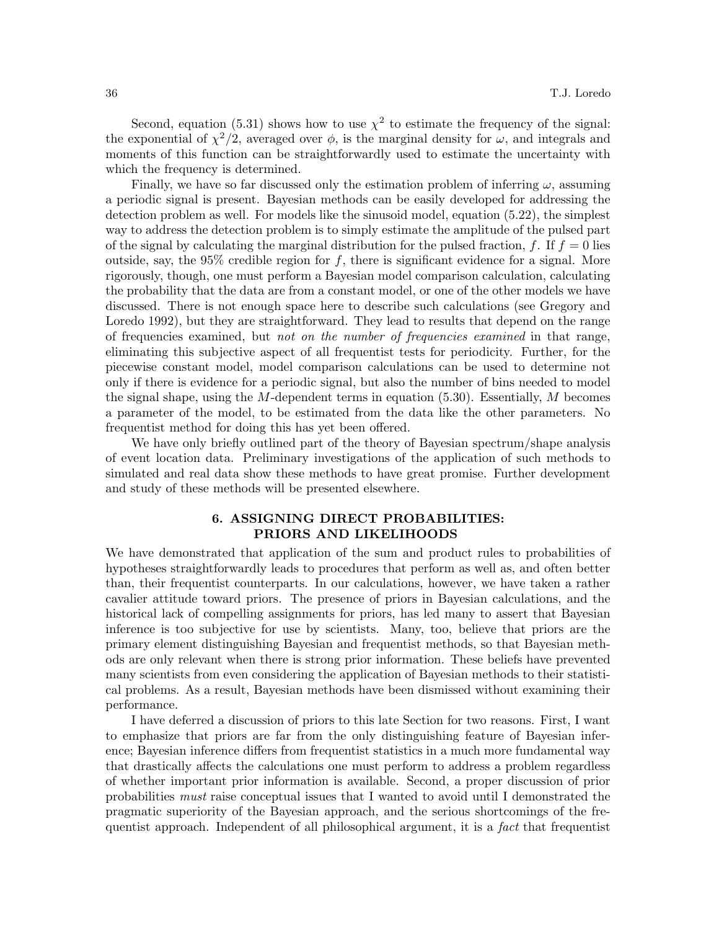Second, equation (5.31) shows how to use  $\chi^2$  to estimate the frequency of the signal: the exponential of  $\chi^2/2$ , averaged over  $\phi$ , is the marginal density for  $\omega$ , and integrals and moments of this function can be straightforwardly used to estimate the uncertainty with which the frequency is determined.

Finally, we have so far discussed only the estimation problem of inferring  $\omega$ , assuming a periodic signal is present. Bayesian methods can be easily developed for addressing the detection problem as well. For models like the sinusoid model, equation (5.22), the simplest way to address the detection problem is to simply estimate the amplitude of the pulsed part of the signal by calculating the marginal distribution for the pulsed fraction, f. If  $f = 0$  lies outside, say, the 95% credible region for f, there is significant evidence for a signal. More rigorously, though, one must perform a Bayesian model comparison calculation, calculating the probability that the data are from a constant model, or one of the other models we have discussed. There is not enough space here to describe such calculations (see Gregory and Loredo 1992), but they are straightforward. They lead to results that depend on the range of frequencies examined, but not on the number of frequencies examined in that range, eliminating this subjective aspect of all frequentist tests for periodicity. Further, for the piecewise constant model, model comparison calculations can be used to determine not only if there is evidence for a periodic signal, but also the number of bins needed to model the signal shape, using the M-dependent terms in equation  $(5.30)$ . Essentially, M becomes a parameter of the model, to be estimated from the data like the other parameters. No frequentist method for doing this has yet been offered.

We have only briefly outlined part of the theory of Bayesian spectrum/shape analysis of event location data. Preliminary investigations of the application of such methods to simulated and real data show these methods to have great promise. Further development and study of these methods will be presented elsewhere.

# 6. ASSIGNING DIRECT PROBABILITIES: PRIORS AND LIKELIHOODS

We have demonstrated that application of the sum and product rules to probabilities of hypotheses straightforwardly leads to procedures that perform as well as, and often better than, their frequentist counterparts. In our calculations, however, we have taken a rather cavalier attitude toward priors. The presence of priors in Bayesian calculations, and the historical lack of compelling assignments for priors, has led many to assert that Bayesian inference is too subjective for use by scientists. Many, too, believe that priors are the primary element distinguishing Bayesian and frequentist methods, so that Bayesian methods are only relevant when there is strong prior information. These beliefs have prevented many scientists from even considering the application of Bayesian methods to their statistical problems. As a result, Bayesian methods have been dismissed without examining their performance.

I have deferred a discussion of priors to this late Section for two reasons. First, I want to emphasize that priors are far from the only distinguishing feature of Bayesian inference; Bayesian inference differs from frequentist statistics in a much more fundamental way that drastically affects the calculations one must perform to address a problem regardless of whether important prior information is available. Second, a proper discussion of prior probabilities must raise conceptual issues that I wanted to avoid until I demonstrated the pragmatic superiority of the Bayesian approach, and the serious shortcomings of the frequentist approach. Independent of all philosophical argument, it is a fact that frequentist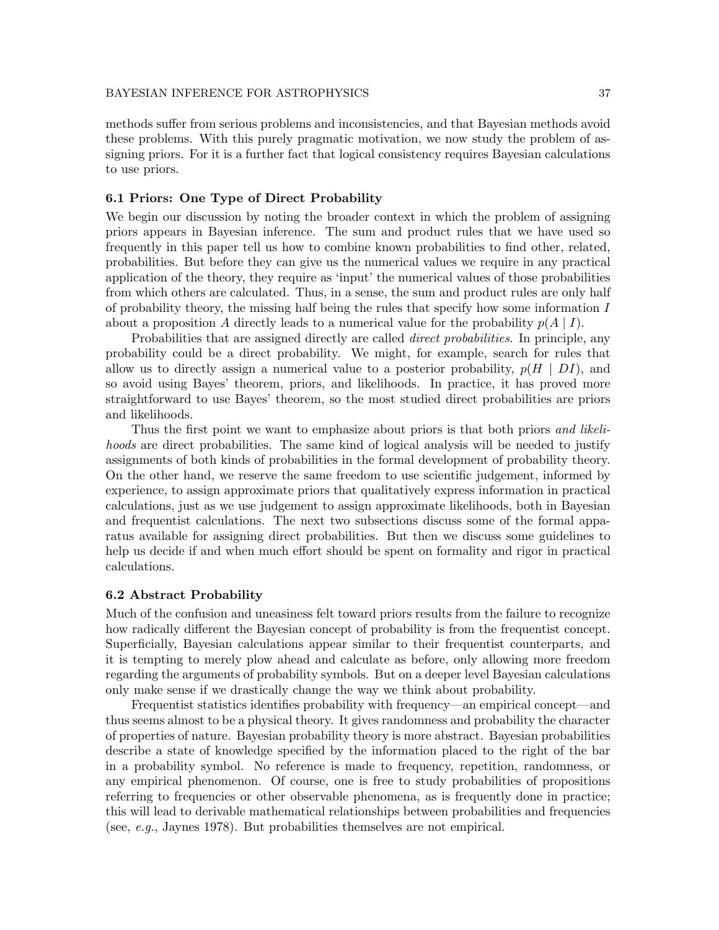methods suffer from serious problems and inconsistencies, and that Bayesian methods avoid these problems. With this purely pragmatic motivation, we now study the problem of assigning priors. For it is a further fact that logical consistency requires Bayesian calculations to use priors.

## 6.1 Priors: One Type of Direct Probability

We begin our discussion by noting the broader context in which the problem of assigning priors appears in Bayesian inference. The sum and product rules that we have used so frequently in this paper tell us how to combine known probabilities to find other, related, probabilities. But before they can give us the numerical values we require in any practical application of the theory, they require as 'input' the numerical values of those probabilities from which others are calculated. Thus, in a sense, the sum and product rules are only half of probability theory, the missing half being the rules that specify how some information  $I$ about a proposition A directly leads to a numerical value for the probability  $p(A | I)$ .

Probabilities that are assigned directly are called *direct probabilities*. In principle, any probability could be a direct probability. We might, for example, search for rules that allow us to directly assign a numerical value to a posterior probability,  $p(H | DI)$ , and so avoid using Bayes' theorem, priors, and likelihoods. In practice, it has proved more straightforward to use Bayes' theorem, so the most studied direct probabilities are priors and likelihoods.

Thus the first point we want to emphasize about priors is that both priors and likelihoods are direct probabilities. The same kind of logical analysis will be needed to justify assignments of both kinds of probabilities in the formal development of probability theory. On the other hand, we reserve the same freedom to use scientific judgement, informed by experience, to assign approximate priors that qualitatively express information in practical calculations, just as we use judgement to assign approximate likelihoods, both in Bayesian and frequentist calculations. The next two subsections discuss some of the formal apparatus available for assigning direct probabilities. But then we discuss some guidelines to help us decide if and when much effort should be spent on formality and rigor in practical calculations.

#### 6.2 Abstract Probability

Much of the confusion and uneasiness felt toward priors results from the failure to recognize how radically different the Bayesian concept of probability is from the frequentist concept. Superficially, Bayesian calculations appear similar to their frequentist counterparts, and it is tempting to merely plow ahead and calculate as before, only allowing more freedom regarding the arguments of probability symbols. But on a deeper level Bayesian calculations only make sense if we drastically change the way we think about probability.

Frequentist statistics identifies probability with frequency—an empirical concept—and thus seems almost to be a physical theory. It gives randomness and probability the character of properties of nature. Bayesian probability theory is more abstract. Bayesian probabilities describe a state of knowledge specified by the information placed to the right of the bar in a probability symbol. No reference is made to frequency, repetition, randomness, or any empirical phenomenon. Of course, one is free to study probabilities of propositions referring to frequencies or other observable phenomena, as is frequently done in practice; this will lead to derivable mathematical relationships between probabilities and frequencies (see, e.g., Jaynes 1978). But probabilities themselves are not empirical.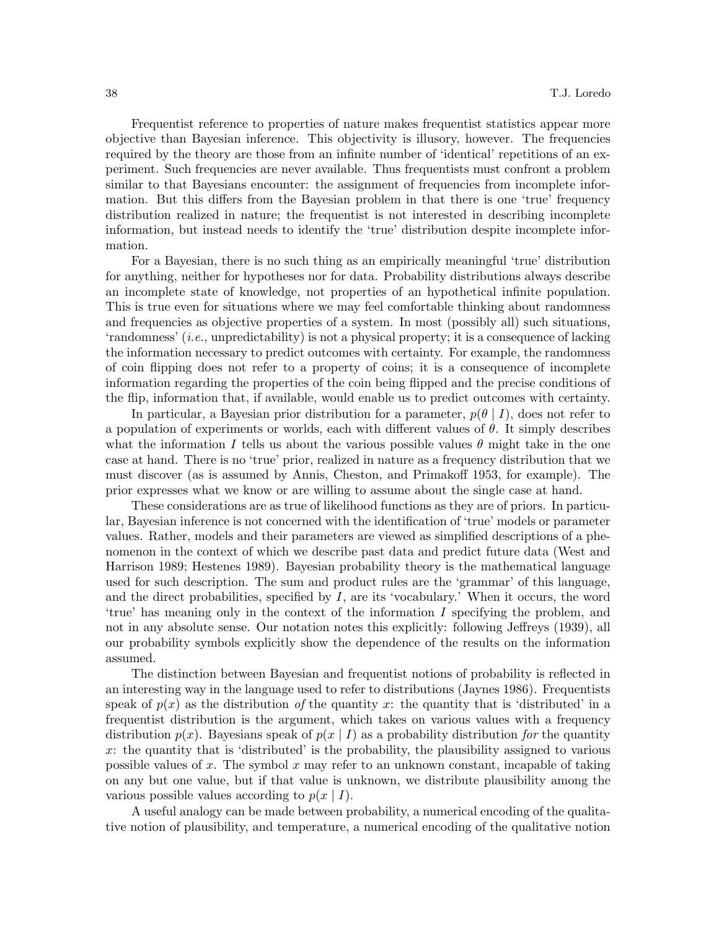Frequentist reference to properties of nature makes frequentist statistics appear more objective than Bayesian inference. This objectivity is illusory, however. The frequencies required by the theory are those from an infinite number of 'identical' repetitions of an experiment. Such frequencies are never available. Thus frequentists must confront a problem similar to that Bayesians encounter: the assignment of frequencies from incomplete information. But this differs from the Bayesian problem in that there is one 'true' frequency distribution realized in nature; the frequentist is not interested in describing incomplete information, but instead needs to identify the 'true' distribution despite incomplete information.

For a Bayesian, there is no such thing as an empirically meaningful 'true' distribution for anything, neither for hypotheses nor for data. Probability distributions always describe an incomplete state of knowledge, not properties of an hypothetical infinite population. This is true even for situations where we may feel comfortable thinking about randomness and frequencies as objective properties of a system. In most (possibly all) such situations, 'randomness' (i.e., unpredictability) is not a physical property; it is a consequence of lacking the information necessary to predict outcomes with certainty. For example, the randomness of coin flipping does not refer to a property of coins; it is a consequence of incomplete information regarding the properties of the coin being flipped and the precise conditions of the flip, information that, if available, would enable us to predict outcomes with certainty.

In particular, a Bayesian prior distribution for a parameter,  $p(\theta | I)$ , does not refer to a population of experiments or worlds, each with different values of  $\theta$ . It simply describes what the information I tells us about the various possible values  $\theta$  might take in the one case at hand. There is no 'true' prior, realized in nature as a frequency distribution that we must discover (as is assumed by Annis, Cheston, and Primakoff 1953, for example). The prior expresses what we know or are willing to assume about the single case at hand.

These considerations are as true of likelihood functions as they are of priors. In particular, Bayesian inference is not concerned with the identification of 'true' models or parameter values. Rather, models and their parameters are viewed as simplified descriptions of a phenomenon in the context of which we describe past data and predict future data (West and Harrison 1989; Hestenes 1989). Bayesian probability theory is the mathematical language used for such description. The sum and product rules are the 'grammar' of this language, and the direct probabilities, specified by  $I$ , are its 'vocabulary.' When it occurs, the word 'true' has meaning only in the context of the information I specifying the problem, and not in any absolute sense. Our notation notes this explicitly: following Jeffreys (1939), all our probability symbols explicitly show the dependence of the results on the information assumed.

The distinction between Bayesian and frequentist notions of probability is reflected in an interesting way in the language used to refer to distributions (Jaynes 1986). Frequentists speak of  $p(x)$  as the distribution of the quantity x: the quantity that is 'distributed' in a frequentist distribution is the argument, which takes on various values with a frequency distribution  $p(x)$ . Bayesians speak of  $p(x | I)$  as a probability distribution for the quantity x: the quantity that is 'distributed' is the probability, the plausibility assigned to various possible values of x. The symbol x may refer to an unknown constant, incapable of taking on any but one value, but if that value is unknown, we distribute plausibility among the various possible values according to  $p(x \mid I)$ .

A useful analogy can be made between probability, a numerical encoding of the qualitative notion of plausibility, and temperature, a numerical encoding of the qualitative notion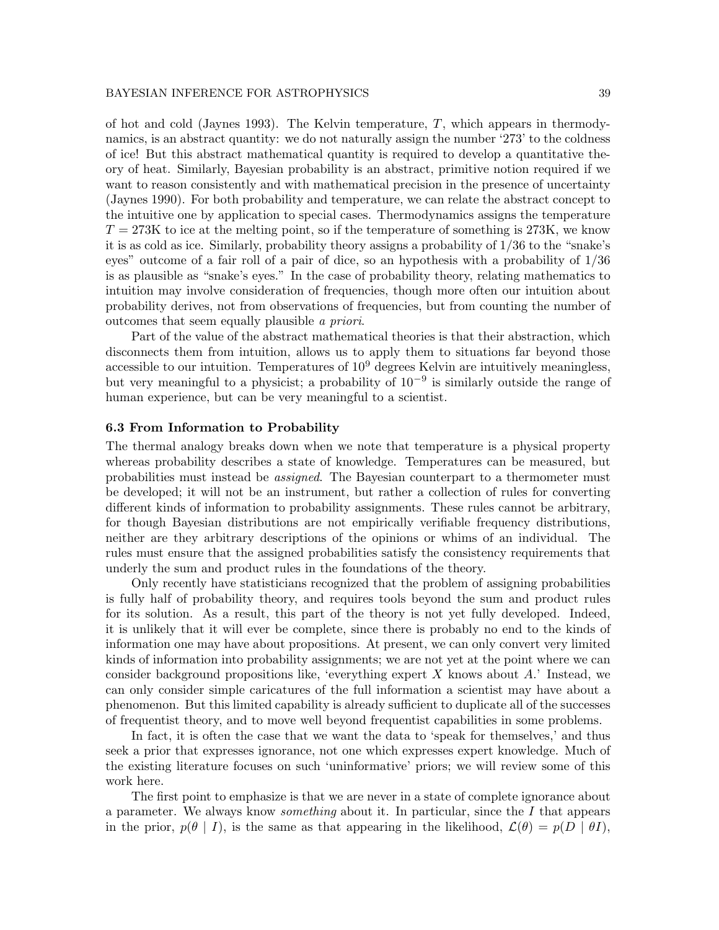of hot and cold (Jaynes 1993). The Kelvin temperature,  $T$ , which appears in thermodynamics, is an abstract quantity: we do not naturally assign the number '273' to the coldness of ice! But this abstract mathematical quantity is required to develop a quantitative theory of heat. Similarly, Bayesian probability is an abstract, primitive notion required if we want to reason consistently and with mathematical precision in the presence of uncertainty (Jaynes 1990). For both probability and temperature, we can relate the abstract concept to the intuitive one by application to special cases. Thermodynamics assigns the temperature  $T = 273K$  to ice at the melting point, so if the temperature of something is 273K, we know it is as cold as ice. Similarly, probability theory assigns a probability of 1/36 to the "snake's eyes" outcome of a fair roll of a pair of dice, so an hypothesis with a probability of 1/36 is as plausible as "snake's eyes." In the case of probability theory, relating mathematics to intuition may involve consideration of frequencies, though more often our intuition about probability derives, not from observations of frequencies, but from counting the number of outcomes that seem equally plausible a priori.

Part of the value of the abstract mathematical theories is that their abstraction, which disconnects them from intuition, allows us to apply them to situations far beyond those accessible to our intuition. Temperatures of  $10<sup>9</sup>$  degrees Kelvin are intuitively meaningless, but very meaningful to a physicist; a probability of 10−<sup>9</sup> is similarly outside the range of human experience, but can be very meaningful to a scientist.

## 6.3 From Information to Probability

The thermal analogy breaks down when we note that temperature is a physical property whereas probability describes a state of knowledge. Temperatures can be measured, but probabilities must instead be assigned. The Bayesian counterpart to a thermometer must be developed; it will not be an instrument, but rather a collection of rules for converting different kinds of information to probability assignments. These rules cannot be arbitrary, for though Bayesian distributions are not empirically verifiable frequency distributions, neither are they arbitrary descriptions of the opinions or whims of an individual. The rules must ensure that the assigned probabilities satisfy the consistency requirements that underly the sum and product rules in the foundations of the theory.

Only recently have statisticians recognized that the problem of assigning probabilities is fully half of probability theory, and requires tools beyond the sum and product rules for its solution. As a result, this part of the theory is not yet fully developed. Indeed, it is unlikely that it will ever be complete, since there is probably no end to the kinds of information one may have about propositions. At present, we can only convert very limited kinds of information into probability assignments; we are not yet at the point where we can consider background propositions like, 'everything expert  $X$  knows about  $A$ .' Instead, we can only consider simple caricatures of the full information a scientist may have about a phenomenon. But this limited capability is already sufficient to duplicate all of the successes of frequentist theory, and to move well beyond frequentist capabilities in some problems.

In fact, it is often the case that we want the data to 'speak for themselves,' and thus seek a prior that expresses ignorance, not one which expresses expert knowledge. Much of the existing literature focuses on such 'uninformative' priors; we will review some of this work here.

The first point to emphasize is that we are never in a state of complete ignorance about a parameter. We always know *something* about it. In particular, since the  $I$  that appears in the prior,  $p(\theta | I)$ , is the same as that appearing in the likelihood,  $\mathcal{L}(\theta) = p(D | \theta I)$ ,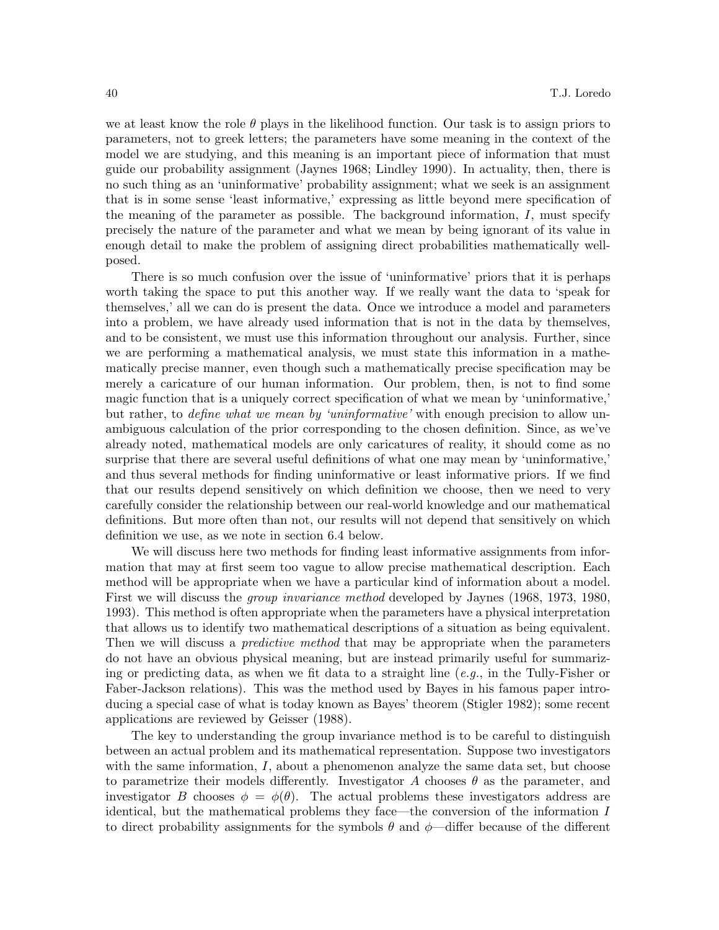we at least know the role  $\theta$  plays in the likelihood function. Our task is to assign priors to parameters, not to greek letters; the parameters have some meaning in the context of the model we are studying, and this meaning is an important piece of information that must guide our probability assignment (Jaynes 1968; Lindley 1990). In actuality, then, there is no such thing as an 'uninformative' probability assignment; what we seek is an assignment that is in some sense 'least informative,' expressing as little beyond mere specification of the meaning of the parameter as possible. The background information,  $I$ , must specify precisely the nature of the parameter and what we mean by being ignorant of its value in enough detail to make the problem of assigning direct probabilities mathematically wellposed.

There is so much confusion over the issue of 'uninformative' priors that it is perhaps worth taking the space to put this another way. If we really want the data to 'speak for themselves,' all we can do is present the data. Once we introduce a model and parameters into a problem, we have already used information that is not in the data by themselves, and to be consistent, we must use this information throughout our analysis. Further, since we are performing a mathematical analysis, we must state this information in a mathematically precise manner, even though such a mathematically precise specification may be merely a caricature of our human information. Our problem, then, is not to find some magic function that is a uniquely correct specification of what we mean by 'uninformative,' but rather, to *define what we mean by 'uninformative'* with enough precision to allow unambiguous calculation of the prior corresponding to the chosen definition. Since, as we've already noted, mathematical models are only caricatures of reality, it should come as no surprise that there are several useful definitions of what one may mean by 'uninformative,' and thus several methods for finding uninformative or least informative priors. If we find that our results depend sensitively on which definition we choose, then we need to very carefully consider the relationship between our real-world knowledge and our mathematical definitions. But more often than not, our results will not depend that sensitively on which definition we use, as we note in section 6.4 below.

We will discuss here two methods for finding least informative assignments from information that may at first seem too vague to allow precise mathematical description. Each method will be appropriate when we have a particular kind of information about a model. First we will discuss the *group invariance method* developed by Jaynes (1968, 1973, 1980, 1993). This method is often appropriate when the parameters have a physical interpretation that allows us to identify two mathematical descriptions of a situation as being equivalent. Then we will discuss a *predictive method* that may be appropriate when the parameters do not have an obvious physical meaning, but are instead primarily useful for summarizing or predicting data, as when we fit data to a straight line  $(e, q, \cdot)$  in the Tully-Fisher or Faber-Jackson relations). This was the method used by Bayes in his famous paper introducing a special case of what is today known as Bayes' theorem (Stigler 1982); some recent applications are reviewed by Geisser (1988).

The key to understanding the group invariance method is to be careful to distinguish between an actual problem and its mathematical representation. Suppose two investigators with the same information,  $I$ , about a phenomenon analyze the same data set, but choose to parametrize their models differently. Investigator A chooses  $\theta$  as the parameter, and investigator B chooses  $\phi = \phi(\theta)$ . The actual problems these investigators address are identical, but the mathematical problems they face—the conversion of the information I to direct probability assignments for the symbols  $\theta$  and  $\phi$ —differ because of the different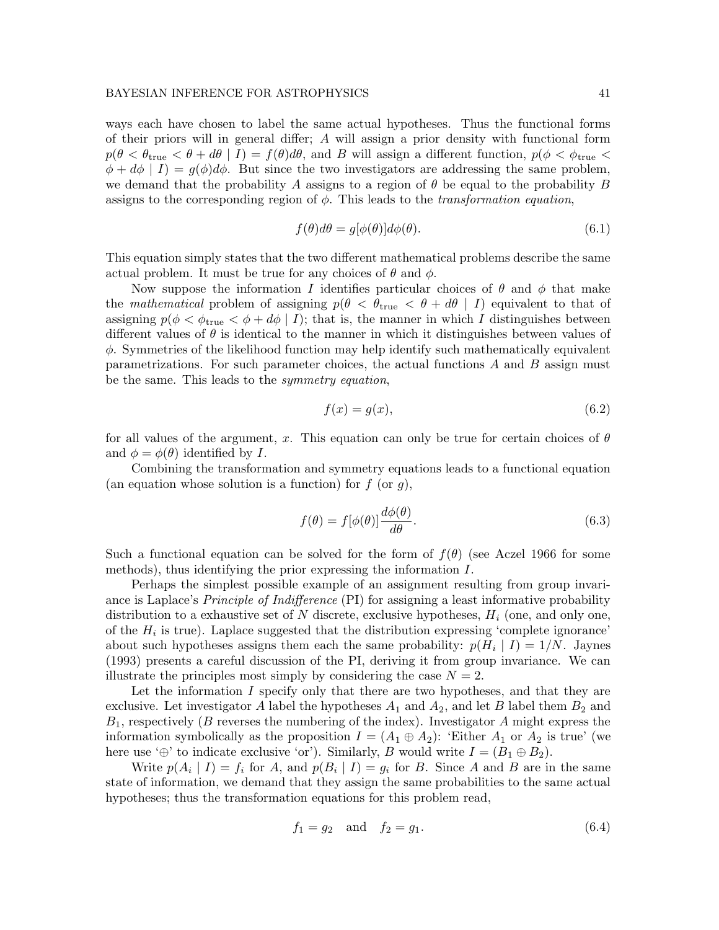ways each have chosen to label the same actual hypotheses. Thus the functional forms of their priors will in general differ; A will assign a prior density with functional form  $p(\theta < \theta_{\text{true}} < \theta + d\theta | I) = f(\theta)d\theta$ , and B will assign a different function,  $p(\phi < \phi_{\text{true}} <$  $\phi + d\phi \mid I$  =  $q(\phi)d\phi$ . But since the two investigators are addressing the same problem, we demand that the probability A assigns to a region of  $\theta$  be equal to the probability B assigns to the corresponding region of  $\phi$ . This leads to the *transformation equation*,

$$
f(\theta)d\theta = g[\phi(\theta)]d\phi(\theta). \tag{6.1}
$$

This equation simply states that the two different mathematical problems describe the same actual problem. It must be true for any choices of  $\theta$  and  $\phi$ .

Now suppose the information I identifies particular choices of  $\theta$  and  $\phi$  that make the mathematical problem of assigning  $p(\theta < \theta_{\text{true}} < \theta + d\theta \mid I)$  equivalent to that of assigning  $p(\phi \leq \phi_{true} \leq \phi + d\phi \mid I)$ ; that is, the manner in which I distinguishes between different values of  $\theta$  is identical to the manner in which it distinguishes between values of  $\phi$ . Symmetries of the likelihood function may help identify such mathematically equivalent parametrizations. For such parameter choices, the actual functions A and B assign must be the same. This leads to the *symmetry equation*,

$$
f(x) = g(x),\tag{6.2}
$$

for all values of the argument, x. This equation can only be true for certain choices of  $\theta$ and  $\phi = \phi(\theta)$  identified by I.

Combining the transformation and symmetry equations leads to a functional equation (an equation whose solution is a function) for  $f$  (or  $g$ ),

$$
f(\theta) = f[\phi(\theta)] \frac{d\phi(\theta)}{d\theta}.
$$
\n(6.3)

Such a functional equation can be solved for the form of  $f(\theta)$  (see Aczel 1966 for some methods), thus identifying the prior expressing the information I.

Perhaps the simplest possible example of an assignment resulting from group invariance is Laplace's *Principle of Indifference* (PI) for assigning a least informative probability distribution to a exhaustive set of N discrete, exclusive hypotheses,  $H_i$  (one, and only one, of the  $H_i$  is true). Laplace suggested that the distribution expressing 'complete ignorance' about such hypotheses assigns them each the same probability:  $p(H_i | I) = 1/N$ . Jaynes (1993) presents a careful discussion of the PI, deriving it from group invariance. We can illustrate the principles most simply by considering the case  $N = 2$ .

Let the information I specify only that there are two hypotheses, and that they are exclusive. Let investigator A label the hypotheses  $A_1$  and  $A_2$ , and let B label them  $B_2$  and  $B_1$ , respectively (B reverses the numbering of the index). Investigator A might express the information symbolically as the proposition  $I = (A_1 \oplus A_2)$ : 'Either  $A_1$  or  $A_2$  is true' (we here use ' $\oplus$ ' to indicate exclusive 'or'). Similarly, B would write  $I = (B_1 \oplus B_2)$ .

Write  $p(A_i | I) = f_i$  for A, and  $p(B_i | I) = g_i$  for B. Since A and B are in the same state of information, we demand that they assign the same probabilities to the same actual hypotheses; thus the transformation equations for this problem read,

$$
f_1 = g_2 \quad \text{and} \quad f_2 = g_1. \tag{6.4}
$$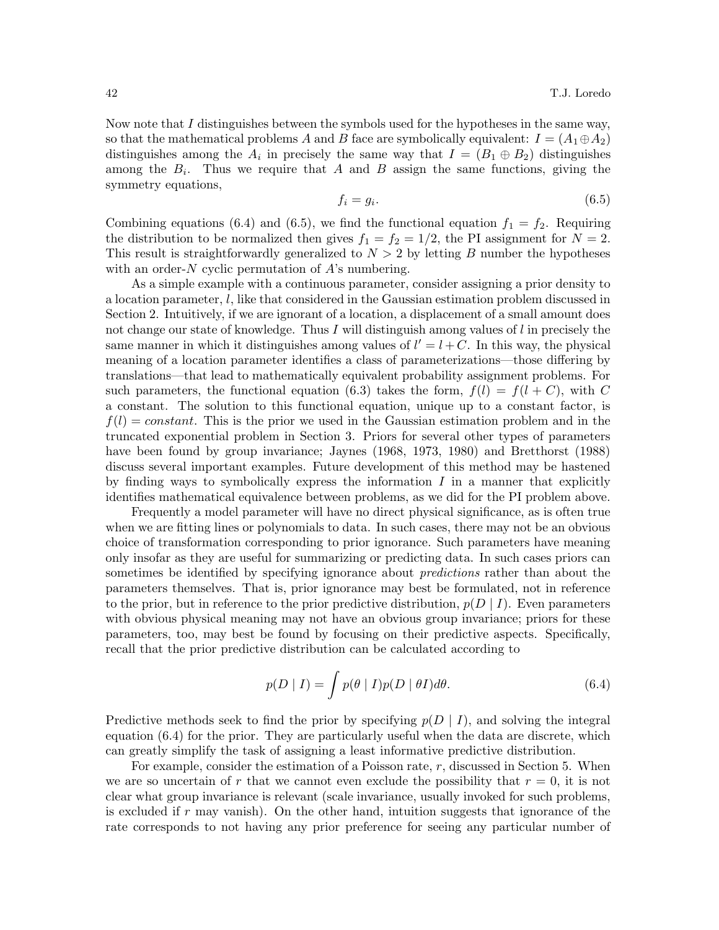Now note that I distinguishes between the symbols used for the hypotheses in the same way, so that the mathematical problems A and B face are symbolically equivalent:  $I = (A_1 \oplus A_2)$ distinguishes among the  $A_i$  in precisely the same way that  $I = (B_1 \oplus B_2)$  distinguishes among the  $B_i$ . Thus we require that A and B assign the same functions, giving the symmetry equations,

$$
f_i = g_i. \tag{6.5}
$$

Combining equations (6.4) and (6.5), we find the functional equation  $f_1 = f_2$ . Requiring the distribution to be normalized then gives  $f_1 = f_2 = 1/2$ , the PI assignment for  $N = 2$ . This result is straightforwardly generalized to  $N > 2$  by letting B number the hypotheses with an order- $N$  cyclic permutation of  $A$ 's numbering.

As a simple example with a continuous parameter, consider assigning a prior density to a location parameter, l, like that considered in the Gaussian estimation problem discussed in Section 2. Intuitively, if we are ignorant of a location, a displacement of a small amount does not change our state of knowledge. Thus I will distinguish among values of  $l$  in precisely the same manner in which it distinguishes among values of  $l' = l + C$ . In this way, the physical meaning of a location parameter identifies a class of parameterizations—those differing by translations—that lead to mathematically equivalent probability assignment problems. For such parameters, the functional equation (6.3) takes the form,  $f(l) = f(l+C)$ , with C a constant. The solution to this functional equation, unique up to a constant factor, is  $f(l) = constant$ . This is the prior we used in the Gaussian estimation problem and in the truncated exponential problem in Section 3. Priors for several other types of parameters have been found by group invariance; Jaynes (1968, 1973, 1980) and Bretthorst (1988) discuss several important examples. Future development of this method may be hastened by finding ways to symbolically express the information  $I$  in a manner that explicitly identifies mathematical equivalence between problems, as we did for the PI problem above.

Frequently a model parameter will have no direct physical significance, as is often true when we are fitting lines or polynomials to data. In such cases, there may not be an obvious choice of transformation corresponding to prior ignorance. Such parameters have meaning only insofar as they are useful for summarizing or predicting data. In such cases priors can sometimes be identified by specifying ignorance about *predictions* rather than about the parameters themselves. That is, prior ignorance may best be formulated, not in reference to the prior, but in reference to the prior predictive distribution,  $p(D | I)$ . Even parameters with obvious physical meaning may not have an obvious group invariance; priors for these parameters, too, may best be found by focusing on their predictive aspects. Specifically, recall that the prior predictive distribution can be calculated according to

$$
p(D | I) = \int p(\theta | I) p(D | \theta I) d\theta.
$$
 (6.4)

Predictive methods seek to find the prior by specifying  $p(D | I)$ , and solving the integral equation (6.4) for the prior. They are particularly useful when the data are discrete, which can greatly simplify the task of assigning a least informative predictive distribution.

For example, consider the estimation of a Poisson rate, r, discussed in Section 5. When we are so uncertain of r that we cannot even exclude the possibility that  $r = 0$ , it is not clear what group invariance is relevant (scale invariance, usually invoked for such problems, is excluded if  $r$  may vanish). On the other hand, intuition suggests that ignorance of the rate corresponds to not having any prior preference for seeing any particular number of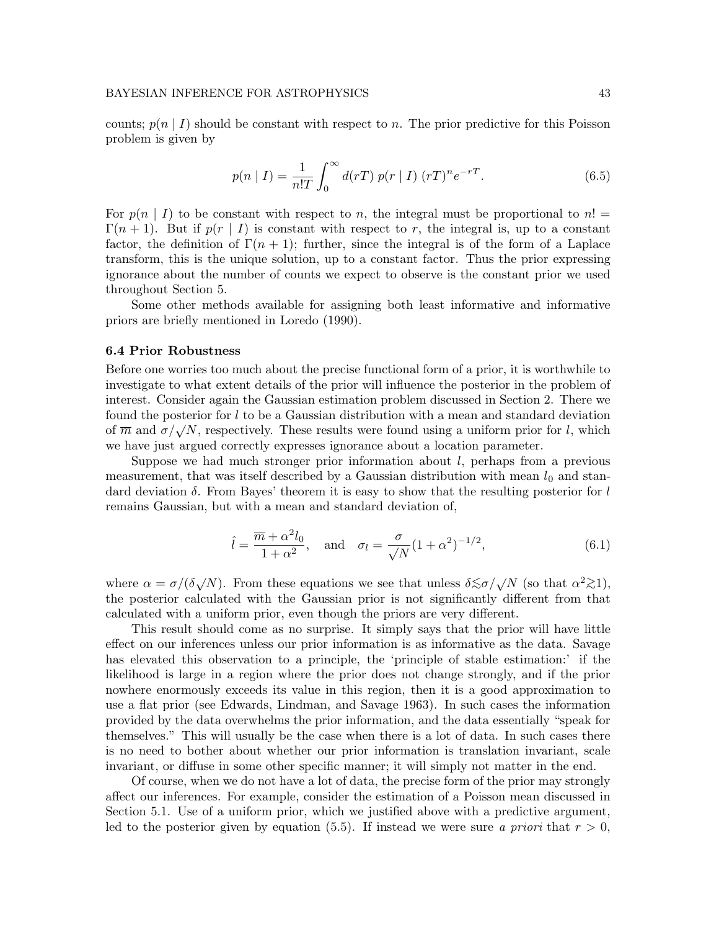counts;  $p(n | I)$  should be constant with respect to n. The prior predictive for this Poisson problem is given by

$$
p(n | I) = \frac{1}{n!T} \int_0^\infty d(rT) \, p(r | I) \, (rT)^n e^{-rT}.
$$
 (6.5)

For  $p(n | I)$  to be constant with respect to n, the integral must be proportional to  $n! =$  $\Gamma(n+1)$ . But if  $p(r \mid I)$  is constant with respect to r, the integral is, up to a constant factor, the definition of  $\Gamma(n+1)$ ; further, since the integral is of the form of a Laplace transform, this is the unique solution, up to a constant factor. Thus the prior expressing ignorance about the number of counts we expect to observe is the constant prior we used throughout Section 5.

Some other methods available for assigning both least informative and informative priors are briefly mentioned in Loredo (1990).

#### 6.4 Prior Robustness

Before one worries too much about the precise functional form of a prior, it is worthwhile to investigate to what extent details of the prior will influence the posterior in the problem of interest. Consider again the Gaussian estimation problem discussed in Section 2. There we found the posterior for  $l$  to be a Gaussian distribution with a mean and standard deviation of  $\overline{m}$  and  $\sigma/\sqrt{N}$ , respectively. These results were found using a uniform prior for l, which we have just argued correctly expresses ignorance about a location parameter.

Suppose we had much stronger prior information about l, perhaps from a previous measurement, that was itself described by a Gaussian distribution with mean  $l_0$  and standard deviation  $\delta$ . From Bayes' theorem it is easy to show that the resulting posterior for l remains Gaussian, but with a mean and standard deviation of,

$$
\hat{l} = \frac{\overline{m} + \alpha^2 l_0}{1 + \alpha^2}, \quad \text{and} \quad \sigma_l = \frac{\sigma}{\sqrt{N}} (1 + \alpha^2)^{-1/2}, \tag{6.1}
$$

where  $\alpha = \sigma/(\delta \sqrt{N})$ . From these equations we see that unless  $\delta \lesssim \sigma/\sqrt{N}$  (so that  $\alpha^2 \gtrsim 1$ ), the posterior calculated with the Gaussian prior is not significantly different from that calculated with a uniform prior, even though the priors are very different.

This result should come as no surprise. It simply says that the prior will have little effect on our inferences unless our prior information is as informative as the data. Savage has elevated this observation to a principle, the 'principle of stable estimation:' if the likelihood is large in a region where the prior does not change strongly, and if the prior nowhere enormously exceeds its value in this region, then it is a good approximation to use a flat prior (see Edwards, Lindman, and Savage 1963). In such cases the information provided by the data overwhelms the prior information, and the data essentially "speak for themselves." This will usually be the case when there is a lot of data. In such cases there is no need to bother about whether our prior information is translation invariant, scale invariant, or diffuse in some other specific manner; it will simply not matter in the end.

Of course, when we do not have a lot of data, the precise form of the prior may strongly affect our inferences. For example, consider the estimation of a Poisson mean discussed in Section 5.1. Use of a uniform prior, which we justified above with a predictive argument, led to the posterior given by equation (5.5). If instead we were sure a priori that  $r > 0$ ,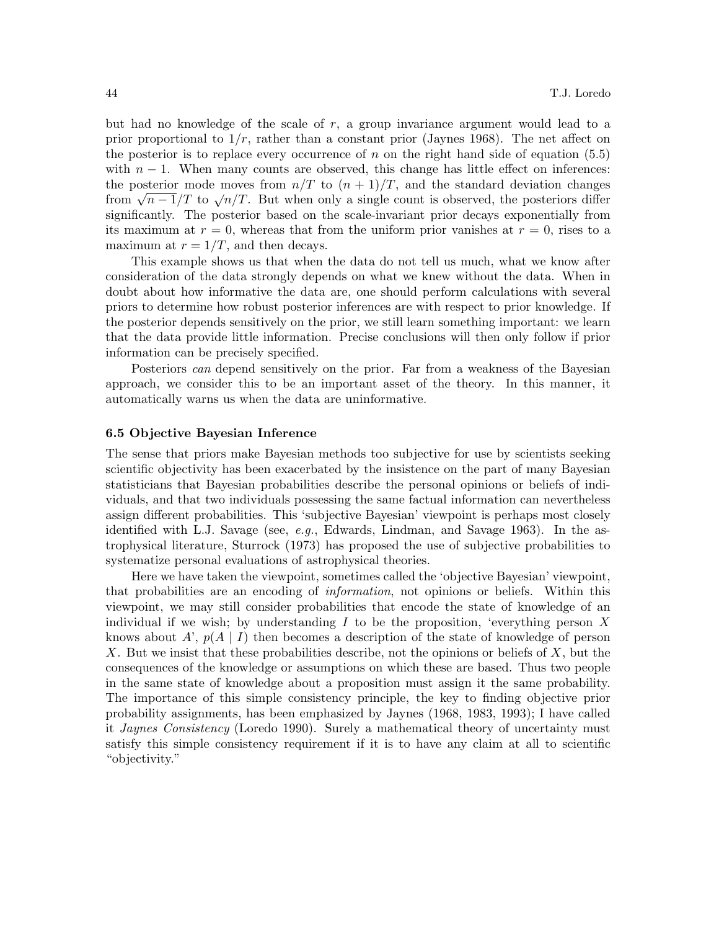but had no knowledge of the scale of  $r$ , a group invariance argument would lead to a prior proportional to  $1/r$ , rather than a constant prior (Jaynes 1968). The net affect on the posterior is to replace every occurrence of n on the right hand side of equation  $(5.5)$ with  $n-1$ . When many counts are observed, this change has little effect on inferences: the posterior mode moves from  $n/T$  to  $(n + 1)/T$ , and the standard deviation changes from  $\sqrt{n-1/T}$  to  $\sqrt{n/T}$ . But when only a single count is observed, the posteriors differ significantly. The posterior based on the scale-invariant prior decays exponentially from its maximum at  $r = 0$ , whereas that from the uniform prior vanishes at  $r = 0$ , rises to a maximum at  $r = 1/T$ , and then decays.

This example shows us that when the data do not tell us much, what we know after consideration of the data strongly depends on what we knew without the data. When in doubt about how informative the data are, one should perform calculations with several priors to determine how robust posterior inferences are with respect to prior knowledge. If the posterior depends sensitively on the prior, we still learn something important: we learn that the data provide little information. Precise conclusions will then only follow if prior information can be precisely specified.

Posteriors can depend sensitively on the prior. Far from a weakness of the Bayesian approach, we consider this to be an important asset of the theory. In this manner, it automatically warns us when the data are uninformative.

#### 6.5 Objective Bayesian Inference

The sense that priors make Bayesian methods too subjective for use by scientists seeking scientific objectivity has been exacerbated by the insistence on the part of many Bayesian statisticians that Bayesian probabilities describe the personal opinions or beliefs of individuals, and that two individuals possessing the same factual information can nevertheless assign different probabilities. This 'subjective Bayesian' viewpoint is perhaps most closely identified with L.J. Savage (see,  $e.g.,$  Edwards, Lindman, and Savage 1963). In the astrophysical literature, Sturrock (1973) has proposed the use of subjective probabilities to systematize personal evaluations of astrophysical theories.

Here we have taken the viewpoint, sometimes called the 'objective Bayesian' viewpoint, that probabilities are an encoding of information, not opinions or beliefs. Within this viewpoint, we may still consider probabilities that encode the state of knowledge of an individual if we wish; by understanding I to be the proposition, 'everything person X knows about A',  $p(A | I)$  then becomes a description of the state of knowledge of person X. But we insist that these probabilities describe, not the opinions or beliefs of  $X$ , but the consequences of the knowledge or assumptions on which these are based. Thus two people in the same state of knowledge about a proposition must assign it the same probability. The importance of this simple consistency principle, the key to finding objective prior probability assignments, has been emphasized by Jaynes (1968, 1983, 1993); I have called it Jaynes Consistency (Loredo 1990). Surely a mathematical theory of uncertainty must satisfy this simple consistency requirement if it is to have any claim at all to scientific "objectivity."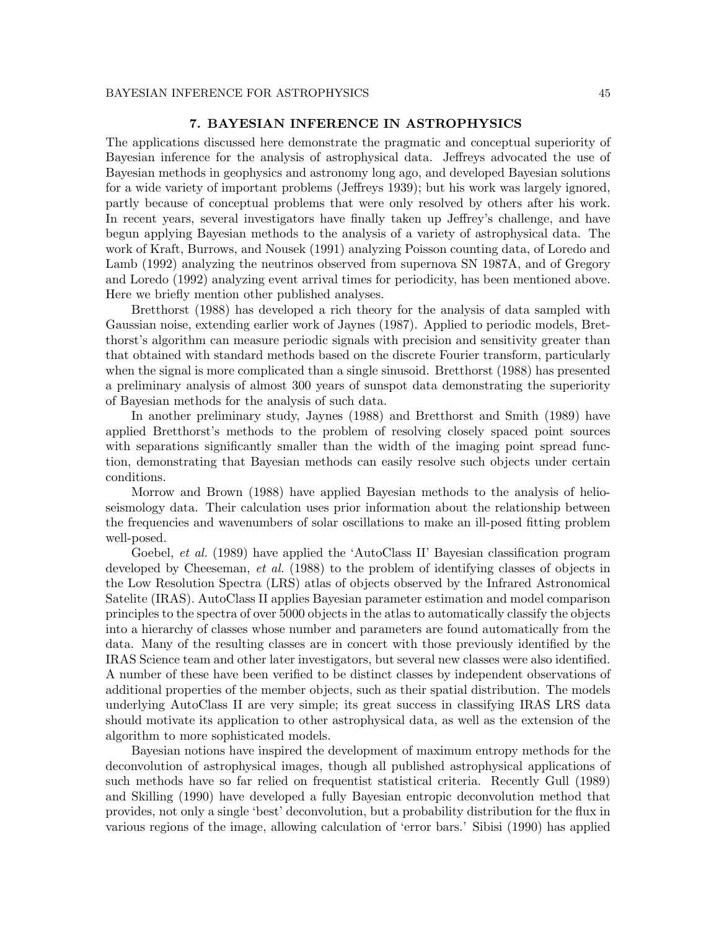The applications discussed here demonstrate the pragmatic and conceptual superiority of Bayesian inference for the analysis of astrophysical data. Jeffreys advocated the use of Bayesian methods in geophysics and astronomy long ago, and developed Bayesian solutions for a wide variety of important problems (Jeffreys 1939); but his work was largely ignored, partly because of conceptual problems that were only resolved by others after his work. In recent years, several investigators have finally taken up Jeffrey's challenge, and have begun applying Bayesian methods to the analysis of a variety of astrophysical data. The work of Kraft, Burrows, and Nousek (1991) analyzing Poisson counting data, of Loredo and Lamb (1992) analyzing the neutrinos observed from supernova SN 1987A, and of Gregory and Loredo (1992) analyzing event arrival times for periodicity, has been mentioned above. Here we briefly mention other published analyses.

Bretthorst (1988) has developed a rich theory for the analysis of data sampled with Gaussian noise, extending earlier work of Jaynes (1987). Applied to periodic models, Bretthorst's algorithm can measure periodic signals with precision and sensitivity greater than that obtained with standard methods based on the discrete Fourier transform, particularly when the signal is more complicated than a single sinusoid. Bretthorst (1988) has presented a preliminary analysis of almost 300 years of sunspot data demonstrating the superiority of Bayesian methods for the analysis of such data.

In another preliminary study, Jaynes (1988) and Bretthorst and Smith (1989) have applied Bretthorst's methods to the problem of resolving closely spaced point sources with separations significantly smaller than the width of the imaging point spread function, demonstrating that Bayesian methods can easily resolve such objects under certain conditions.

Morrow and Brown (1988) have applied Bayesian methods to the analysis of helioseismology data. Their calculation uses prior information about the relationship between the frequencies and wavenumbers of solar oscillations to make an ill-posed fitting problem well-posed.

Goebel, *et al.* (1989) have applied the 'AutoClass II' Bayesian classification program developed by Cheeseman, *et al.* (1988) to the problem of identifying classes of objects in the Low Resolution Spectra (LRS) atlas of objects observed by the Infrared Astronomical Satelite (IRAS). AutoClass II applies Bayesian parameter estimation and model comparison principles to the spectra of over 5000 objects in the atlas to automatically classify the objects into a hierarchy of classes whose number and parameters are found automatically from the data. Many of the resulting classes are in concert with those previously identified by the IRAS Science team and other later investigators, but several new classes were also identified. A number of these have been verified to be distinct classes by independent observations of additional properties of the member objects, such as their spatial distribution. The models underlying AutoClass II are very simple; its great success in classifying IRAS LRS data should motivate its application to other astrophysical data, as well as the extension of the algorithm to more sophisticated models.

Bayesian notions have inspired the development of maximum entropy methods for the deconvolution of astrophysical images, though all published astrophysical applications of such methods have so far relied on frequentist statistical criteria. Recently Gull (1989) and Skilling (1990) have developed a fully Bayesian entropic deconvolution method that provides, not only a single 'best' deconvolution, but a probability distribution for the flux in various regions of the image, allowing calculation of 'error bars.' Sibisi (1990) has applied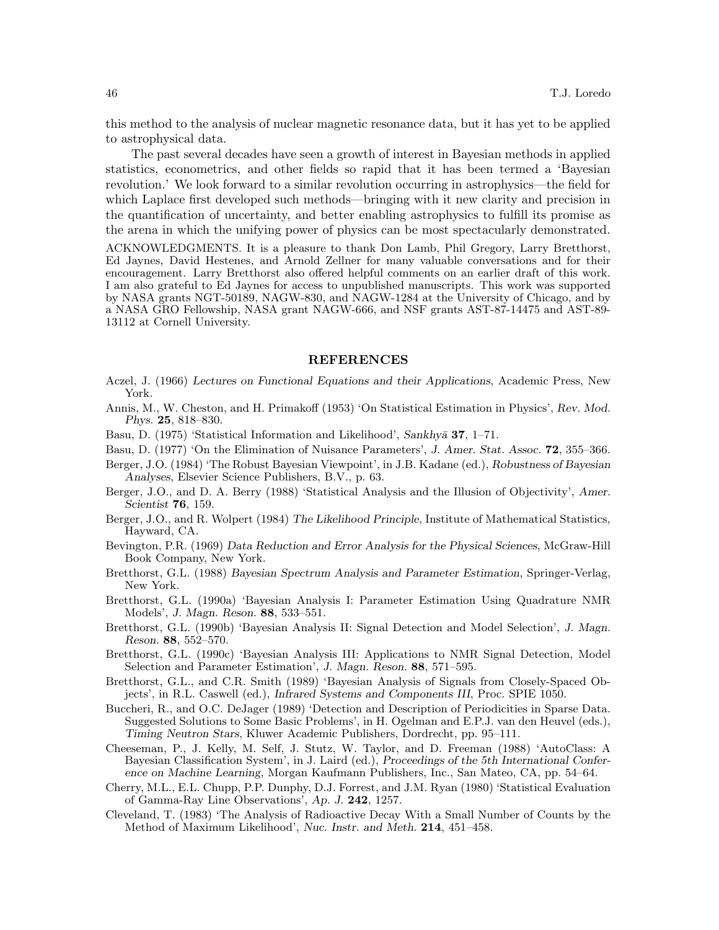this method to the analysis of nuclear magnetic resonance data, but it has yet to be applied to astrophysical data.

The past several decades have seen a growth of interest in Bayesian methods in applied statistics, econometrics, and other fields so rapid that it has been termed a 'Bayesian revolution.' We look forward to a similar revolution occurring in astrophysics—the field for which Laplace first developed such methods—bringing with it new clarity and precision in the quantification of uncertainty, and better enabling astrophysics to fulfill its promise as the arena in which the unifying power of physics can be most spectacularly demonstrated.

ACKNOWLEDGMENTS. It is a pleasure to thank Don Lamb, Phil Gregory, Larry Bretthorst, Ed Jaynes, David Hestenes, and Arnold Zellner for many valuable conversations and for their encouragement. Larry Bretthorst also offered helpful comments on an earlier draft of this work. I am also grateful to Ed Jaynes for access to unpublished manuscripts. This work was supported by NASA grants NGT-50189, NAGW-830, and NAGW-1284 at the University of Chicago, and by a NASA GRO Fellowship, NASA grant NAGW-666, and NSF grants AST-87-14475 and AST-89- 13112 at Cornell University.

#### REFERENCES

- Aczel, J. (1966) Lectures on Functional Equations and their Applications, Academic Press, New York.
- Annis, M., W. Cheston, and H. Primakoff (1953) 'On Statistical Estimation in Physics', Rev. Mod. Phys. 25, 818–830.
- Basu, D. (1975) 'Statistical Information and Likelihood', Sankhya 37, 1-71.
- Basu, D. (1977) 'On the Elimination of Nuisance Parameters', J. Amer. Stat. Assoc. **72**, 355–366.
- Berger, J.O. (1984) 'The Robust Bayesian Viewpoint', in J.B. Kadane (ed.), Robustness of Bayesian Analyses, Elsevier Science Publishers, B.V., p. 63.
- Berger, J.O., and D. A. Berry (1988) 'Statistical Analysis and the Illusion of Objectivity', Amer. Scientist 76, 159.
- Berger, J.O., and R. Wolpert (1984) The Likelihood Principle, Institute of Mathematical Statistics, Hayward, CA.
- Bevington, P.R. (1969) Data Reduction and Error Analysis for the Physical Sciences, McGraw-Hill Book Company, New York.
- Bretthorst, G.L. (1988) Bayesian Spectrum Analysis and Parameter Estimation, Springer-Verlag, New York.
- Bretthorst, G.L. (1990a) 'Bayesian Analysis I: Parameter Estimation Using Quadrature NMR Models', J. Magn. Reson. 88, 533–551.
- Bretthorst, G.L. (1990b) 'Bayesian Analysis II: Signal Detection and Model Selection', J. Magn. Reson. 88, 552–570.
- Bretthorst, G.L. (1990c) 'Bayesian Analysis III: Applications to NMR Signal Detection, Model Selection and Parameter Estimation', J. Magn. Reson. 88, 571-595.
- Bretthorst, G.L., and C.R. Smith (1989) 'Bayesian Analysis of Signals from Closely-Spaced Objects', in R.L. Caswell (ed.), Infrared Systems and Components III, Proc. SPIE 1050.
- Buccheri, R., and O.C. DeJager (1989) 'Detection and Description of Periodicities in Sparse Data. Suggested Solutions to Some Basic Problems', in H. Ogelman and E.P.J. van den Heuvel (eds.), Timing Neutron Stars, Kluwer Academic Publishers, Dordrecht, pp. 95–111.
- Cheeseman, P., J. Kelly, M. Self, J. Stutz, W. Taylor, and D. Freeman (1988) 'AutoClass: A Bayesian Classification System', in J. Laird (ed.), Proceedings of the 5th International Conference on Machine Learning, Morgan Kaufmann Publishers, Inc., San Mateo, CA, pp. 54–64.
- Cherry, M.L., E.L. Chupp, P.P. Dunphy, D.J. Forrest, and J.M. Ryan (1980) 'Statistical Evaluation of Gamma-Ray Line Observations', Ap. J. 242, 1257.
- Cleveland, T. (1983) 'The Analysis of Radioactive Decay With a Small Number of Counts by the Method of Maximum Likelihood', Nuc. Instr. and Meth. 214, 451–458.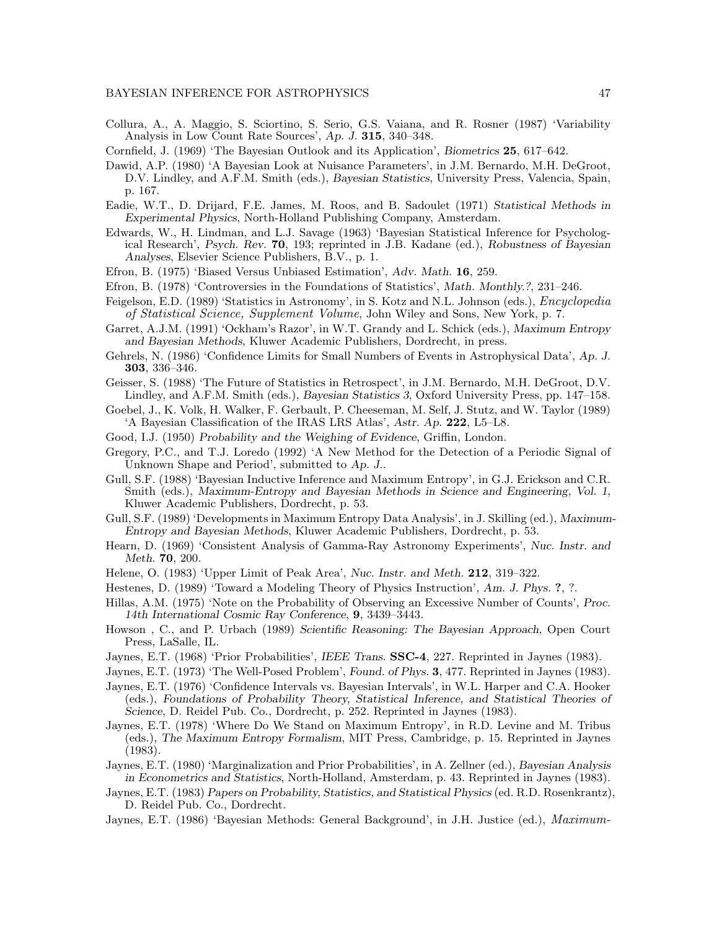- Collura, A., A. Maggio, S. Sciortino, S. Serio, G.S. Vaiana, and R. Rosner (1987) 'Variability Analysis in Low Count Rate Sources', Ap. J. 315, 340–348.
- Cornfield, J. (1969) 'The Bayesian Outlook and its Application', Biometrics 25, 617–642.
- Dawid, A.P. (1980) 'A Bayesian Look at Nuisance Parameters', in J.M. Bernardo, M.H. DeGroot, D.V. Lindley, and A.F.M. Smith (eds.), Bayesian Statistics, University Press, Valencia, Spain, p. 167.
- Eadie, W.T., D. Drijard, F.E. James, M. Roos, and B. Sadoulet (1971) Statistical Methods in Experimental Physics, North-Holland Publishing Company, Amsterdam.
- Edwards, W., H. Lindman, and L.J. Savage (1963) 'Bayesian Statistical Inference for Psychological Research', Psych. Rev. 70, 193; reprinted in J.B. Kadane (ed.), Robustness of Bayesian Analyses, Elsevier Science Publishers, B.V., p. 1.
- Efron, B. (1975) 'Biased Versus Unbiased Estimation', Adv. Math. 16, 259.
- Efron, B. (1978) 'Controversies in the Foundations of Statistics', Math. Monthly.?, 231–246.
- Feigelson, E.D. (1989) 'Statistics in Astronomy', in S. Kotz and N.L. Johnson (eds.), Encyclopedia of Statistical Science, Supplement Volume, John Wiley and Sons, New York, p. 7.
- Garret, A.J.M. (1991) 'Ockham's Razor', in W.T. Grandy and L. Schick (eds.), Maximum Entropy and Bayesian Methods, Kluwer Academic Publishers, Dordrecht, in press.
- Gehrels, N. (1986) 'Confidence Limits for Small Numbers of Events in Astrophysical Data', Ap. J. 303, 336–346.
- Geisser, S. (1988) 'The Future of Statistics in Retrospect', in J.M. Bernardo, M.H. DeGroot, D.V. Lindley, and A.F.M. Smith (eds.), Bayesian Statistics 3, Oxford University Press, pp. 147–158.
- Goebel, J., K. Volk, H. Walker, F. Gerbault, P. Cheeseman, M. Self, J. Stutz, and W. Taylor (1989) 'A Bayesian Classification of the IRAS LRS Atlas', Astr. Ap. 222, L5–L8.
- Good, I.J. (1950) Probability and the Weighing of Evidence, Griffin, London.
- Gregory, P.C., and T.J. Loredo (1992) 'A New Method for the Detection of a Periodic Signal of Unknown Shape and Period', submitted to Ap. J..
- Gull, S.F. (1988) 'Bayesian Inductive Inference and Maximum Entropy', in G.J. Erickson and C.R. Smith (eds.), Maximum-Entropy and Bayesian Methods in Science and Engineering, Vol. 1, Kluwer Academic Publishers, Dordrecht, p. 53.
- Gull, S.F. (1989) 'Developments in Maximum Entropy Data Analysis', in J. Skilling (ed.), Maximum-Entropy and Bayesian Methods, Kluwer Academic Publishers, Dordrecht, p. 53.
- Hearn, D. (1969) 'Consistent Analysis of Gamma-Ray Astronomy Experiments', Nuc. Instr. and Meth. 70, 200.
- Helene, O. (1983) 'Upper Limit of Peak Area', Nuc. Instr. and Meth. 212, 319–322.
- Hestenes, D. (1989) 'Toward a Modeling Theory of Physics Instruction', Am. J. Phys. ?, ?.
- Hillas, A.M. (1975) 'Note on the Probability of Observing an Excessive Number of Counts', Proc. 14th International Cosmic Ray Conference, 9, 3439–3443.
- Howson , C., and P. Urbach (1989) Scientific Reasoning: The Bayesian Approach, Open Court Press, LaSalle, IL.
- Jaynes, E.T. (1968) 'Prior Probabilities', IEEE Trans. **SSC-4**, 227. Reprinted in Jaynes (1983).
- Jaynes, E.T. (1973) 'The Well-Posed Problem', Found. of Phys. 3, 477. Reprinted in Jaynes (1983).
- Jaynes, E.T. (1976) 'Confidence Intervals vs. Bayesian Intervals', in W.L. Harper and C.A. Hooker (eds.), Foundations of Probability Theory, Statistical Inference, and Statistical Theories of Science, D. Reidel Pub. Co., Dordrecht, p. 252. Reprinted in Jaynes (1983).
- Jaynes, E.T. (1978) 'Where Do We Stand on Maximum Entropy', in R.D. Levine and M. Tribus (eds.), The Maximum Entropy Formalism, MIT Press, Cambridge, p. 15. Reprinted in Jaynes (1983).
- Jaynes, E.T. (1980) 'Marginalization and Prior Probabilities', in A. Zellner (ed.), Bayesian Analysis in Econometrics and Statistics, North-Holland, Amsterdam, p. 43. Reprinted in Jaynes (1983).
- Jaynes, E.T. (1983) Papers on Probability, Statistics, and Statistical Physics (ed. R.D. Rosenkrantz), D. Reidel Pub. Co., Dordrecht.
- Jaynes, E.T. (1986) 'Bayesian Methods: General Background', in J.H. Justice (ed.), *Maximum*-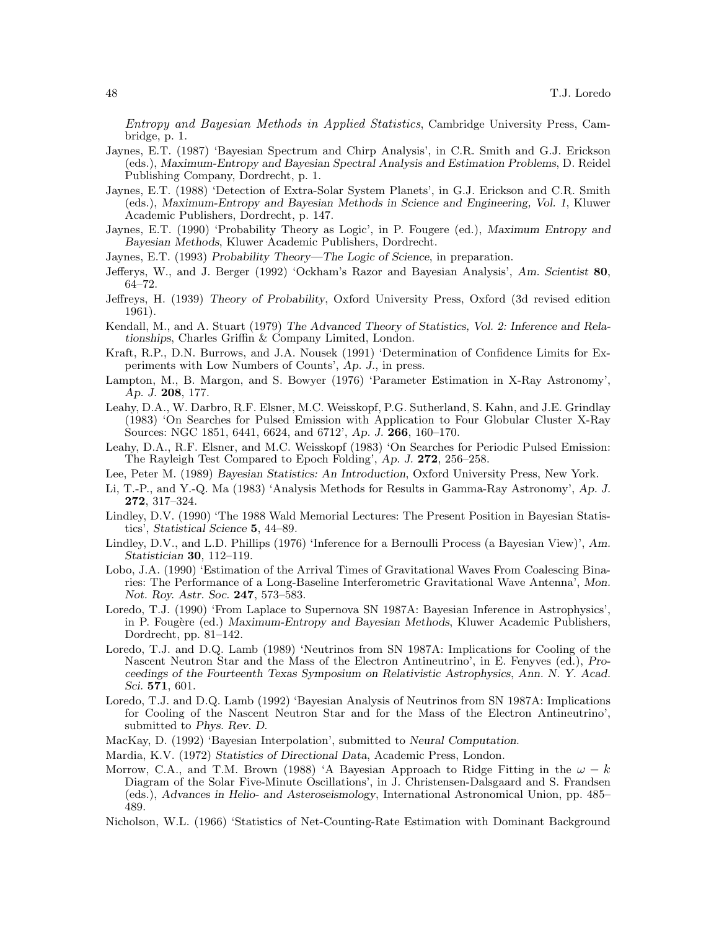Entropy and Bayesian Methods in Applied Statistics, Cambridge University Press, Cambridge, p. 1.

- Jaynes, E.T. (1987) 'Bayesian Spectrum and Chirp Analysis', in C.R. Smith and G.J. Erickson (eds.), Maximum-Entropy and Bayesian Spectral Analysis and Estimation Problems, D. Reidel Publishing Company, Dordrecht, p. 1.
- Jaynes, E.T. (1988) 'Detection of Extra-Solar System Planets', in G.J. Erickson and C.R. Smith (eds.), Maximum-Entropy and Bayesian Methods in Science and Engineering, Vol. 1, Kluwer Academic Publishers, Dordrecht, p. 147.
- Jaynes, E.T. (1990) 'Probability Theory as Logic', in P. Fougere (ed.), Maximum Entropy and Bayesian Methods, Kluwer Academic Publishers, Dordrecht.
- Jaynes, E.T. (1993) Probability Theory—The Logic of Science, in preparation.
- Jefferys, W., and J. Berger (1992) 'Ockham's Razor and Bayesian Analysis', Am. Scientist 80, 64–72.
- Jeffreys, H. (1939) Theory of Probability, Oxford University Press, Oxford (3d revised edition 1961).
- Kendall, M., and A. Stuart (1979) The Advanced Theory of Statistics, Vol. 2: Inference and Relationships, Charles Griffin & Company Limited, London.
- Kraft, R.P., D.N. Burrows, and J.A. Nousek (1991) 'Determination of Confidence Limits for Experiments with Low Numbers of Counts', Ap. J., in press.
- Lampton, M., B. Margon, and S. Bowyer (1976) 'Parameter Estimation in X-Ray Astronomy', Ap. J. 208, 177.
- Leahy, D.A., W. Darbro, R.F. Elsner, M.C. Weisskopf, P.G. Sutherland, S. Kahn, and J.E. Grindlay (1983) 'On Searches for Pulsed Emission with Application to Four Globular Cluster X-Ray Sources: NGC 1851, 6441, 6624, and 6712', Ap. J. 266, 160–170.
- Leahy, D.A., R.F. Elsner, and M.C. Weisskopf (1983) 'On Searches for Periodic Pulsed Emission: The Rayleigh Test Compared to Epoch Folding', Ap. J. 272, 256–258.
- Lee, Peter M. (1989) Bayesian Statistics: An Introduction, Oxford University Press, New York.
- Li, T.-P., and Y.-Q. Ma (1983) 'Analysis Methods for Results in Gamma-Ray Astronomy', Ap. J. 272, 317–324.
- Lindley, D.V. (1990) 'The 1988 Wald Memorial Lectures: The Present Position in Bayesian Statistics', Statistical Science 5, 44–89.
- Lindley, D.V., and L.D. Phillips (1976) 'Inference for a Bernoulli Process (a Bayesian View)', Am. Statistician 30, 112–119.
- Lobo, J.A. (1990) 'Estimation of the Arrival Times of Gravitational Waves From Coalescing Binaries: The Performance of a Long-Baseline Interferometric Gravitational Wave Antenna', Mon. Not. Roy. Astr. Soc. 247, 573–583.
- Loredo, T.J. (1990) 'From Laplace to Supernova SN 1987A: Bayesian Inference in Astrophysics', in P. Fougère (ed.) Maximum-Entropy and Bayesian Methods, Kluwer Academic Publishers, Dordrecht, pp. 81–142.
- Loredo, T.J. and D.Q. Lamb (1989) 'Neutrinos from SN 1987A: Implications for Cooling of the Nascent Neutron Star and the Mass of the Electron Antineutrino', in E. Fenyves (ed.), Proceedings of the Fourteenth Texas Symposium on Relativistic Astrophysics, Ann. N. Y. Acad. Sci. 571, 601.
- Loredo, T.J. and D.Q. Lamb (1992) 'Bayesian Analysis of Neutrinos from SN 1987A: Implications for Cooling of the Nascent Neutron Star and for the Mass of the Electron Antineutrino', submitted to Phys. Rev. D.
- MacKay, D. (1992) 'Bayesian Interpolation', submitted to Neural Computation.
- Mardia, K.V. (1972) Statistics of Directional Data, Academic Press, London.
- Morrow, C.A., and T.M. Brown (1988) 'A Bayesian Approach to Ridge Fitting in the  $\omega k$ Diagram of the Solar Five-Minute Oscillations', in J. Christensen-Dalsgaard and S. Frandsen (eds.), Advances in Helio- and Asteroseismology, International Astronomical Union, pp. 485– 489.
- Nicholson, W.L. (1966) 'Statistics of Net-Counting-Rate Estimation with Dominant Background